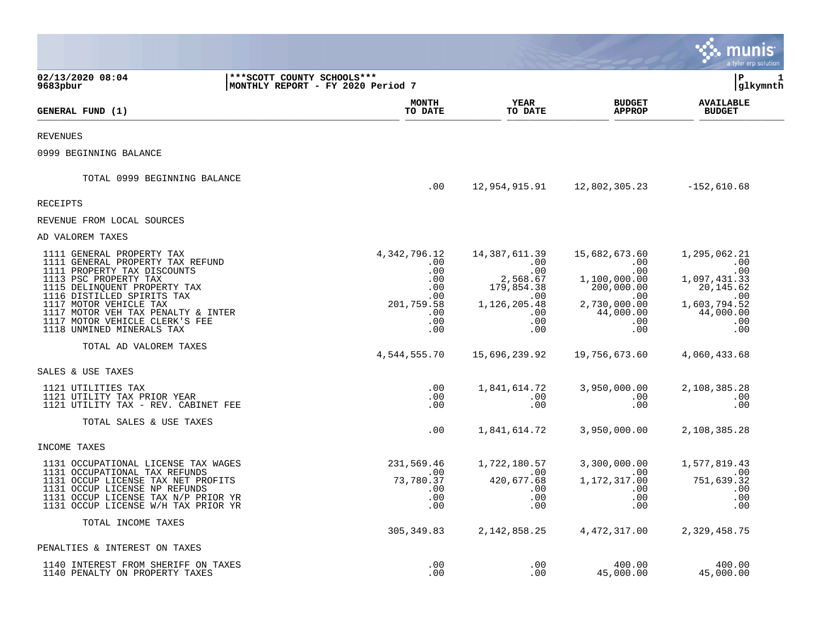|                                                                                                                                                                                     |                                                                   |                                                     |                                                              |                                                                            | a tyler erp solution                                           |
|-------------------------------------------------------------------------------------------------------------------------------------------------------------------------------------|-------------------------------------------------------------------|-----------------------------------------------------|--------------------------------------------------------------|----------------------------------------------------------------------------|----------------------------------------------------------------|
| 02/13/2020 08:04<br>9683pbur                                                                                                                                                        | *** SCOTT COUNTY SCHOOLS ***<br>MONTHLY REPORT - FY 2020 Period 7 |                                                     |                                                              |                                                                            | lР<br>1<br> glkymnth                                           |
| GENERAL FUND (1)                                                                                                                                                                    |                                                                   | <b>MONTH</b><br>TO DATE                             | <b>YEAR</b><br>TO DATE                                       | <b>BUDGET</b><br><b>APPROP</b>                                             | <b>AVAILABLE</b><br><b>BUDGET</b>                              |
| <b>REVENUES</b>                                                                                                                                                                     |                                                                   |                                                     |                                                              |                                                                            |                                                                |
| 0999 BEGINNING BALANCE                                                                                                                                                              |                                                                   |                                                     |                                                              |                                                                            |                                                                |
| TOTAL 0999 BEGINNING BALANCE                                                                                                                                                        |                                                                   | .00                                                 | 12,954,915.91                                                | 12,802,305.23                                                              | $-152,610.68$                                                  |
| RECEIPTS                                                                                                                                                                            |                                                                   |                                                     |                                                              |                                                                            |                                                                |
| REVENUE FROM LOCAL SOURCES                                                                                                                                                          |                                                                   |                                                     |                                                              |                                                                            |                                                                |
| AD VALOREM TAXES                                                                                                                                                                    |                                                                   |                                                     |                                                              |                                                                            |                                                                |
| 1111 GENERAL PROPERTY TAX<br>1111 GENERAL PROPERTY TAX REFUND<br>1111 PROPERTY TAX DISCOUNTS<br>1113 PSC PROPERTY TAX<br>1115 DELINQUENT PROPERTY TAX<br>1116 DISTILLED SPIRITS TAX |                                                                   | 4, 342, 796. 12<br>.00.<br>.00<br>.00<br>.00<br>.00 | 14,387,611.39<br>.00<br>.00<br>2,568.67<br>179,854.38<br>.00 | 15,682,673.60<br>.00<br>$.00 \,$<br>1,100,000.00<br>200,000.00<br>$.00 \,$ | 1,295,062.21<br>.00<br>.00<br>1,097,431.33<br>20,145.62<br>.00 |
| 1117 MOTOR VEHICLE TAX<br>1117 MOTOR VEH TAX PENALTY & INTER<br>1117 MOTOR VEHICLE CLERK'S FEE<br>1118 UNMINED MINERALS TAX                                                         |                                                                   | 201,759.58<br>.00<br>.00<br>.00                     | 1, 126, 205.48<br>.00<br>.00<br>.00                          | 2,730,000.00<br>44,000.00<br>.00<br>.00                                    | 1,603,794.52<br>44,000.00<br>.00<br>.00                        |
| TOTAL AD VALOREM TAXES                                                                                                                                                              |                                                                   | 4,544,555.70                                        | 15,696,239.92                                                | 19,756,673.60                                                              | 4,060,433.68                                                   |
| SALES & USE TAXES                                                                                                                                                                   |                                                                   |                                                     |                                                              |                                                                            |                                                                |
| 1121 UTILITIES TAX<br>1121 UTILITY TAX PRIOR YEAR<br>1121 UTILITY TAX - REV. CABINET FEE                                                                                            |                                                                   | .00<br>.00<br>.00                                   | 1,841,614.72<br>.00<br>.00                                   | 3,950,000.00<br>.00<br>.00                                                 | 2,108,385.28<br>.00<br>.00                                     |
| TOTAL SALES & USE TAXES                                                                                                                                                             |                                                                   | .00                                                 | 1,841,614.72                                                 | 3,950,000.00                                                               | 2,108,385.28                                                   |
| INCOME TAXES                                                                                                                                                                        |                                                                   |                                                     |                                                              |                                                                            |                                                                |
| 1131 OCCUPATIONAL LICENSE TAX WAGES                                                                                                                                                 |                                                                   | 231,569.46                                          | 1,722,180.57                                                 | 3,300,000.00                                                               | 1,577,819.43                                                   |
| 1131 OCCUPATIONAL TAX REFUNDS<br>1131 OCCUP LICENSE TAX NET PROFITS<br>1131 OCCUP LICENSE NP REFUNDS<br>1131 OCCUP LICENSE TAX N/P PRIOR YR<br>1131 OCCUP LICENSE W/H TAX PRIOR YR  |                                                                   | .00<br>73,780.37<br>.00<br>.00<br>.00               | .00<br>420,677.68<br>.00<br>.00<br>.00                       | .00<br>1, 172, 317.00<br>$.00 \,$<br>.00<br>.00                            | .00<br>751,639.32<br>.00<br>.00<br>.00                         |
| TOTAL INCOME TAXES                                                                                                                                                                  |                                                                   | 305, 349.83                                         | 2, 142, 858. 25                                              | 4, 472, 317.00                                                             | 2,329,458.75                                                   |
| PENALTIES & INTEREST ON TAXES                                                                                                                                                       |                                                                   |                                                     |                                                              |                                                                            |                                                                |
| 1140 INTEREST FROM SHERIFF ON TAXES<br>1140 PENALTY ON PROPERTY TAXES                                                                                                               |                                                                   | .00<br>.00                                          | .00<br>.00                                                   | 400.00<br>45,000.00                                                        | 400.00<br>45,000.00                                            |

**Contract**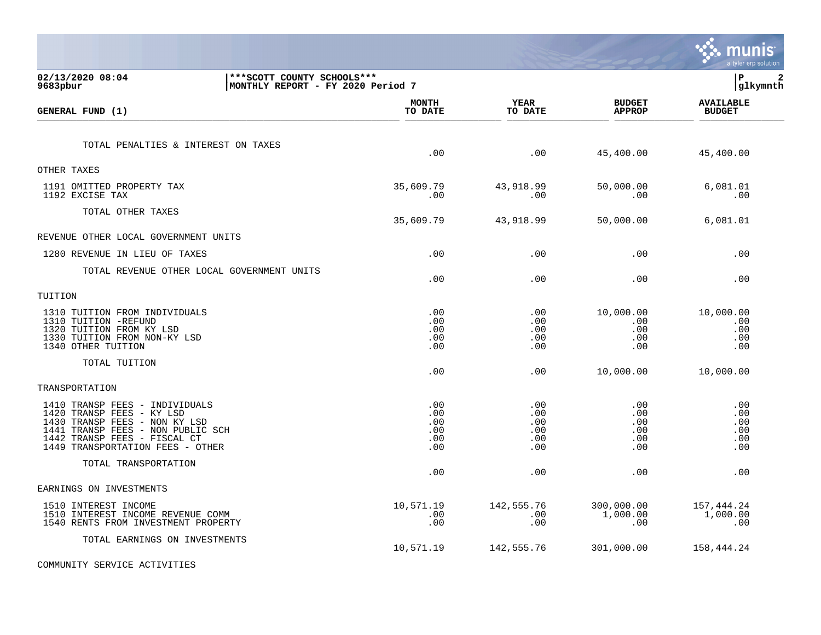|                                                                                                                                                                                                          |                                        |                                        |                                        | munis<br>a tyler erp solution          |
|----------------------------------------------------------------------------------------------------------------------------------------------------------------------------------------------------------|----------------------------------------|----------------------------------------|----------------------------------------|----------------------------------------|
| 02/13/2020 08:04<br>*** SCOTT COUNTY SCHOOLS ***<br>9683pbur<br>MONTHLY REPORT - FY 2020 Period 7                                                                                                        |                                        |                                        |                                        | lР<br>$\mathbf{2}$<br> glkymnth        |
| GENERAL FUND (1)                                                                                                                                                                                         | <b>MONTH</b><br>TO DATE                | YEAR<br>TO DATE                        | <b>BUDGET</b><br><b>APPROP</b>         | <b>AVAILABLE</b><br><b>BUDGET</b>      |
| TOTAL PENALTIES & INTEREST ON TAXES                                                                                                                                                                      | .00                                    | .00                                    | 45,400.00                              | 45,400.00                              |
| OTHER TAXES<br>1191 OMITTED PROPERTY TAX<br>1192 EXCISE TAX                                                                                                                                              | 35,609.79<br>.00                       | 43,918.99<br>.00                       | 50,000.00<br>.00                       | 6,081.01<br>.00                        |
| TOTAL OTHER TAXES                                                                                                                                                                                        | 35,609.79                              | 43,918.99                              | 50,000.00                              | 6,081.01                               |
| REVENUE OTHER LOCAL GOVERNMENT UNITS                                                                                                                                                                     |                                        |                                        |                                        |                                        |
| 1280 REVENUE IN LIEU OF TAXES                                                                                                                                                                            | .00                                    | .00                                    | .00                                    | .00                                    |
| TOTAL REVENUE OTHER LOCAL GOVERNMENT UNITS                                                                                                                                                               | .00                                    | .00                                    | .00                                    | .00                                    |
| TUITION                                                                                                                                                                                                  |                                        |                                        |                                        |                                        |
| 1310 TUITION FROM INDIVIDUALS<br>1310 TUITION -REFUND<br>1320 TUITION FROM KY LSD<br>1330 TUITION FROM NON-KY LSD<br>1340 OTHER TUITION                                                                  | .00<br>.00<br>.00<br>.00<br>.00        | .00<br>.00<br>.00<br>.00<br>.00        | 10,000.00<br>.00<br>.00<br>.00<br>.00  | 10,000.00<br>.00<br>.00<br>.00<br>.00  |
| TOTAL TUITION                                                                                                                                                                                            | .00                                    | .00                                    | 10,000.00                              | 10,000.00                              |
| TRANSPORTATION                                                                                                                                                                                           |                                        |                                        |                                        |                                        |
| 1410 TRANSP FEES - INDIVIDUALS<br>1420 TRANSP FEES - KY LSD<br>1430 TRANSP FEES - NON KY LSD<br>TRANSP FEES - NON PUBLIC SCH<br>1441<br>1442 TRANSP FEES - FISCAL CT<br>1449 TRANSPORTATION FEES - OTHER | .00<br>.00<br>.00<br>.00<br>.00<br>.00 | .00<br>.00<br>.00<br>.00<br>.00<br>.00 | .00<br>.00<br>.00<br>.00<br>.00<br>.00 | .00<br>.00<br>.00<br>.00<br>.00<br>.00 |
| TOTAL TRANSPORTATION                                                                                                                                                                                     | .00                                    | .00                                    | .00                                    | .00                                    |
| EARNINGS ON INVESTMENTS                                                                                                                                                                                  |                                        |                                        |                                        |                                        |
| 1510 INTEREST INCOME<br>1510 INTEREST INCOME REVENUE COMM<br>1540 RENTS FROM INVESTMENT PROPERTY                                                                                                         | 10,571.19<br>.00<br>.00                | 142,555.76<br>.00<br>.00               | 300,000.00<br>1,000.00<br>.00          | 157,444.24<br>1,000.00<br>.00          |
| TOTAL EARNINGS ON INVESTMENTS                                                                                                                                                                            | 10,571.19                              | 142,555.76                             | 301,000.00                             | 158,444.24                             |

COMMUNITY SERVICE ACTIVITIES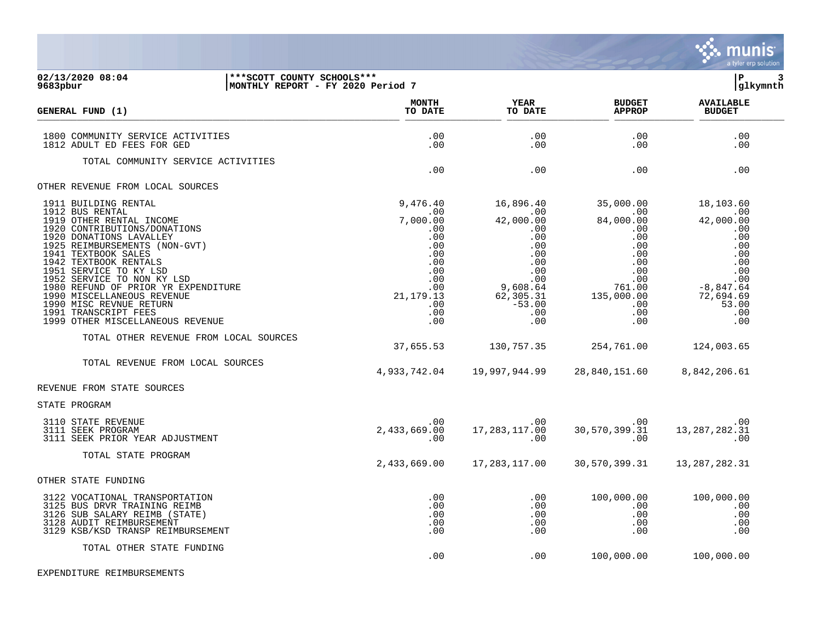

.00 .00 100,000.00 100,000.00

| 02/13/2020 08:04<br>9683pbur                                                                                                                                                                                                                                                                                                                                                                                                                                                                                      | *** SCOTT COUNTY SCHOOLS ***<br> MONTHLY REPORT - FY 2020 Period 7 |                                                                                                                                                      |                                                                                                                                                                  |                                                                                                                                                            | ΙP<br>З<br>glkymnth                                                                                                                                             |
|-------------------------------------------------------------------------------------------------------------------------------------------------------------------------------------------------------------------------------------------------------------------------------------------------------------------------------------------------------------------------------------------------------------------------------------------------------------------------------------------------------------------|--------------------------------------------------------------------|------------------------------------------------------------------------------------------------------------------------------------------------------|------------------------------------------------------------------------------------------------------------------------------------------------------------------|------------------------------------------------------------------------------------------------------------------------------------------------------------|-----------------------------------------------------------------------------------------------------------------------------------------------------------------|
| GENERAL FUND (1)                                                                                                                                                                                                                                                                                                                                                                                                                                                                                                  |                                                                    | <b>MONTH</b><br>TO DATE                                                                                                                              | <b>YEAR</b><br>TO DATE                                                                                                                                           | <b>BUDGET</b><br><b>APPROP</b>                                                                                                                             | <b>AVAILABLE</b><br><b>BUDGET</b>                                                                                                                               |
| 1800 COMMUNITY SERVICE ACTIVITIES<br>1812 ADULT ED FEES FOR GED                                                                                                                                                                                                                                                                                                                                                                                                                                                   |                                                                    | .00<br>.00                                                                                                                                           | .00<br>.00                                                                                                                                                       | .00<br>.00                                                                                                                                                 | .00<br>.00                                                                                                                                                      |
| TOTAL COMMUNITY SERVICE ACTIVITIES                                                                                                                                                                                                                                                                                                                                                                                                                                                                                |                                                                    | .00                                                                                                                                                  | .00                                                                                                                                                              | .00                                                                                                                                                        | .00                                                                                                                                                             |
| OTHER REVENUE FROM LOCAL SOURCES                                                                                                                                                                                                                                                                                                                                                                                                                                                                                  |                                                                    |                                                                                                                                                      |                                                                                                                                                                  |                                                                                                                                                            |                                                                                                                                                                 |
| 1911 BUILDING RENTAL<br>1912 BUS RENTAL<br>1919 OTHER RENTAL INCOME<br>1920 CONTRIBUTIONS/DONATIONS<br>1920 DONATIONS LAVALLEY<br>1925 REIMBURSEMENTS (NON-GVT)<br>1941 TEXTBOOK SALES<br>1942 TEXTBOOK RENTALS<br>1951 SERVICE TO KY LSD<br>1952 SERVICE TO NON KY LSD<br>1980 REFUND OF PRIOR YR EXPENDITURE<br>1990 MISCELLANEOUS REVENUE<br>1990 MISC REVNUE RETURN<br>1991 TRANSCRIPT FEES<br>1999 OTHER MISCELLANEOUS REVENUE<br>TOTAL OTHER REVENUE FROM LOCAL SOURCES<br>TOTAL REVENUE FROM LOCAL SOURCES |                                                                    | 9,476.40<br>.00<br>7,000.00<br>.00<br>.00<br>.00<br>.00<br>.00<br>.00<br>.00<br>.00<br>21, 179. 13<br>.00<br>.00<br>.00<br>37,655.53<br>4,933,742.04 | 16,896.40<br>.00<br>42,000.00<br>.00<br>.00<br>.00<br>.00<br>.00<br>.00<br>.00<br>9,608.64<br>62,305.31<br>$-53.00$<br>.00<br>.00<br>130,757.35<br>19,997,944.99 | 35,000.00<br>.00<br>84,000.00<br>.00<br>.00<br>.00<br>.00<br>.00<br>.00<br>.00<br>761.00<br>135,000.00<br>.00<br>.00<br>.00<br>254,761.00<br>28,840,151.60 | 18,103.60<br>.00<br>42,000.00<br>.00<br>.00<br>.00<br>.00<br>.00<br>.00<br>.00<br>$-8,847.64$<br>72,694.69<br>53.00<br>.00<br>.00<br>124,003.65<br>8,842,206.61 |
| REVENUE FROM STATE SOURCES                                                                                                                                                                                                                                                                                                                                                                                                                                                                                        |                                                                    |                                                                                                                                                      |                                                                                                                                                                  |                                                                                                                                                            |                                                                                                                                                                 |
| STATE PROGRAM                                                                                                                                                                                                                                                                                                                                                                                                                                                                                                     |                                                                    |                                                                                                                                                      |                                                                                                                                                                  |                                                                                                                                                            |                                                                                                                                                                 |
| 3110 STATE REVENUE<br>3111 SEEK PROGRAM<br>3111 SEEK PRIOR YEAR ADJUSTMENT                                                                                                                                                                                                                                                                                                                                                                                                                                        |                                                                    | .00<br>2,433,669.00<br>.00                                                                                                                           | $.00 \,$<br>17, 283, 117.00<br>.00                                                                                                                               | $.00 \,$<br>30,570,399.31<br>.00                                                                                                                           | .00<br>13, 287, 282.31<br>.00                                                                                                                                   |
| TOTAL STATE PROGRAM                                                                                                                                                                                                                                                                                                                                                                                                                                                                                               |                                                                    | 2,433,669.00                                                                                                                                         | 17,283,117.00                                                                                                                                                    | 30,570,399.31                                                                                                                                              | 13, 287, 282.31                                                                                                                                                 |
| OTHER STATE FUNDING                                                                                                                                                                                                                                                                                                                                                                                                                                                                                               |                                                                    |                                                                                                                                                      |                                                                                                                                                                  |                                                                                                                                                            |                                                                                                                                                                 |
| 3122 VOCATIONAL TRANSPORTATION<br>3125 BUS DRVR TRAINING REIMB<br>3126 SUB SALARY REIMB (STATE)<br>3128 AUDIT REIMBURSEMENT<br>3129 KSB/KSD TRANSP REIMBURSEMENT                                                                                                                                                                                                                                                                                                                                                  |                                                                    | .00<br>.00<br>.00<br>.00<br>.00                                                                                                                      | $.00 \,$<br>.00<br>.00<br>.00<br>.00                                                                                                                             | 100,000.00<br>.00<br>.00<br>.00<br>.00                                                                                                                     | 100,000.00<br>.00<br>.00<br>.00<br>.00                                                                                                                          |

TOTAL OTHER STATE FUNDING

EXPENDITURE REIMBURSEMENTS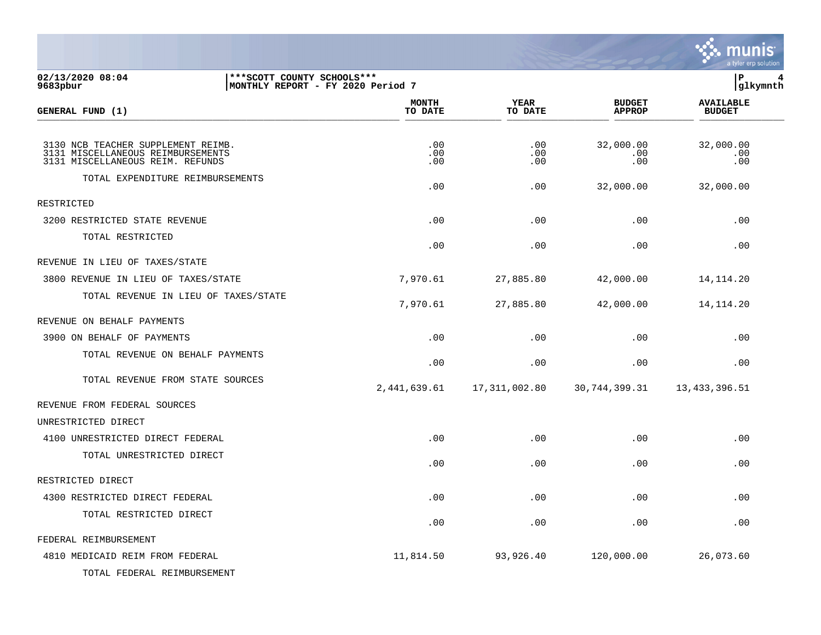

| 02/13/2020 08:04<br>9683pbur                                                                                | *** SCOTT COUNTY SCHOOLS ***<br>MONTHLY REPORT - FY 2020 Period 7 |                        |                                | lР<br> glkymnth                   |  |
|-------------------------------------------------------------------------------------------------------------|-------------------------------------------------------------------|------------------------|--------------------------------|-----------------------------------|--|
| GENERAL FUND (1)                                                                                            | <b>MONTH</b><br>TO DATE                                           | <b>YEAR</b><br>TO DATE | <b>BUDGET</b><br><b>APPROP</b> | <b>AVAILABLE</b><br><b>BUDGET</b> |  |
|                                                                                                             |                                                                   |                        |                                |                                   |  |
| 3130 NCB TEACHER SUPPLEMENT REIMB.<br>3131 MISCELLANEOUS REIMBURSEMENTS<br>3131 MISCELLANEOUS REIM. REFUNDS | .00<br>.00<br>.00                                                 | .00<br>.00<br>.00      | 32,000.00<br>.00<br>.00        | 32,000.00<br>.00<br>.00           |  |
| TOTAL EXPENDITURE REIMBURSEMENTS                                                                            | .00                                                               | .00                    | 32,000.00                      | 32,000.00                         |  |
| <b>RESTRICTED</b>                                                                                           |                                                                   |                        |                                |                                   |  |
| 3200 RESTRICTED STATE REVENUE                                                                               | .00                                                               | .00                    | .00                            | .00                               |  |
| TOTAL RESTRICTED                                                                                            | .00                                                               | .00                    | .00                            | .00                               |  |
| REVENUE IN LIEU OF TAXES/STATE                                                                              |                                                                   |                        |                                |                                   |  |
| 3800 REVENUE IN LIEU OF TAXES/STATE                                                                         | 7,970.61                                                          | 27,885.80              | 42,000.00                      | 14, 114. 20                       |  |
| TOTAL REVENUE IN LIEU OF TAXES/STATE                                                                        | 7,970.61                                                          | 27,885.80              | 42,000.00                      | 14, 114. 20                       |  |
| REVENUE ON BEHALF PAYMENTS                                                                                  |                                                                   |                        |                                |                                   |  |
| 3900 ON BEHALF OF PAYMENTS                                                                                  | .00                                                               | .00                    | .00                            | .00                               |  |
| TOTAL REVENUE ON BEHALF PAYMENTS                                                                            | .00                                                               | .00                    | .00                            | .00                               |  |
| TOTAL REVENUE FROM STATE SOURCES                                                                            | 2,441,639.61                                                      | 17,311,002.80          | 30, 744, 399.31                | 13,433,396.51                     |  |
| REVENUE FROM FEDERAL SOURCES                                                                                |                                                                   |                        |                                |                                   |  |
| UNRESTRICTED DIRECT                                                                                         |                                                                   |                        |                                |                                   |  |
| 4100 UNRESTRICTED DIRECT FEDERAL                                                                            | .00                                                               | .00                    | .00                            | .00                               |  |
| TOTAL UNRESTRICTED DIRECT                                                                                   | .00                                                               | .00                    | .00                            | .00                               |  |
| RESTRICTED DIRECT                                                                                           |                                                                   |                        |                                |                                   |  |
| 4300 RESTRICTED DIRECT FEDERAL                                                                              | .00                                                               | .00                    | .00                            | .00                               |  |
| TOTAL RESTRICTED DIRECT                                                                                     | .00                                                               | .00                    | .00                            | .00                               |  |
| FEDERAL REIMBURSEMENT                                                                                       |                                                                   |                        |                                |                                   |  |
| 4810 MEDICAID REIM FROM FEDERAL                                                                             | 11,814.50                                                         | 93,926.40              | 120,000.00                     | 26,073.60                         |  |

TOTAL FEDERAL REIMBURSEMENT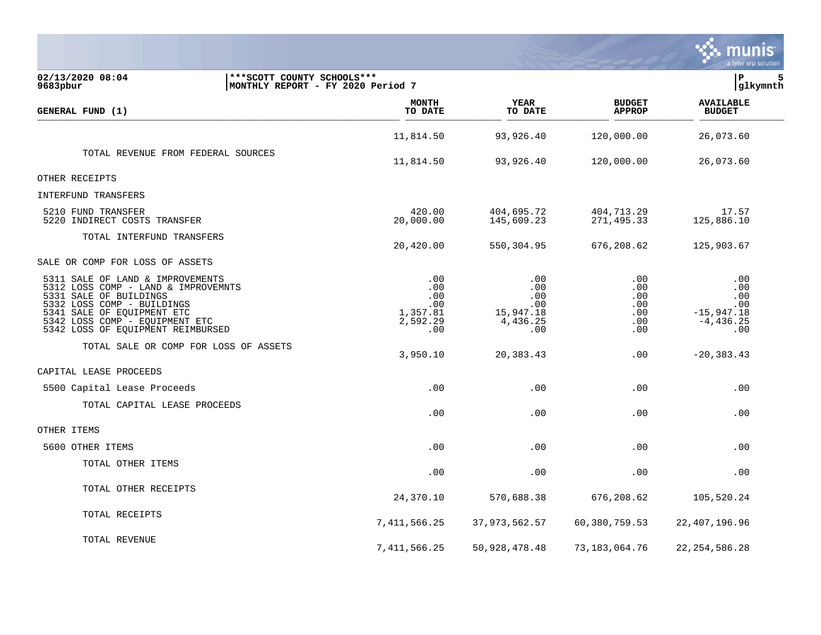|                                                                                                                                                                                                                                      |                                                                   |                                                         |                                                          |                                               | a tyler erp solution                                            |
|--------------------------------------------------------------------------------------------------------------------------------------------------------------------------------------------------------------------------------------|-------------------------------------------------------------------|---------------------------------------------------------|----------------------------------------------------------|-----------------------------------------------|-----------------------------------------------------------------|
| 02/13/2020 08:04<br>9683pbur                                                                                                                                                                                                         | *** SCOTT COUNTY SCHOOLS ***<br>MONTHLY REPORT - FY 2020 Period 7 |                                                         |                                                          |                                               | lР<br>5<br> glkymnth                                            |
| GENERAL FUND (1)                                                                                                                                                                                                                     |                                                                   | MONTH<br>TO DATE                                        | <b>YEAR</b><br>TO DATE                                   | <b>BUDGET</b><br><b>APPROP</b>                | <b>AVAILABLE</b><br><b>BUDGET</b>                               |
|                                                                                                                                                                                                                                      |                                                                   | 11,814.50                                               | 93,926.40                                                | 120,000.00                                    | 26,073.60                                                       |
| TOTAL REVENUE FROM FEDERAL SOURCES                                                                                                                                                                                                   |                                                                   | 11,814.50                                               | 93,926.40                                                | 120,000.00                                    | 26,073.60                                                       |
| OTHER RECEIPTS                                                                                                                                                                                                                       |                                                                   |                                                         |                                                          |                                               |                                                                 |
| <b>INTERFUND TRANSFERS</b>                                                                                                                                                                                                           |                                                                   |                                                         |                                                          |                                               |                                                                 |
| 5210 FUND TRANSFER<br>5220 INDIRECT COSTS TRANSFER                                                                                                                                                                                   |                                                                   | 420.00<br>20,000.00                                     | 404,695.72<br>145,609.23                                 | 404,713.29<br>271,495.33                      | 17.57<br>125,886.10                                             |
| TOTAL INTERFUND TRANSFERS                                                                                                                                                                                                            |                                                                   | 20,420.00                                               | 550,304.95                                               | 676,208.62                                    | 125,903.67                                                      |
| SALE OR COMP FOR LOSS OF ASSETS                                                                                                                                                                                                      |                                                                   |                                                         |                                                          |                                               |                                                                 |
| 5311 SALE OF LAND & IMPROVEMENTS<br>5312 LOSS COMP - LAND & IMPROVEMNTS<br>5331 SALE OF BUILDINGS<br>5332 LOSS COMP - BUILDINGS<br>5341 SALE OF EQUIPMENT ETC<br>5342 LOSS COMP - EQUIPMENT ETC<br>5342 LOSS OF EQUIPMENT REIMBURSED |                                                                   | .00<br>.00<br>.00<br>.00<br>1,357.81<br>2,592.29<br>.00 | .00<br>.00<br>.00<br>.00<br>15,947.18<br>4,436.25<br>.00 | .00<br>.00<br>.00<br>.00<br>.00<br>.00<br>.00 | .00<br>.00<br>.00<br>.00<br>$-15,947.18$<br>$-4, 436.25$<br>.00 |
| TOTAL SALE OR COMP FOR LOSS OF ASSETS                                                                                                                                                                                                |                                                                   | 3,950.10                                                | 20,383.43                                                | .00                                           | $-20, 383.43$                                                   |
| CAPITAL LEASE PROCEEDS                                                                                                                                                                                                               |                                                                   |                                                         |                                                          |                                               |                                                                 |
| 5500 Capital Lease Proceeds                                                                                                                                                                                                          |                                                                   | .00                                                     | .00                                                      | .00                                           | .00                                                             |
| TOTAL CAPITAL LEASE PROCEEDS                                                                                                                                                                                                         |                                                                   | .00                                                     | .00                                                      | .00                                           | .00                                                             |
| OTHER ITEMS                                                                                                                                                                                                                          |                                                                   |                                                         |                                                          |                                               |                                                                 |
| 5600 OTHER ITEMS                                                                                                                                                                                                                     |                                                                   | .00                                                     | .00                                                      | .00                                           | .00                                                             |
| TOTAL OTHER ITEMS                                                                                                                                                                                                                    |                                                                   | .00                                                     | .00                                                      | .00                                           | .00                                                             |
| TOTAL OTHER RECEIPTS                                                                                                                                                                                                                 |                                                                   | 24,370.10                                               | 570,688.38                                               | 676, 208.62                                   | 105,520.24                                                      |
| TOTAL RECEIPTS                                                                                                                                                                                                                       |                                                                   | 7,411,566.25                                            | 37, 973, 562.57                                          | 60,380,759.53                                 | 22,407,196.96                                                   |
| TOTAL REVENUE                                                                                                                                                                                                                        |                                                                   | 7,411,566.25                                            | 50, 928, 478. 48                                         | 73,183,064.76                                 | 22, 254, 586. 28                                                |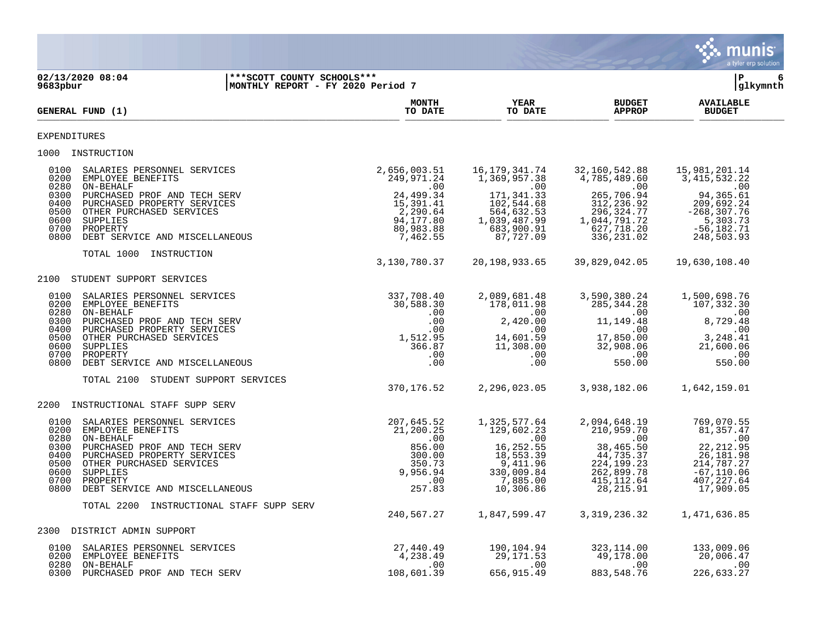|                                                                                                                                                                                                                                                                                                   |                                                                                                          |                                                                                                                                                                      |                                                                                                                                    | munis<br>a tyler erp solution                                                                                                         |
|---------------------------------------------------------------------------------------------------------------------------------------------------------------------------------------------------------------------------------------------------------------------------------------------------|----------------------------------------------------------------------------------------------------------|----------------------------------------------------------------------------------------------------------------------------------------------------------------------|------------------------------------------------------------------------------------------------------------------------------------|---------------------------------------------------------------------------------------------------------------------------------------|
| 02/13/2020 08:04<br>9683pbur                                                                                                                                                                                                                                                                      | *** SCOTT COUNTY SCHOOLS ***<br>MONTHLY REPORT - FY 2020 Period 7                                        |                                                                                                                                                                      |                                                                                                                                    | ΙP<br>6<br> glkymnth                                                                                                                  |
| GENERAL FUND (1)                                                                                                                                                                                                                                                                                  | <b>MONTH</b><br>TO DATE                                                                                  | <b>YEAR</b><br>TO DATE                                                                                                                                               | <b>BUDGET</b><br><b>APPROP</b>                                                                                                     | <b>AVAILABLE</b><br><b>BUDGET</b>                                                                                                     |
| EXPENDITURES                                                                                                                                                                                                                                                                                      |                                                                                                          |                                                                                                                                                                      |                                                                                                                                    |                                                                                                                                       |
| 1000 INSTRUCTION                                                                                                                                                                                                                                                                                  |                                                                                                          |                                                                                                                                                                      |                                                                                                                                    |                                                                                                                                       |
| 0100<br>SALARIES PERSONNEL SERVICES<br>0200<br>EMPLOYEE BENEFITS<br>0280<br>ON-BEHALF<br>0300<br>PURCHASED PROF AND TECH SERV<br>PURCHASED PROPERTY SERVICES<br>0400<br>0500<br>OTHER PURCHASED SERVICES<br>0600<br>SUPPLIES<br>0700<br>PROPERTY<br>0800<br>DEBT SERVICE AND MISCELLANEOUS        | 2,656,003.51<br>249,971.24<br>24, 499.34<br>15, 391.41<br>2,290.64<br>94,177.80<br>80,983.88<br>7,462.55 | 16,179,341.74<br>1,369,957.38<br>.00<br>$\overline{a}$ . 00<br>171, 341.33<br>102,544.68<br>564,632.53<br>1,039,487.99<br>683,900.91<br>87,727.09                    | 32,160,542.88<br>4,785,489.60<br>$\sim$ 00<br>265,706.94<br>312, 236.92<br>296, 324.77<br>1,044,791.72<br>627,718.20<br>336,231.02 | 15,981,201.14<br>3, 415, 532.22<br>$\sim 00$<br>94, 365.61<br>209,692.24<br>$-268, 307.76$<br>5,303.73<br>$-56, 182.71$<br>248,503.93 |
| TOTAL 1000<br>INSTRUCTION                                                                                                                                                                                                                                                                         | 3,130,780.37                                                                                             | 20,198,933.65                                                                                                                                                        | 39,829,042.05                                                                                                                      | 19,630,108.40                                                                                                                         |
| 2100<br>STUDENT SUPPORT SERVICES                                                                                                                                                                                                                                                                  |                                                                                                          |                                                                                                                                                                      |                                                                                                                                    |                                                                                                                                       |
| 0100<br>SALARIES PERSONNEL SERVICES<br>0200<br>EMPLOYEE BENEFITS<br>0280<br>ON-BEHALF<br>0300<br>PURCHASED PROF AND TECH SERV<br>0400<br>PURCHASED PROPERTY SERVICES<br>0500<br>OTHER PURCHASED SERVICES<br>0600<br>SUPPLIES<br>0700<br>PROPERTY<br>0800<br>DEBT SERVICE AND MISCELLANEOUS        | 337,708.40<br>30,588.30<br>1,512.95                                                                      | 2,089,681.48<br>178,011.98<br>.00<br>.00<br>2,420.00<br>.00<br>.00<br>.00<br>14,601.59<br>366.87<br>11,308.00<br>.00<br>.00<br>.00<br>.00                            | 3,590,380.24<br>285, 344. 28<br>.00<br>11, 149.48<br>.00<br>17,850.00<br>32,908.06<br>.00<br>550.00                                | 1,500,698.76<br>107,332.30<br>.00<br>8,729.48<br>.00<br>3,248.41<br>21,600.06<br>.00<br>550.00                                        |
| TOTAL 2100<br>STUDENT SUPPORT SERVICES                                                                                                                                                                                                                                                            | 370,176.52                                                                                               | 2,296,023.05                                                                                                                                                         | 3,938,182.06                                                                                                                       | 1,642,159.01                                                                                                                          |
| 2200<br>INSTRUCTIONAL STAFF SUPP SERV                                                                                                                                                                                                                                                             |                                                                                                          |                                                                                                                                                                      |                                                                                                                                    |                                                                                                                                       |
| 0100<br>SALARIES PERSONNEL SERVICES<br>0200<br>EMPLOYEE BENEFITS<br>0280<br>ON-BEHALF<br>0300<br>PURCHASED PROF AND TECH SERV<br>0400<br>PURCHASED PROPERTY SERVICES<br>0500<br>OTHER PURCHASED SERVICES<br>0600<br><b>SUPPLIES</b><br>0700<br>PROPERTY<br>0800<br>DEBT SERVICE AND MISCELLANEOUS | 207,645.52<br>21,200.25<br>9,956.94                                                                      | 1,325,577.64<br>129,602.23<br>.00<br>.00<br>856.00<br>16,252.55<br>300.00<br>18,553.39<br>350.73<br>9,411.96<br>330,009.84<br>.00<br>7,885.00<br>257.83<br>10,306.86 | 2,094,648.19<br>210,959.70<br>$.00 \,$<br>38,465.50<br>44,735.37<br>224, 199. 23<br>262,899.78<br>415, 112.64<br>28, 215.91        | 769,070.55<br>81, 357.47<br>.00<br>22, 212.95<br>26,181.98<br>214,787.27<br>$-67, 110.06$<br>407, 227.64<br>17,909.05                 |
| TOTAL 2200                                                                                                                                                                                                                                                                                        | INSTRUCTIONAL STAFF SUPP SERV<br>240,567.27                                                              | 1,847,599.47                                                                                                                                                         | 3, 319, 236.32                                                                                                                     | 1,471,636.85                                                                                                                          |
| 2300 DISTRICT ADMIN SUPPORT                                                                                                                                                                                                                                                                       |                                                                                                          |                                                                                                                                                                      |                                                                                                                                    |                                                                                                                                       |
| 0100<br>SALARIES PERSONNEL SERVICES<br>0200<br>EMPLOYEE BENEFITS<br>ON-BEHALF<br>0280<br>0300<br>PURCHASED PROF AND TECH SERV                                                                                                                                                                     | 27,440.49<br>4,238.49<br>108,601.39                                                                      | 190,104.94<br>29,171.53<br>.00<br>.00<br>656,915.49                                                                                                                  | 323, 114.00<br>49,178.00<br>$.00 \,$<br>883, 548.76                                                                                | 133,009.06<br>20,006.47<br>.00<br>226,633.27                                                                                          |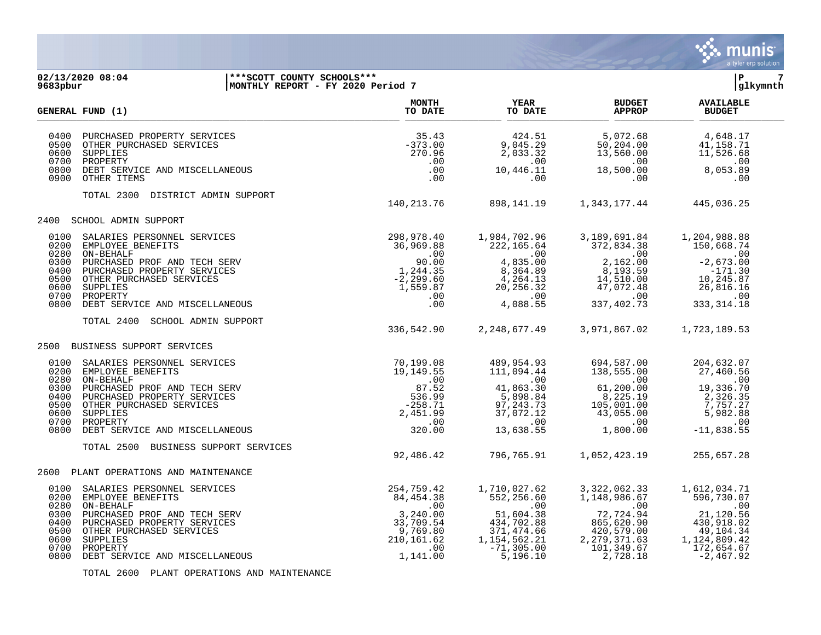

**02/13/2020 08:04 |\*\*\*SCOTT COUNTY SCHOOLS\*\*\* |P 7 MONTHLY REPORT - FY 2020 Period 7 MONTH AVAILABLE YEAR BUDGET** AVAILABLE **GENERAL FUND (1) TO DATE TO DATE APPROP BUDGET**   $\frac{10 \text{ Bheb}}{10 \text{ Bheb}}$  0400 PURCHASED PROPERTY SERVICES 35.43 424.51 5,072.68 4,648.17 0500 OTHER PURCHASED SERVICES -373.00 9,045.29 50,204.00 41,158.71<br>0600 SUPPLIES -373.00 9,045.29 50,203.32 13,560.00 11,526.68 0600 SUPPLIES 270.96 2,033.32 13,560.00 11,526.68 0700 PROPERTY .00 .00 .00 .00 0800 DEBT SERVICE AND MISCELLANEOUS .00 10,446.11 18,500.00 8,053.89 0900 OTHER ITEMS TOTAL 2300 DISTRICT ADMIN SUPPORT 140,213.76 898,141.19 1,343,177.44 445,036.25 2400 SCHOOL ADMIN SUPPORT 0100 SALARIES PERSONNEL SERVICES 298,978.40 1,984,702.96 3,189,691.84 1,204,988.88 0200 EMPLOYEE BENEFITS 36,969.88 222,165.64 372,834.38 150,668.74 0280 ON-BEHALF .00 .00 .00 .00 0300 PURCHASED PROF AND TECH SERV 90.00 4,835.00 2,162.00 -2,673.00

## 0400 PURCHASED PROPERTY SERVICES 1,244.35 8,364.89 8,193.59 -171.30 0500 OTHER PURCHASED SERVICES -2,299.60 4,264.13 14,510.00 10,245.87<br>0600 OUPPLIES 26,816.16 1,559.87 20,256.32 47,072.48 26,816.16 0600 SUPPLIES 1,559.87 20,256.32 47,072.48 26,816.16

| TOTAL 2400 |  | SCHOOL ADMIN SUPPORT |
|------------|--|----------------------|

## 2500 BUSINESS SUPPORT SERVICES

| 0100<br>SALARIES PERSONNEL SERVICES<br>0200<br>EMPLOYEE BENEFITS                            | 70,199.08<br>19,149.55          | 489,954.93<br>111,094.44           | 694,587.00                                 | 204,632.07                        |
|---------------------------------------------------------------------------------------------|---------------------------------|------------------------------------|--------------------------------------------|-----------------------------------|
|                                                                                             |                                 |                                    | 138,555.00                                 | 27,460.56                         |
| 0280<br>ON-BEHALF<br>0300<br>PURCHASED PROF AND TECH SERV                                   | .00<br>87.52                    | $.00 \,$<br>41,863.30              | $.00 \,$<br>61,200.00                      | .00<br>19,336.70                  |
| 0400<br>PURCHASED PROPERTY SERVICES<br>0500<br>OTHER PURCHASED SERVICES<br>0600<br>SUPPLIES | 536.99<br>$-258.71$<br>2,451.99 | 5,898.84<br>97,243.73<br>37,072.12 | 8,225.19<br>105,001.00<br>43,055.00        | 2,326.35<br>7,757.27<br>5,982.88  |
| 0700<br>PROPERTY                                                                            | .00                             | $.00 \,$                           | .00                                        | .00                               |
| 0800<br>DEBT SERVICE AND MISCELLANEOUS                                                      | 320.00                          | 13,638.55                          | 1,800.00                                   | $-11,838.55$                      |
| TOTAL 2500<br>BUSINESS SUPPORT SERVICES                                                     | 92,486.42                       | 796,765.91                         | 1,052,423.19                               | 255,657.28                        |
| 2600<br>PLANT OPERATIONS AND MAINTENANCE                                                    |                                 |                                    |                                            |                                   |
| 0100<br>SALARIES PERSONNEL SERVICES<br>0200<br>EMPLOYEE BENEFITS<br>0280<br>ON-BEHALF       | 254,759.42<br>84,454.38<br>.00  | 1,710,027.62<br>552,256.60<br>.00  | 3, 322, 062.33<br>1,148,986.67<br>$.00 \,$ | 1,612,034.71<br>596,730.07<br>.00 |
| 0300<br>PURCHASED PROF AND TECH SERV<br>0400<br>PURCHASED PROPERTY SERVICES                 | 3,240.00<br>33,709.54           | 51,604.38<br>434,702.88            | 72,724.94<br>865,620.90                    | 21,120.56<br>430,918.02           |
| 0500<br>OTHER PURCHASED SERVICES<br>0600<br>SUPPLIES                                        | 9,769.80<br>210,161.62          | 371,474.66<br>1,154,562.21         | 420,579.00<br>2, 279, 371.63               | 49,104.34<br>1,124,809.42         |
| 0700<br>PROPERTY<br>0800<br>DEBT SERVICE AND MISCELLANEOUS                                  | .00<br>1,141.00                 | $-71, 305.00$<br>5,196.10          | 101,349.67<br>2,728.18                     | 172,654.67<br>$-2.467.92$         |

 0700 PROPERTY .00 .00 .00 .00 0800 DEBT SERVICE AND MISCELLANEOUS .00 4,088.55 337,402.73 333,314.18

336,542.90 2,248,677.49 3,971,867.02 1,723,189.53

TOTAL 2600 PLANT OPERATIONS AND MAINTENANCE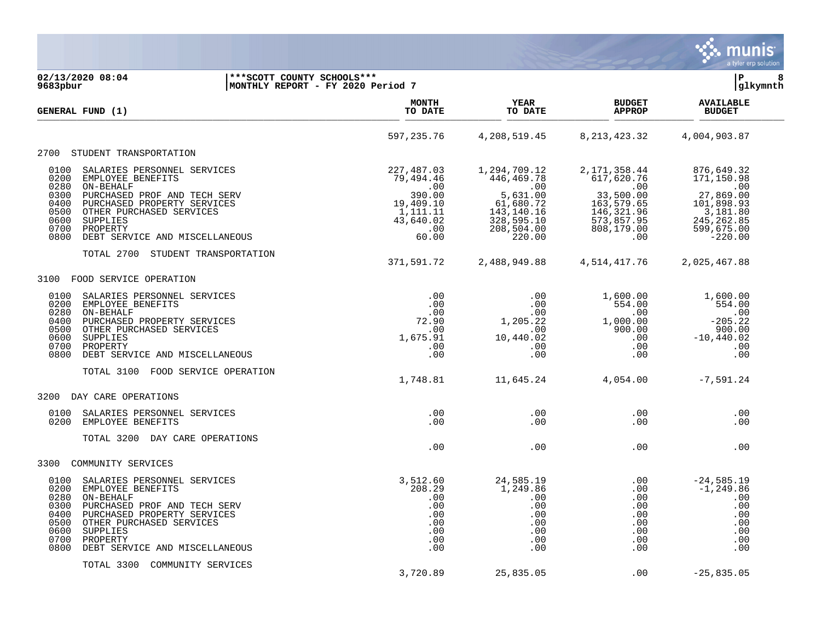

| GENERAL FUND (1)                                                                                                                                                                                                                                                                           | <b>MONTH</b><br>TO DATE                                                                                                 | <b>YEAR</b><br>TO DATE                                                                                                 | <b>BUDGET</b><br><b>APPROP</b>                                                                                          | <b>AVAILABLE</b><br><b>BUDGET</b>                                                                                      |
|--------------------------------------------------------------------------------------------------------------------------------------------------------------------------------------------------------------------------------------------------------------------------------------------|-------------------------------------------------------------------------------------------------------------------------|------------------------------------------------------------------------------------------------------------------------|-------------------------------------------------------------------------------------------------------------------------|------------------------------------------------------------------------------------------------------------------------|
|                                                                                                                                                                                                                                                                                            | 597,235.76                                                                                                              | 4,208,519.45                                                                                                           | 8, 213, 423. 32                                                                                                         | 4,004,903.87                                                                                                           |
| STUDENT TRANSPORTATION<br>2700                                                                                                                                                                                                                                                             |                                                                                                                         |                                                                                                                        |                                                                                                                         |                                                                                                                        |
| 0100<br>SALARIES PERSONNEL SERVICES<br>0200<br>EMPLOYEE BENEFITS<br>0280<br>ON-BEHALF<br>PURCHASED PROF AND TECH SERV<br>0300<br>0400<br>PURCHASED PROPERTY SERVICES<br>0500<br>OTHER PURCHASED SERVICES<br>0600<br>SUPPLIES<br>0700<br>PROPERTY<br>0800<br>DEBT SERVICE AND MISCELLANEOUS | 227,487.03<br>79,494.46<br>$\overline{\phantom{0}}$ .00<br>390.00<br>19,409.10<br>1,111.11<br>43,640.02<br>.00<br>60.00 | 1,294,709.12<br>446,469.78<br>$\sim 00$<br>5,631.00<br>61,680.72<br>143, 140. 16<br>328,595.10<br>208,504.00<br>220.00 | 2, 171, 358.44<br>617,620.76<br>$\sim 00$<br>33,500.00<br>163, 579.65<br>146, 321.96<br>573,857.95<br>808,179.00<br>.00 | 876,649.32<br>171,150.98<br>$\sim 00$<br>27,869.00<br>101,898.93<br>3,181.80<br>245, 262.85<br>599,675.00<br>$-220.00$ |
| STUDENT TRANSPORTATION<br>TOTAL 2700                                                                                                                                                                                                                                                       | 371,591.72                                                                                                              | 2,488,949.88                                                                                                           | 4,514,417.76                                                                                                            | 2,025,467.88                                                                                                           |
| 3100<br>FOOD SERVICE OPERATION                                                                                                                                                                                                                                                             |                                                                                                                         |                                                                                                                        |                                                                                                                         |                                                                                                                        |
| 0100<br>SALARIES PERSONNEL SERVICES<br>0200<br>EMPLOYEE BENEFITS<br>0280<br>ON-BEHALF<br>0400<br>PURCHASED PROPERTY SERVICES<br>0500<br>OTHER PURCHASED SERVICES<br>0600<br>SUPPLIES<br>0700<br>PROPERTY<br>0800<br>DEBT SERVICE AND MISCELLANEOUS                                         | .00<br>.00<br>.00<br>72.90<br>.00<br>1,675.91<br>.00<br>.00                                                             | $.00 \,$<br>$.00 \,$<br>.00<br>1,205.22<br>.00<br>10,440.02<br>.00<br>.00                                              | 1,600.00<br>554.00<br>.00<br>1,000.00<br>900.00<br>.00<br>.00<br>.00                                                    | 1,600.00<br>554.00<br>$\overline{\phantom{0}}$ .00<br>$-205.22$<br>900.00<br>$-10,440.02$<br>.00<br>.00                |
| TOTAL 3100<br>FOOD SERVICE OPERATION                                                                                                                                                                                                                                                       | 1,748.81                                                                                                                | 11,645.24                                                                                                              | 4,054.00                                                                                                                | $-7,591.24$                                                                                                            |
| 3200<br>DAY CARE OPERATIONS                                                                                                                                                                                                                                                                |                                                                                                                         |                                                                                                                        |                                                                                                                         |                                                                                                                        |
| 0100<br>SALARIES PERSONNEL SERVICES<br>0200<br>EMPLOYEE BENEFITS                                                                                                                                                                                                                           | .00<br>.00                                                                                                              | .00<br>.00                                                                                                             | .00<br>.00                                                                                                              | .00<br>.00                                                                                                             |
| TOTAL 3200<br>DAY CARE OPERATIONS                                                                                                                                                                                                                                                          | .00                                                                                                                     | .00                                                                                                                    | .00                                                                                                                     | .00                                                                                                                    |
| 3300 COMMUNITY SERVICES                                                                                                                                                                                                                                                                    |                                                                                                                         |                                                                                                                        |                                                                                                                         |                                                                                                                        |
| 0100<br>SALARIES PERSONNEL SERVICES<br>0200<br>EMPLOYEE BENEFITS<br>ON-BEHALF<br>0280<br>PURCHASED PROF AND TECH SERV<br>0300<br>0400<br>PURCHASED PROPERTY SERVICES<br>0500<br>OTHER PURCHASED SERVICES<br>0600<br>SUPPLIES<br>0700<br>PROPERTY<br>0800<br>DEBT SERVICE AND MISCELLANEOUS | 3,512.60<br>208.29<br>.00<br>.00<br>.00<br>.00<br>.00<br>.00<br>.00                                                     | 24,585.19<br>1,249.86<br>$.00 \,$<br>.00<br>.00<br>.00<br>.00<br>.00<br>.00                                            | .00<br>.00<br>.00<br>.00<br>.00<br>.00<br>.00<br>.00<br>.00                                                             | $-24,585.19$<br>$-1, 249.86$<br>.00<br>.00<br>.00<br>.00<br>.00<br>.00<br>.00                                          |
| TOTAL 3300<br>COMMUNITY SERVICES                                                                                                                                                                                                                                                           | 3,720.89                                                                                                                | 25,835.05                                                                                                              | .00                                                                                                                     | $-25, 835.05$                                                                                                          |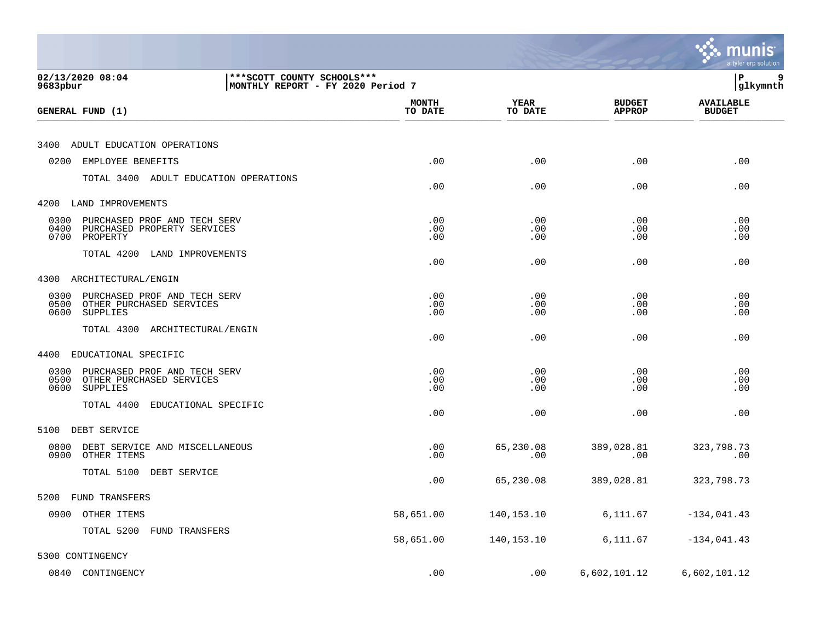|                                                                                                     |                         |                   |                                | munis<br>a tyler erp solution     |
|-----------------------------------------------------------------------------------------------------|-------------------------|-------------------|--------------------------------|-----------------------------------|
| *** SCOTT COUNTY SCHOOLS ***<br>02/13/2020 08:04<br>MONTHLY REPORT - FY 2020 Period 7<br>9683pbur   |                         |                   |                                | lР<br>9<br> glkymnth              |
| GENERAL FUND (1)                                                                                    | <b>MONTH</b><br>TO DATE | YEAR<br>TO DATE   | <b>BUDGET</b><br><b>APPROP</b> | <b>AVAILABLE</b><br><b>BUDGET</b> |
| 3400<br>ADULT EDUCATION OPERATIONS                                                                  |                         |                   |                                |                                   |
| 0200<br>EMPLOYEE BENEFITS                                                                           | .00                     | .00               | .00                            | .00                               |
| TOTAL 3400 ADULT EDUCATION OPERATIONS                                                               | .00                     | .00               | .00                            | .00                               |
| LAND IMPROVEMENTS<br>4200                                                                           |                         |                   |                                |                                   |
| 0300<br>PURCHASED PROF AND TECH SERV<br>0400<br>PURCHASED PROPERTY SERVICES<br>0700<br>PROPERTY     | .00<br>.00<br>.00       | .00<br>.00<br>.00 | .00<br>.00<br>$.00 \,$         | .00<br>.00<br>.00                 |
| TOTAL 4200<br>LAND IMPROVEMENTS                                                                     | .00                     | .00               | .00                            | .00                               |
| 4300<br>ARCHITECTURAL/ENGIN                                                                         |                         |                   |                                |                                   |
| 0300<br>PURCHASED PROF AND TECH SERV<br>0500<br>OTHER PURCHASED SERVICES<br>0600<br><b>SUPPLIES</b> | .00<br>.00<br>.00       | .00<br>.00<br>.00 | .00<br>.00<br>$.00 \,$         | .00<br>.00<br>.00                 |
| TOTAL 4300<br>ARCHITECTURAL/ENGIN                                                                   | .00                     | .00               | .00                            | .00                               |
| 4400<br>EDUCATIONAL SPECIFIC                                                                        |                         |                   |                                |                                   |
| PURCHASED PROF AND TECH SERV<br>0300<br>0500<br>OTHER PURCHASED SERVICES<br>0600<br>SUPPLIES        | .00<br>.00<br>.00       | .00<br>.00<br>.00 | .00<br>$.00 \,$<br>.00         | .00<br>.00<br>.00                 |
| EDUCATIONAL SPECIFIC<br>TOTAL 4400                                                                  | .00                     | .00               | .00                            | .00                               |
| DEBT SERVICE<br>5100                                                                                |                         |                   |                                |                                   |
| 0800<br>DEBT SERVICE AND MISCELLANEOUS<br>0900<br>OTHER ITEMS                                       | .00<br>.00              | 65,230.08<br>.00  | 389,028.81<br>.00              | 323,798.73<br>.00                 |
| DEBT SERVICE<br>TOTAL 5100                                                                          | .00                     | 65,230.08         | 389,028.81                     | 323,798.73                        |
| 5200 FUND TRANSFERS                                                                                 |                         |                   |                                |                                   |
| 0900 OTHER ITEMS                                                                                    | 58,651.00               | 140,153.10        | 6, 111.67                      | $-134,041.43$                     |
| TOTAL 5200 FUND TRANSFERS                                                                           | 58,651.00               | 140,153.10        | 6, 111.67                      | $-134,041.43$                     |
| 5300 CONTINGENCY                                                                                    |                         |                   |                                |                                   |
| 0840 CONTINGENCY                                                                                    | .00                     | .00               | 6,602,101.12                   | 6,602,101.12                      |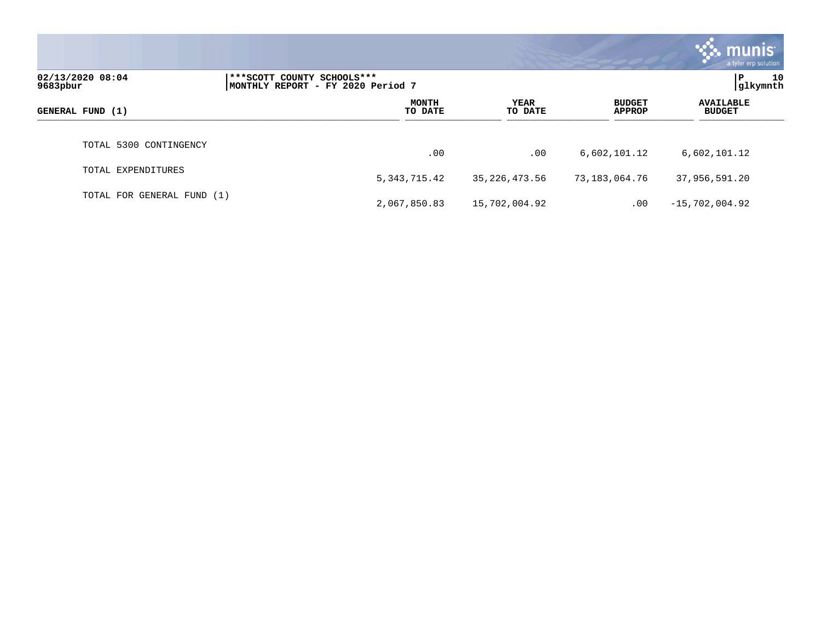|                              |                                                                 |                 |                                | munis <sup>®</sup><br>a tyler erp solution |
|------------------------------|-----------------------------------------------------------------|-----------------|--------------------------------|--------------------------------------------|
| 02/13/2020 08:04<br>9683pbur | ***SCOTT COUNTY SCHOOLS***<br>MONTHLY REPORT - FY 2020 Period 7 |                 |                                | 10<br>P<br>glkymnth                        |
| GENERAL FUND (1)             | <b>MONTH</b><br>TO DATE                                         | YEAR<br>TO DATE | <b>BUDGET</b><br><b>APPROP</b> | <b>AVAILABLE</b><br><b>BUDGET</b>          |
| TOTAL 5300 CONTINGENCY       | .00                                                             | .00             | 6,602,101.12                   | 6,602,101.12                               |
| TOTAL EXPENDITURES           | 5, 343, 715.42                                                  | 35, 226, 473.56 | 73,183,064.76                  | 37,956,591.20                              |
| TOTAL FOR GENERAL FUND (1)   | 2,067,850.83                                                    | 15,702,004.92   | .00                            | $-15,702,004.92$                           |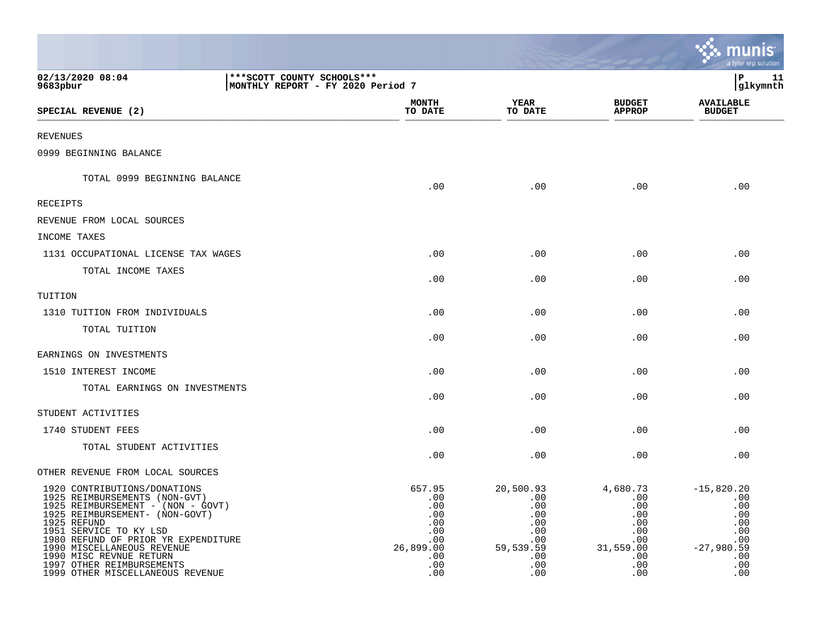|                                                                                                                                                                                                                                                                                                                                                |                                                                   |                                                                                    |                                                                                       |                                                                                      | <u>munis</u><br>a tyler erp solution                                                        |
|------------------------------------------------------------------------------------------------------------------------------------------------------------------------------------------------------------------------------------------------------------------------------------------------------------------------------------------------|-------------------------------------------------------------------|------------------------------------------------------------------------------------|---------------------------------------------------------------------------------------|--------------------------------------------------------------------------------------|---------------------------------------------------------------------------------------------|
| 02/13/2020 08:04<br>9683pbur                                                                                                                                                                                                                                                                                                                   | *** SCOTT COUNTY SCHOOLS ***<br>MONTHLY REPORT - FY 2020 Period 7 |                                                                                    |                                                                                       |                                                                                      | lР<br>11<br>glkymnth                                                                        |
| SPECIAL REVENUE (2)                                                                                                                                                                                                                                                                                                                            |                                                                   | <b>MONTH</b><br>TO DATE                                                            | <b>YEAR</b><br>TO DATE                                                                | <b>BUDGET</b><br><b>APPROP</b>                                                       | <b>AVAILABLE</b><br><b>BUDGET</b>                                                           |
| <b>REVENUES</b>                                                                                                                                                                                                                                                                                                                                |                                                                   |                                                                                    |                                                                                       |                                                                                      |                                                                                             |
| 0999 BEGINNING BALANCE                                                                                                                                                                                                                                                                                                                         |                                                                   |                                                                                    |                                                                                       |                                                                                      |                                                                                             |
| TOTAL 0999 BEGINNING BALANCE                                                                                                                                                                                                                                                                                                                   |                                                                   | .00                                                                                | .00                                                                                   | .00                                                                                  | .00                                                                                         |
| <b>RECEIPTS</b>                                                                                                                                                                                                                                                                                                                                |                                                                   |                                                                                    |                                                                                       |                                                                                      |                                                                                             |
| REVENUE FROM LOCAL SOURCES                                                                                                                                                                                                                                                                                                                     |                                                                   |                                                                                    |                                                                                       |                                                                                      |                                                                                             |
| INCOME TAXES                                                                                                                                                                                                                                                                                                                                   |                                                                   |                                                                                    |                                                                                       |                                                                                      |                                                                                             |
| 1131 OCCUPATIONAL LICENSE TAX WAGES                                                                                                                                                                                                                                                                                                            |                                                                   | .00                                                                                | .00                                                                                   | .00                                                                                  | .00                                                                                         |
| TOTAL INCOME TAXES                                                                                                                                                                                                                                                                                                                             |                                                                   | .00                                                                                | .00                                                                                   | .00                                                                                  | .00                                                                                         |
| TUITION                                                                                                                                                                                                                                                                                                                                        |                                                                   |                                                                                    |                                                                                       |                                                                                      |                                                                                             |
| 1310 TUITION FROM INDIVIDUALS                                                                                                                                                                                                                                                                                                                  |                                                                   | .00                                                                                | .00                                                                                   | .00                                                                                  | .00                                                                                         |
| TOTAL TUITION                                                                                                                                                                                                                                                                                                                                  |                                                                   | .00                                                                                | .00                                                                                   | .00                                                                                  | .00                                                                                         |
| EARNINGS ON INVESTMENTS                                                                                                                                                                                                                                                                                                                        |                                                                   |                                                                                    |                                                                                       |                                                                                      |                                                                                             |
| 1510 INTEREST INCOME                                                                                                                                                                                                                                                                                                                           |                                                                   | .00                                                                                | .00                                                                                   | .00                                                                                  | .00                                                                                         |
| TOTAL EARNINGS ON INVESTMENTS                                                                                                                                                                                                                                                                                                                  |                                                                   | .00                                                                                | .00                                                                                   | .00                                                                                  | .00                                                                                         |
| STUDENT ACTIVITIES                                                                                                                                                                                                                                                                                                                             |                                                                   |                                                                                    |                                                                                       |                                                                                      |                                                                                             |
| 1740 STUDENT FEES                                                                                                                                                                                                                                                                                                                              |                                                                   | .00                                                                                | .00                                                                                   | .00                                                                                  | .00                                                                                         |
| TOTAL STUDENT ACTIVITIES                                                                                                                                                                                                                                                                                                                       |                                                                   | .00                                                                                | .00                                                                                   | .00                                                                                  | .00                                                                                         |
| OTHER REVENUE FROM LOCAL SOURCES                                                                                                                                                                                                                                                                                                               |                                                                   |                                                                                    |                                                                                       |                                                                                      |                                                                                             |
| 1920 CONTRIBUTIONS/DONATIONS<br>1925 REIMBURSEMENTS (NON-GVT)<br>1925 REIMBURSEMENT - (NON - GOVT)<br>1925 REIMBURSEMENT- (NON-GOVT)<br>1925 REFUND<br>1951 SERVICE TO KY LSD<br>1980 REFUND OF PRIOR YR EXPENDITURE<br>1990 MISCELLANEOUS REVENUE<br>1990 MISC REVNUE RETURN<br>1997 OTHER REIMBURSEMENTS<br>1999 OTHER MISCELLANEOUS REVENUE |                                                                   | 657.95<br>.00<br>.00<br>.00<br>.00<br>.00<br>.00<br>26,899.00<br>.00<br>.00<br>.00 | 20,500.93<br>.00<br>.00<br>.00<br>.00<br>.00<br>.00<br>59,539.59<br>.00<br>.00<br>.00 | 4,680.73<br>.00<br>.00<br>.00<br>.00<br>.00<br>.00<br>31,559.00<br>.00<br>.00<br>.00 | $-15,820.20$<br>.00<br>.00<br>.00<br>.00<br>.00<br>.00<br>$-27,980.59$<br>.00<br>.00<br>.00 |

and the state of the state of the state of the state of the state of the state of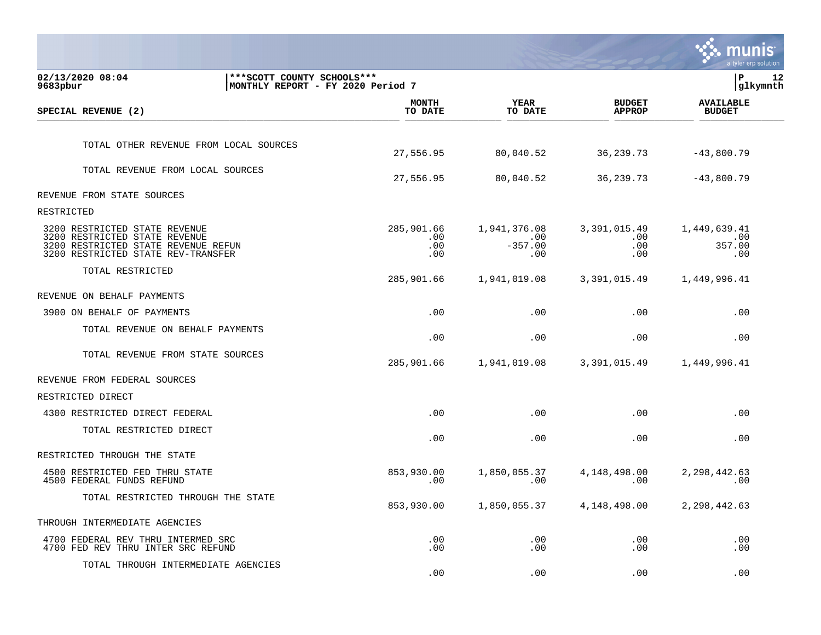|                                                                                                                                             |                                                                   |                                 |                                         |                                        | TNUNIS<br>a tyler erp solution       |    |
|---------------------------------------------------------------------------------------------------------------------------------------------|-------------------------------------------------------------------|---------------------------------|-----------------------------------------|----------------------------------------|--------------------------------------|----|
| 02/13/2020 08:04<br>9683pbur                                                                                                                | *** SCOTT COUNTY SCHOOLS ***<br>MONTHLY REPORT - FY 2020 Period 7 |                                 |                                         |                                        | l P<br> glkymnth                     | 12 |
| SPECIAL REVENUE (2)                                                                                                                         |                                                                   | <b>MONTH</b><br>TO DATE         | YEAR<br>TO DATE                         | <b>BUDGET</b><br><b>APPROP</b>         | <b>AVAILABLE</b><br><b>BUDGET</b>    |    |
|                                                                                                                                             |                                                                   |                                 |                                         |                                        |                                      |    |
| TOTAL OTHER REVENUE FROM LOCAL SOURCES                                                                                                      |                                                                   | 27,556.95                       | 80,040.52                               | 36, 239. 73                            | $-43,800.79$                         |    |
| TOTAL REVENUE FROM LOCAL SOURCES                                                                                                            |                                                                   | 27,556.95                       | 80,040.52                               | 36, 239. 73                            | $-43,800.79$                         |    |
| REVENUE FROM STATE SOURCES                                                                                                                  |                                                                   |                                 |                                         |                                        |                                      |    |
| RESTRICTED                                                                                                                                  |                                                                   |                                 |                                         |                                        |                                      |    |
| 3200 RESTRICTED STATE REVENUE<br>3200 RESTRICTED STATE REVENUE<br>3200 RESTRICTED STATE REVENUE REFUN<br>3200 RESTRICTED STATE REV-TRANSFER |                                                                   | 285,901.66<br>.00<br>.00<br>.00 | 1,941,376.08<br>.00<br>$-357.00$<br>.00 | 3,391,015.49<br>$.00 \,$<br>.00<br>.00 | 1,449,639.41<br>.00<br>357.00<br>.00 |    |
| TOTAL RESTRICTED                                                                                                                            |                                                                   | 285,901.66                      | 1,941,019.08                            | 3,391,015.49                           | 1,449,996.41                         |    |
| REVENUE ON BEHALF PAYMENTS                                                                                                                  |                                                                   |                                 |                                         |                                        |                                      |    |
| 3900 ON BEHALF OF PAYMENTS                                                                                                                  |                                                                   | .00                             | .00                                     | .00                                    | .00                                  |    |
| TOTAL REVENUE ON BEHALF PAYMENTS                                                                                                            |                                                                   | .00                             | .00                                     | .00                                    | .00                                  |    |
| TOTAL REVENUE FROM STATE SOURCES                                                                                                            |                                                                   | 285,901.66                      | 1,941,019.08                            | 3,391,015.49                           | 1,449,996.41                         |    |
| REVENUE FROM FEDERAL SOURCES                                                                                                                |                                                                   |                                 |                                         |                                        |                                      |    |
| RESTRICTED DIRECT                                                                                                                           |                                                                   |                                 |                                         |                                        |                                      |    |
| 4300 RESTRICTED DIRECT FEDERAL                                                                                                              |                                                                   | .00                             | .00                                     | .00                                    | .00                                  |    |
| TOTAL RESTRICTED DIRECT                                                                                                                     |                                                                   | .00                             | .00                                     | .00                                    | .00                                  |    |
| RESTRICTED THROUGH THE STATE                                                                                                                |                                                                   |                                 |                                         |                                        |                                      |    |
| 4500 RESTRICTED FED THRU STATE<br>4500 FEDERAL FUNDS REFUND                                                                                 |                                                                   | 853,930.00<br>.00               | 1,850,055.37<br>.00                     | 4,148,498.00<br>$.00 \,$               | 2, 298, 442.63<br>.00                |    |
| TOTAL RESTRICTED THROUGH THE STATE                                                                                                          |                                                                   | 853,930.00                      | 1,850,055.37                            | 4,148,498.00                           | 2, 298, 442.63                       |    |
| THROUGH INTERMEDIATE AGENCIES                                                                                                               |                                                                   |                                 |                                         |                                        |                                      |    |
| 4700 FEDERAL REV THRU INTERMED SRC<br>4700 FED REV THRU INTER SRC REFUND                                                                    |                                                                   | .00<br>.00                      | .00<br>.00                              | $.00 \,$<br>.00                        | .00<br>.00                           |    |
| TOTAL THROUGH INTERMEDIATE AGENCIES                                                                                                         |                                                                   | .00                             | .00                                     | .00                                    | .00                                  |    |

 $\sim$   $\sim$   $\sim$   $\sim$   $\sim$   $\sim$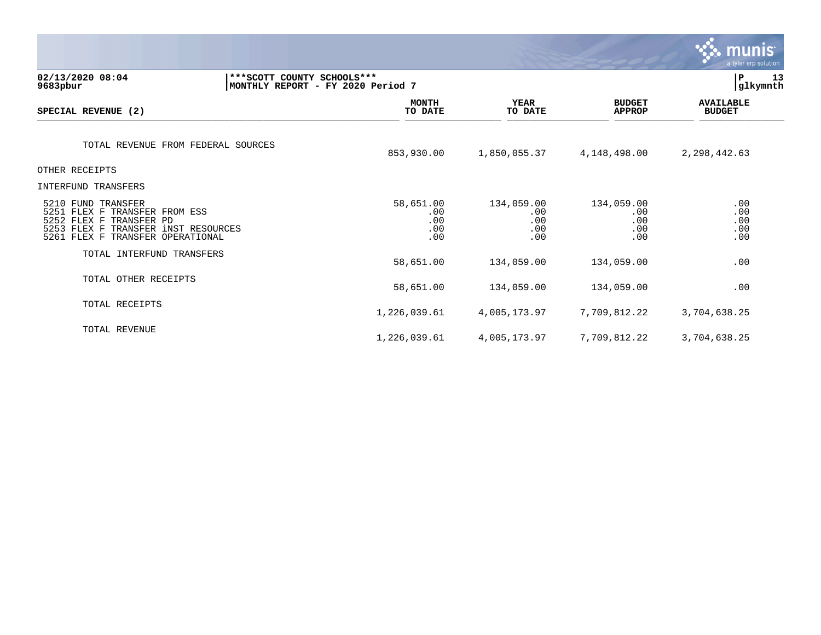|                                                                                                                                                              |                                                                   |                          |                                        |              |                                        | $\sim$ munis<br>a tyler erp solution |
|--------------------------------------------------------------------------------------------------------------------------------------------------------------|-------------------------------------------------------------------|--------------------------|----------------------------------------|--------------|----------------------------------------|--------------------------------------|
| 02/13/2020 08:04<br>9683pbur                                                                                                                                 | *** SCOTT COUNTY SCHOOLS ***<br>MONTHLY REPORT - FY 2020 Period 7 |                          |                                        |              |                                        | l P<br>13<br>glkymnth                |
| SPECIAL REVENUE (2)                                                                                                                                          | <b>MONTH</b><br>TO DATE                                           |                          | <b>YEAR</b><br>TO DATE                 |              | <b>BUDGET</b><br><b>APPROP</b>         | <b>AVAILABLE</b><br><b>BUDGET</b>    |
| TOTAL REVENUE FROM FEDERAL SOURCES                                                                                                                           | 853,930.00                                                        |                          | 1,850,055.37                           | 4,148,498.00 |                                        | 2,298,442.63                         |
| OTHER RECEIPTS                                                                                                                                               |                                                                   |                          |                                        |              |                                        |                                      |
| INTERFUND TRANSFERS                                                                                                                                          |                                                                   |                          |                                        |              |                                        |                                      |
| 5210 FUND TRANSFER<br>5251<br>FLEX F TRANSFER FROM ESS<br>5252 FLEX F TRANSFER PD<br>5253 FLEX F TRANSFER INST RESOURCES<br>5261 FLEX F TRANSFER OPERATIONAL | 58,651.00                                                         | .00<br>.00<br>.00<br>.00 | 134,059.00<br>.00<br>.00<br>.00<br>.00 |              | 134,059.00<br>.00<br>.00<br>.00<br>.00 | .00<br>.00<br>.00<br>.00<br>.00      |
| TOTAL INTERFUND TRANSFERS                                                                                                                                    | 58,651.00                                                         |                          | 134,059.00                             |              | 134,059.00                             | .00                                  |
| TOTAL OTHER RECEIPTS                                                                                                                                         | 58,651.00                                                         |                          | 134,059.00                             |              | 134,059.00                             | .00                                  |
| TOTAL RECEIPTS                                                                                                                                               | 1,226,039.61                                                      |                          | 4,005,173.97                           | 7,709,812.22 |                                        | 3,704,638.25                         |
| TOTAL REVENUE                                                                                                                                                | 1,226,039.61                                                      |                          | 4,005,173.97                           | 7,709,812.22 |                                        | 3,704,638.25                         |

 $\mathcal{L}$  matrix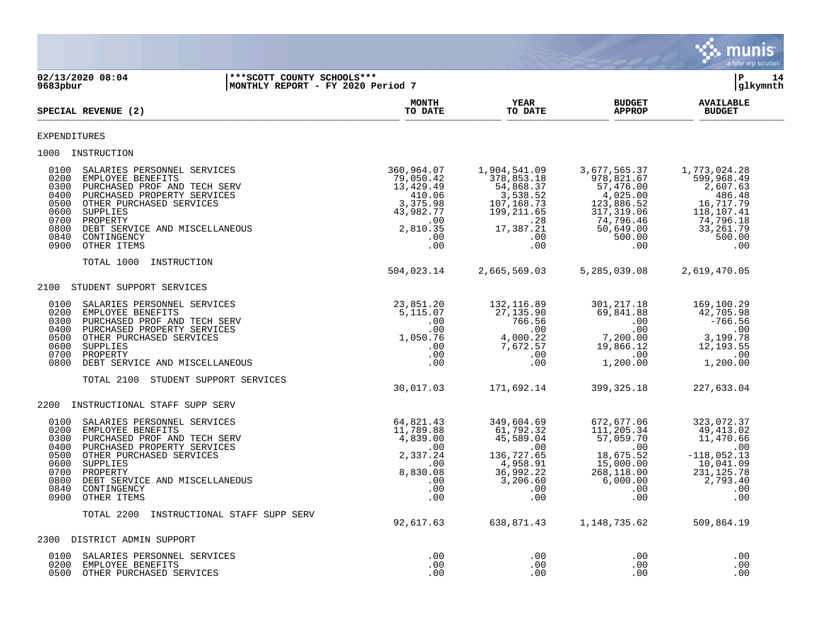

**02/13/2020 08:04 |\*\*\*SCOTT COUNTY SCHOOLS\*\*\* |P 14 |MONTHLY REPORT - FY 2020 Period 7 MONTH AVAILABLE YEAR BUDGET** AVAILABLE **SPECIAL REVENUE (2) TO DATE TO DATE APPROP BUDGET**   $\frac{10 \text{ Bheil}}{10 \text{ Bheil}}$ EXPENDITURES 1000 INSTRUCTION 0100 SALARIES PERSONNEL SERVICES 360,964.07 1,904,541.09 3,677,565.37 1,773,024.28 0200 EMPLOYEE BENEFITS 79,050.42 378,853.18 978,821.67 599,968.49 0300 PURCHASED PROF AND TECH SERV 13,429.49 54,868.37 57,476.00 2,607.63<br>0400 PURCHASED PROPERTY SERVICES 188.48 510.06 3,538.52 4,025.00 486.48 0400 PURCHASED PROPERTY SERVICES (10.06 410.06 3,538.52 4,025.00 496.48<br>107,168.73 4,025.00 486.52 16,717.79 486.98 43,982.77 199,211.65 317,319.06 118,107.41 0500 OTHER PURCHASED SERVICES 3,375.98 107,168.73 123,886.52<br>0600 OUPPLIES 317,319.06 125,886.52 123,982.77 199,211.65 317,319.06 0600 OTHER\_PURCHASED\_SERVICES<br>0600 SUPPLIES BERVICES 43,982.77 199,211.65 317,319.06 118,107.41<br>0700 PROPERTY 199,211.65 317,319.06 118,107.41 0700 PROPERTY .00 .28 74,796.46 74,796.18 0800 DEBT SERVICE AND MISCELLANEOUS (2,810.35 17,387.21 50,649.00 33,261.79 0840 CONTINGENCY 33,261.79 0840 CONTINGENCY 0840 CONTINGENCY .00 .00 500.00 500.00 0900 OTHER ITEMS .00 .00 .00 .00 TOTAL 1000 INSTRUCTION 504,023.14 2,665,569.03 5,285,039.08 2,619,470.05 2100 STUDENT SUPPORT SERVICES 0100 SALARIES PERSONNEL SERVICES 23,851.20 132,116.89 301,217.18 169,100.29 0200 EMPLOYEE BENEFITS 5,115.07 27,135.90 69,841.88 42,705.98 0300 PURCHASED PROF AND TECH SERV .00 766.56 .00 -766.56 0400 PURCHASED PROPERTY SERVICES .00 .00 .00 .00 0500 OTHER PURCHASED SERVICES (1,050.76 4,000.22 7,200.00 3,199.78 4,000.22 3,199.78 4,000.22 7,200.00 3,199.78<br>12.193.55 19.866.12 12.193.55 100 7,672.57 19.866.12 0600 SUPPLIES .00 7,672.57 19,866.12 12,193.55 0700 PROPERTY .00 .00 .00 .00 0800 DEBT SERVICE AND MISCELLANEOUS TOTAL 2100 STUDENT SUPPORT SERVICES 30,017.03 171,692.14 399,325.18 227,633.04 2200 INSTRUCTIONAL STAFF SUPP SERV 0100 SALARIES PERSONNEL SERVICES (64,821.43 349,604.69 672,677.06 323,072.37 670.06 323,072.37 672.37<br>0200 EMPLOYEE BENEFITS (9,413.02 0200 EMPLOYEE BENEFITS 11,789.88 61,792.32 111,205.34 49,413.02 0300 PURCHASED PROF AND TECH SERV  $4,839.00$   $4,839.00$   $45,589.04$  57,059.70  $11,470.66$ <br>00 .00 0400 PURCHASED PROPERTY SERVICES .00 .00 .00 .00 0500 OTHER PURCHASED SERVICES 2,337.24 136,727.65 18,675.52 -118,052.13 0600 SUPPLIES .00 4,958.91 15,000.00 10,041.09 0700 PROPERTY 8,830.08 36,992.22 268,118.00 231,125.78 0800 DEBT SERVICE AND MISCELLANEOUS .00 3,206.60 6,000.00 2,793.40 0840 CONTINGENCY .00 .00 .00 .00 0900 OTHER ITEMS .00 .00 .00 .00 TOTAL 2200 INSTRUCTIONAL STAFF SUPP SERV 92,617.63 638,871.43 1,148,735.62 509,864.19 2300 DISTRICT ADMIN SUPPORT 0100 SALARIES PERSONNEL SERVICES .00 .00 .00 .00 0200 EMPLOYEE BENEFITS .00 .00 .00 .00

0500 OTHER PURCHASED SERVICES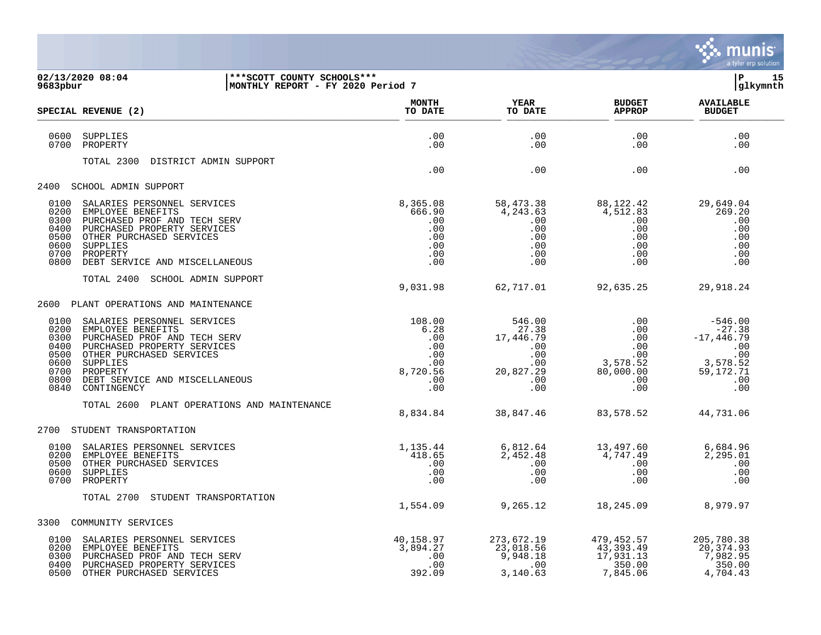

| 9683pbur                                             | 02/13/2020 08:04<br> ***SCOTT COUNTY SCHOOLS***<br>MONTHLY REPORT - FY 2020 Period 7                                                                                                                                                                                                                                                                                                                                                                                                                                                             |                                                              |                                                                                               |                                                                                                                                                                                                                                                                                                                   | lР<br>15<br> glkymnth                                         |  |
|------------------------------------------------------|--------------------------------------------------------------------------------------------------------------------------------------------------------------------------------------------------------------------------------------------------------------------------------------------------------------------------------------------------------------------------------------------------------------------------------------------------------------------------------------------------------------------------------------------------|--------------------------------------------------------------|-----------------------------------------------------------------------------------------------|-------------------------------------------------------------------------------------------------------------------------------------------------------------------------------------------------------------------------------------------------------------------------------------------------------------------|---------------------------------------------------------------|--|
|                                                      | SPECIAL REVENUE (2)                                                                                                                                                                                                                                                                                                                                                                                                                                                                                                                              | <b>MONTH</b><br>TO DATE                                      | <b>YEAR</b><br>TO DATE                                                                        | <b>BUDGET</b><br><b>APPROP</b>                                                                                                                                                                                                                                                                                    | <b>AVAILABLE</b><br><b>BUDGET</b>                             |  |
| 0600<br>0700                                         | SUPPLIES<br>PROPERTY                                                                                                                                                                                                                                                                                                                                                                                                                                                                                                                             | .00<br>.00                                                   | .00<br>.00                                                                                    | .00<br>.00                                                                                                                                                                                                                                                                                                        | .00<br>.00                                                    |  |
|                                                      | DISTRICT ADMIN SUPPORT<br>TOTAL 2300                                                                                                                                                                                                                                                                                                                                                                                                                                                                                                             | $\sim$ 00                                                    | .00                                                                                           | .00                                                                                                                                                                                                                                                                                                               | .00                                                           |  |
|                                                      | 2400 SCHOOL ADMIN SUPPORT                                                                                                                                                                                                                                                                                                                                                                                                                                                                                                                        |                                                              |                                                                                               |                                                                                                                                                                                                                                                                                                                   |                                                               |  |
| 0100<br>0200<br>0300<br>0400<br>0500<br>0600<br>0700 | SALARIES PERSONNEL SERVICES<br>EMPLOYEE BENEFITS<br>PURCHASED PROF AND TECH SERV<br>PURCHASED PROPERTY SERVICES<br>OTHER PURCHASED SERVICES<br>SUPPLIES<br>PROPERTY<br>0800 DEBT SERVICE AND MISCELLANEOUS                                                                                                                                                                                                                                                                                                                                       | 8,365.08<br>666.90<br>.00<br>.00<br>.00<br>.00<br>.00<br>.00 | 58,473.38<br>$4,243.53$<br>$4,243.63$<br>$00$<br>$00$<br>$00$<br>$00$<br>$00$<br>$00$<br>$00$ | 88,122.42<br>4,512.83<br>.00<br>$\begin{array}{c} .00\ 0.00\ 0.00\ .00\ 0.00\ .00 \end{array}$                                                                                                                                                                                                                    | 29,649.04<br>269.20<br>.00<br>.00<br>.00<br>.00<br>.00<br>.00 |  |
|                                                      | TOTAL 2400 SCHOOL ADMIN SUPPORT                                                                                                                                                                                                                                                                                                                                                                                                                                                                                                                  |                                                              |                                                                                               | 9,031.98 62,717.01 92,635.25 29,918.24                                                                                                                                                                                                                                                                            |                                                               |  |
|                                                      | 2600 PLANT OPERATIONS AND MAINTENANCE                                                                                                                                                                                                                                                                                                                                                                                                                                                                                                            |                                                              |                                                                                               |                                                                                                                                                                                                                                                                                                                   |                                                               |  |
| 0300<br>0400<br>0500<br>0600<br>0700<br>0800         | $\begin{array}{cccccc} 108.00 & & & 546.00 & & & & 00 & & -546.00 \\ 6.28 & & 27.38 & & 00 & & -27.38 \\ 0.00 & & 17,446.79 & & & 00 & & -17,446.79 \\ 0.00 & & & 00 & & & 00 & & & 00 \\ 0.00 & & & 00 & & 3,578.52 & & 3,578.52 \\ 8,720.56 & & 20,827.29 & & 80,000.00 & & 59,172.71 \\ 0.00 & & & 00$<br>0100 SALARIES PERSONNEL SERVICES<br>0200 EMPLOYEE BENEFITS<br>PURCHASED PROF AND TECH SERV<br>PURCHASED PROPERTY SERVICES<br>OTHER PURCHASED SERVICES<br>SUPPLIES<br>PROPERTY<br>DEBT SERVICE AND MISCELLANEOUS<br>0840 CONTINGENCY |                                                              |                                                                                               |                                                                                                                                                                                                                                                                                                                   |                                                               |  |
|                                                      | TOTAL 2600 PLANT OPERATIONS AND MAINTENANCE                                                                                                                                                                                                                                                                                                                                                                                                                                                                                                      |                                                              |                                                                                               | 8,834.84 38,847.46 83,578.52 44,731.06                                                                                                                                                                                                                                                                            |                                                               |  |
|                                                      | 2700 STUDENT TRANSPORTATION                                                                                                                                                                                                                                                                                                                                                                                                                                                                                                                      |                                                              |                                                                                               |                                                                                                                                                                                                                                                                                                                   |                                                               |  |
| 0100<br>0500<br>0600                                 | SALARIES PERSONNEL SERVICES<br>0200 EMPLOYEE BENEFITS<br>OTHER PURCHASED SERVICES<br>SUPPLIES<br>0700 PROPERTY                                                                                                                                                                                                                                                                                                                                                                                                                                   | 1,135.44<br>$418.65$<br>0.00<br>0.00<br>0.0                  |                                                                                               | $6, 812.64$<br>$2, 452.48$<br>$00$<br>$00$<br>$00$<br>$00$<br>$00$<br>$00$<br>$00$<br>$00$<br>$00$                                                                                                                                                                                                                | 6,684.96<br>2,295.01<br>$\,$ .00<br>.00<br>.00                |  |
|                                                      | TOTAL 2700 STUDENT TRANSPORTATION                                                                                                                                                                                                                                                                                                                                                                                                                                                                                                                |                                                              | 1,554.09 9,265.12                                                                             |                                                                                                                                                                                                                                                                                                                   | 18,245.09 8,979.97                                            |  |
|                                                      | 3300 COMMUNITY SERVICES                                                                                                                                                                                                                                                                                                                                                                                                                                                                                                                          |                                                              |                                                                                               |                                                                                                                                                                                                                                                                                                                   |                                                               |  |
| 0100<br>0200<br>0300<br>0400<br>0500                 | SALARIES PERSONNEL SERVICES<br>EMPLOYEE BENEFITS<br>PURCHASED PROF AND TECH SERV<br>PURCHASED PROPERTY SERVICES<br>OTHER PURCHASED SERVICES                                                                                                                                                                                                                                                                                                                                                                                                      | 40,158.97<br>3,894.27<br>.00<br>.00<br>392.09                |                                                                                               | $\begin{array}{cccc} 273\,,672.19 & \quad & 479\,,452.57 & \quad & 205\,,780.38 \\ 23\,,018.56 & \quad & 43\,,393.49 & \quad & 20\,,374.93 \\ 9\,,948.18 & \quad & 17\,,931.13 & \quad & 7\,,982.95 \\ 0 & \quad & 350.00 & \quad & 350.00 \\ 3\,,140.63 & \quad & 7\,,845.06 & \quad & 4\ .704\,.43 \end{array}$ |                                                               |  |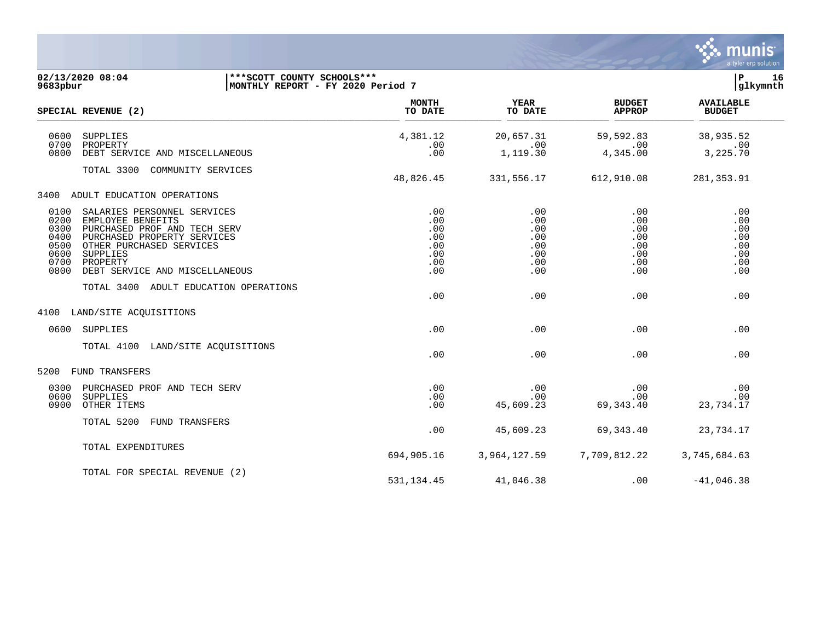|                                                                                                                                                                                                                                                                       |                                                      |                                                      |                                                      | munis<br>a tyler erp solution                        |
|-----------------------------------------------------------------------------------------------------------------------------------------------------------------------------------------------------------------------------------------------------------------------|------------------------------------------------------|------------------------------------------------------|------------------------------------------------------|------------------------------------------------------|
| 02/13/2020 08:04<br>***SCOTT COUNTY SCHOOLS***<br>MONTHLY REPORT - FY 2020 Period 7<br>9683pbur                                                                                                                                                                       |                                                      |                                                      |                                                      | P<br>16<br>glkymnth                                  |
| SPECIAL REVENUE (2)                                                                                                                                                                                                                                                   | <b>MONTH</b><br>TO DATE                              | <b>YEAR</b><br>TO DATE                               | <b>BUDGET</b><br><b>APPROP</b>                       | <b>AVAILABLE</b><br><b>BUDGET</b>                    |
| 0600<br><b>SUPPLIES</b><br>0700<br>PROPERTY<br>0800<br>DEBT SERVICE AND MISCELLANEOUS                                                                                                                                                                                 | 4,381.12<br>.00<br>.00                               | 20,657.31<br>.00<br>1,119.30                         | 59,592.83<br>.00<br>4,345.00                         | 38,935.52<br>.00<br>3,225.70                         |
| TOTAL 3300<br>COMMUNITY SERVICES                                                                                                                                                                                                                                      | 48,826.45                                            | 331,556.17                                           | 612,910.08                                           | 281, 353.91                                          |
| 3400<br>ADULT EDUCATION OPERATIONS                                                                                                                                                                                                                                    |                                                      |                                                      |                                                      |                                                      |
| 0100<br>SALARIES PERSONNEL SERVICES<br>0200<br>EMPLOYEE BENEFITS<br>0300<br>PURCHASED PROF AND TECH SERV<br>0400<br>PURCHASED PROPERTY SERVICES<br>0500<br>OTHER PURCHASED SERVICES<br>0600<br>SUPPLIES<br>0700<br>PROPERTY<br>0800<br>DEBT SERVICE AND MISCELLANEOUS | .00<br>.00<br>.00<br>.00<br>.00<br>.00<br>.00<br>.00 | .00<br>.00<br>.00<br>.00<br>.00<br>.00<br>.00<br>.00 | .00<br>.00<br>.00<br>.00<br>.00<br>.00<br>.00<br>.00 | .00<br>.00<br>.00<br>.00<br>.00<br>.00<br>.00<br>.00 |
| TOTAL 3400<br>ADULT EDUCATION OPERATIONS                                                                                                                                                                                                                              | .00                                                  | .00                                                  | .00                                                  | .00                                                  |
| LAND/SITE ACQUISITIONS<br>4100                                                                                                                                                                                                                                        |                                                      |                                                      |                                                      |                                                      |
| 0600<br>SUPPLIES                                                                                                                                                                                                                                                      | .00                                                  | .00                                                  | .00                                                  | .00                                                  |
| TOTAL 4100<br>LAND/SITE ACQUISITIONS                                                                                                                                                                                                                                  | .00                                                  | .00                                                  | .00                                                  | .00                                                  |
| FUND TRANSFERS<br>5200                                                                                                                                                                                                                                                |                                                      |                                                      |                                                      |                                                      |
| 0300<br>PURCHASED PROF AND TECH SERV<br>0600<br>SUPPLIES<br>0900<br>OTHER ITEMS                                                                                                                                                                                       | .00<br>.00<br>.00                                    | .00<br>.00<br>45,609.23                              | .00<br>.00<br>69, 343.40                             | .00<br>.00<br>23,734.17                              |
| TOTAL 5200<br>FUND TRANSFERS                                                                                                                                                                                                                                          | .00                                                  | 45,609.23                                            | 69, 343.40                                           | 23,734.17                                            |
| TOTAL EXPENDITURES                                                                                                                                                                                                                                                    | 694,905.16                                           | 3,964,127.59                                         | 7,709,812.22                                         | 3,745,684.63                                         |
| TOTAL FOR SPECIAL REVENUE (2)                                                                                                                                                                                                                                         | 531, 134.45                                          | 41,046.38                                            | .00                                                  | $-41,046.38$                                         |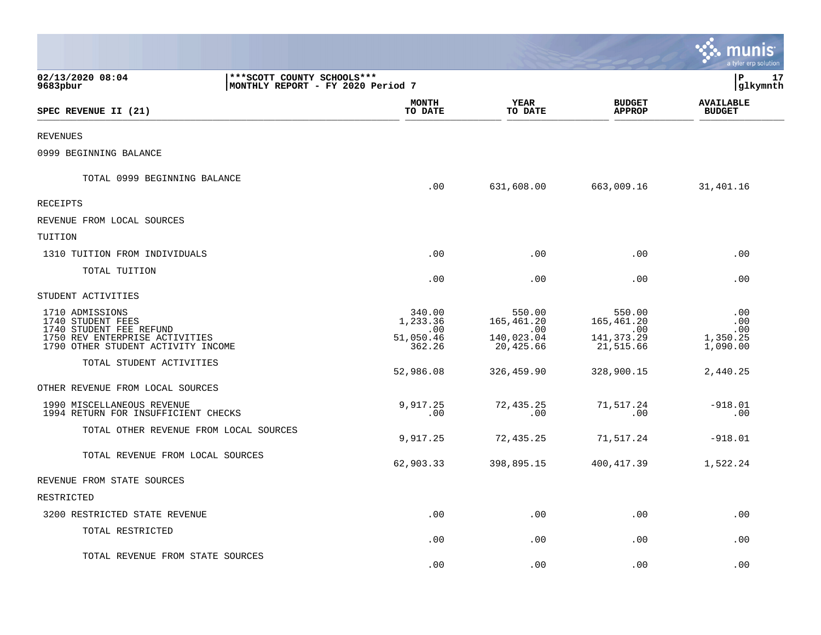|                                                                                                                                         |                                                                   |                                                        |                                                          | a tyler erp solution                      |
|-----------------------------------------------------------------------------------------------------------------------------------------|-------------------------------------------------------------------|--------------------------------------------------------|----------------------------------------------------------|-------------------------------------------|
| 02/13/2020 08:04<br>9683pbur                                                                                                            | *** SCOTT COUNTY SCHOOLS ***<br>MONTHLY REPORT - FY 2020 Period 7 |                                                        |                                                          | l P<br>17<br>glkymnth                     |
| SPEC REVENUE II (21)                                                                                                                    | <b>MONTH</b><br>TO DATE                                           | <b>YEAR</b><br>TO DATE                                 | <b>BUDGET</b><br><b>APPROP</b>                           | <b>AVAILABLE</b><br><b>BUDGET</b>         |
| REVENUES                                                                                                                                |                                                                   |                                                        |                                                          |                                           |
| 0999 BEGINNING BALANCE                                                                                                                  |                                                                   |                                                        |                                                          |                                           |
| TOTAL 0999 BEGINNING BALANCE                                                                                                            | .00                                                               | 631,608.00                                             | 663,009.16                                               | 31,401.16                                 |
| RECEIPTS                                                                                                                                |                                                                   |                                                        |                                                          |                                           |
| REVENUE FROM LOCAL SOURCES                                                                                                              |                                                                   |                                                        |                                                          |                                           |
| TUITION                                                                                                                                 |                                                                   |                                                        |                                                          |                                           |
| 1310 TUITION FROM INDIVIDUALS                                                                                                           | .00                                                               | .00                                                    | .00                                                      | .00                                       |
| TOTAL TUITION                                                                                                                           | .00                                                               | .00                                                    | .00                                                      | .00                                       |
| STUDENT ACTIVITIES                                                                                                                      |                                                                   |                                                        |                                                          |                                           |
| 1710 ADMISSIONS<br>1740 STUDENT FEES<br>1740 STUDENT FEE REFUND<br>1750 REV ENTERPRISE ACTIVITIES<br>1790 OTHER STUDENT ACTIVITY INCOME | 340.00<br>1,233.36<br>.00<br>51,050.46<br>362.26                  | 550.00<br>165,461.20<br>.00<br>140,023.04<br>20,425.66 | 550.00<br>165,461.20<br>.00<br>141, 373. 29<br>21,515.66 | .00<br>.00<br>.00<br>1,350.25<br>1,090.00 |
| TOTAL STUDENT ACTIVITIES                                                                                                                | 52,986.08                                                         | 326,459.90                                             | 328,900.15                                               | 2,440.25                                  |
| OTHER REVENUE FROM LOCAL SOURCES                                                                                                        |                                                                   |                                                        |                                                          |                                           |
| 1990 MISCELLANEOUS REVENUE<br>1994 RETURN FOR INSUFFICIENT CHECKS                                                                       | 9,917.25<br>.00                                                   | 72,435.25<br>.00                                       | 71,517.24<br>.00                                         | $-918.01$<br>.00                          |
| TOTAL OTHER REVENUE FROM LOCAL SOURCES                                                                                                  | 9,917.25                                                          | 72,435.25                                              | 71,517.24                                                | $-918.01$                                 |
| TOTAL REVENUE FROM LOCAL SOURCES                                                                                                        | 62,903.33                                                         | 398,895.15                                             | 400,417.39                                               | 1,522.24                                  |
| REVENUE FROM STATE SOURCES                                                                                                              |                                                                   |                                                        |                                                          |                                           |
| RESTRICTED                                                                                                                              |                                                                   |                                                        |                                                          |                                           |
| 3200 RESTRICTED STATE REVENUE                                                                                                           | .00                                                               | .00                                                    | .00                                                      | .00                                       |
| TOTAL RESTRICTED                                                                                                                        | .00                                                               | .00                                                    | .00                                                      | .00                                       |
| TOTAL REVENUE FROM STATE SOURCES                                                                                                        | .00                                                               | .00                                                    | .00                                                      | .00                                       |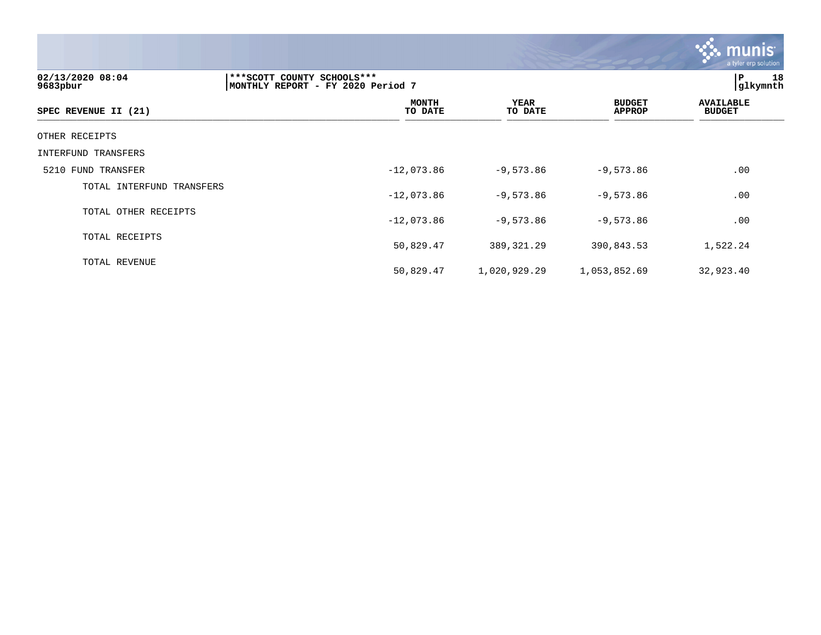|                              |                                                                 |                 |                                | <b>munis</b><br>a tyler erp solution |
|------------------------------|-----------------------------------------------------------------|-----------------|--------------------------------|--------------------------------------|
| 02/13/2020 08:04<br>9683pbur | ***SCOTT COUNTY SCHOOLS***<br>MONTHLY REPORT - FY 2020 Period 7 |                 |                                | P 18<br>glkymnth                     |
| SPEC REVENUE II (21)         | <b>MONTH</b><br>TO DATE                                         | YEAR<br>TO DATE | <b>BUDGET</b><br><b>APPROP</b> | <b>AVAILABLE</b><br><b>BUDGET</b>    |
| OTHER RECEIPTS               |                                                                 |                 |                                |                                      |
| INTERFUND TRANSFERS          |                                                                 |                 |                                |                                      |
| 5210 FUND TRANSFER           | $-12,073.86$                                                    | $-9,573.86$     | $-9,573.86$                    | .00                                  |
| TOTAL INTERFUND TRANSFERS    | $-12,073.86$                                                    | $-9,573.86$     | $-9,573.86$                    | .00                                  |
| TOTAL OTHER RECEIPTS         | $-12,073.86$                                                    | $-9,573.86$     | $-9,573.86$                    | .00                                  |
| TOTAL RECEIPTS               | 50,829.47                                                       | 389, 321.29     | 390,843.53                     | 1,522.24                             |
| TOTAL REVENUE                | 50,829.47                                                       | 1,020,929.29    | 1,053,852.69                   | 32,923.40                            |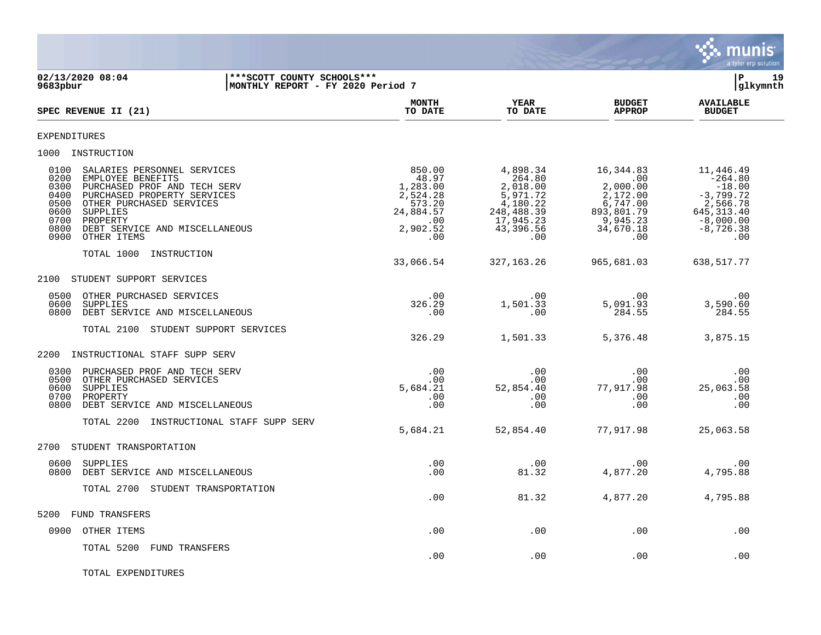

**02/13/2020 08:04 |\*\*\*SCOTT COUNTY SCHOOLS\*\*\* |P 19 MONTHLY REPORT - FY 2020 Period 7 MONTH AVAILABLE YEAR BUDGET** AVAILABLE SPEC REVENUE II (21) **TO DATE TO DATE APPROP BUDGET**  $\frac{10 \text{ B}}{10 \text{ B}}$   $\frac{10 \text{ B}}{10 \text{ B}}$   $\frac{10 \text{ B}}{10 \text{ B}}$   $\frac{10 \text{ B}}{10 \text{ B}}$   $\frac{10 \text{ B}}{10 \text{ B}}$   $\frac{10 \text{ B}}{10 \text{ B}}$   $\frac{10 \text{ B}}{10 \text{ B}}$   $\frac{10 \text{ B}}{10 \text{ B}}$ EXPENDITURES 1000 INSTRUCTION 0100 SALARIES PERSONNEL SERVICES 66 (1992) 850.00 850.00 4,898.34 16,344.83 11,446.49 (1992) 97 (1993) 97 (199<br>0264.80 166.344 16,344.83 16,344.80 16,344.80 16,344.80 17 (1993) 97 (1994) 97 164.80 17 16,344.80 17 16,344.8 0200 EMPLOYEE BENEFITS 48.97 264.80 .00 -264.80 0300 PURCHASED PROF AND TECH SERV  $1,283.00$   $2,018.00$   $2,018.00$   $2,000.00$   $-18.00$ <br>0400 PURCHASED PROPERTY SERVICES  $2,524.28$   $5,971.72$   $2,172.00$   $-3,799.72$ 0400 PURCHASED PROPERTY SERVICES (2,524.28 5,971.72 2,172.00 -3,799.72<br>0500 OTHER PURCHASED SERVICES (2,566.78 573.20 4,180.22 6,747.00 2,566.78<br>0600 SUPPLIES (313.40 24,884.57 248,488.39 893,801.79 645,313.40 0500 OTHER PURCHASED SERVICES 6600 SUPPLIES 6600 SUPPLIES 6600 SUPPLIES 0600 SUPPLIES 24,884.57 248,488.39 893,801.79 645,313.40 0700 PROPERTY .00 17,945.23 9,945.23 -8,000.00 0800 DEBT SERVICE AND MISCELLANEOUS 2,902.52 43,396.56 34,670.18 -8,726.38 0900 OTHER ITEMS TOTAL 1000 INSTRUCTION 33,066.54 327,163.26 965,681.03 638,517.77 2100 STUDENT SUPPORT SERVICES 0500 OTHER PURCHASED SERVICES .00 .00 .00 .00 0600 SUPPLIES 326.29 1,501.33 5,091.93 3,590.60 0800 DEBT SERVICE AND MISCELLANEOUS **.00** .00 .00 .00 284.55 284.55 284.55 TOTAL 2100 STUDENT SUPPORT SERVICES 326.29 1,501.33 5,376.48 3,875.15 2200 INSTRUCTIONAL STAFF SUPP SERV 0300 PURCHASED PROF AND TECH SERV .00 .00 .00 .00 0500 OTHER PURCHASED SERVICES .00 .00 .00 .00 0600 SUPPLIES 5,684.21 52,854.40 77,917.98 25,063.58 0700 PROPERTY .00 .00 .00 .00 0800 DEBT SERVICE AND MISCELLANEOUS .00 .00 .00 .00 TOTAL 2200 INSTRUCTIONAL STAFF SUPP SERV 5,684.21 52,854.40 77,917.98 25,063.58 2700 STUDENT TRANSPORTATION 0600 SUPPLIES .00 .00 .00 .00 0800 DEBT SERVICE AND MISCELLANEOUS **.00** 81.32 4,877.20 4,795.88 TOTAL 2700 STUDENT TRANSPORTATION .00 81.32 4,877.20 4,795.88 5200 FUND TRANSFERS 0900 OTHER ITEMS .00 .00 .00 .00 TOTAL 5200 FUND TRANSFERS  $.00$  .  $.00$  .  $.00$  .  $.00$  .  $.00$  .  $.00$ 

TOTAL EXPENDITURES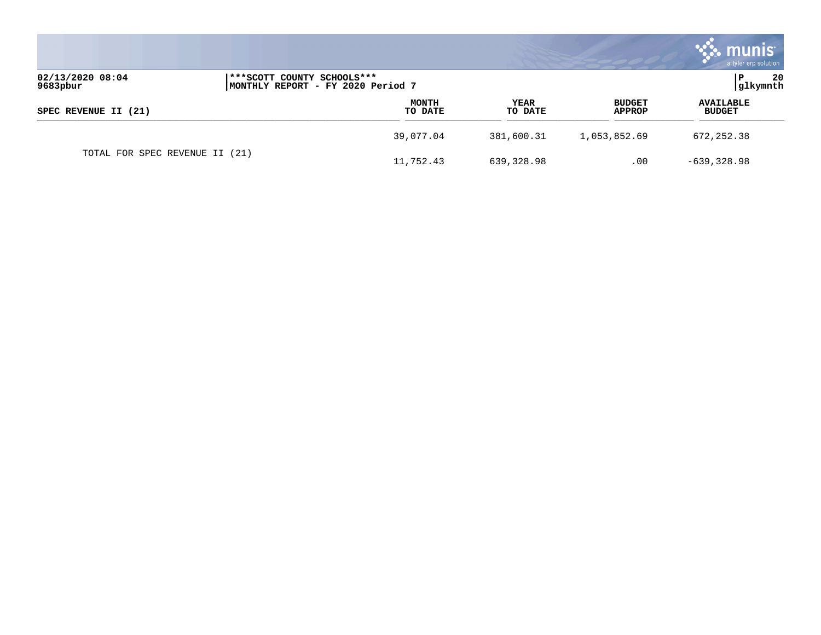|                                |                                                                   |                 |                         | <b>munis</b><br>a tyler erp solution |
|--------------------------------|-------------------------------------------------------------------|-----------------|-------------------------|--------------------------------------|
| 02/13/2020 08:04<br>9683pbur   | *** SCOTT COUNTY SCHOOLS ***<br>MONTHLY REPORT - FY 2020 Period 7 |                 |                         | 20<br>P<br>glkymnth                  |
| SPEC REVENUE II (21)           | <b>MONTH</b><br>TO DATE                                           | YEAR<br>TO DATE | <b>BUDGET</b><br>APPROP | <b>AVAILABLE</b><br><b>BUDGET</b>    |
|                                | 39,077.04                                                         | 381,600.31      | 1,053,852.69            | 672, 252.38                          |
| TOTAL FOR SPEC REVENUE II (21) | 11,752.43                                                         | 639,328.98      | $.00 \,$                | $-639, 328.98$                       |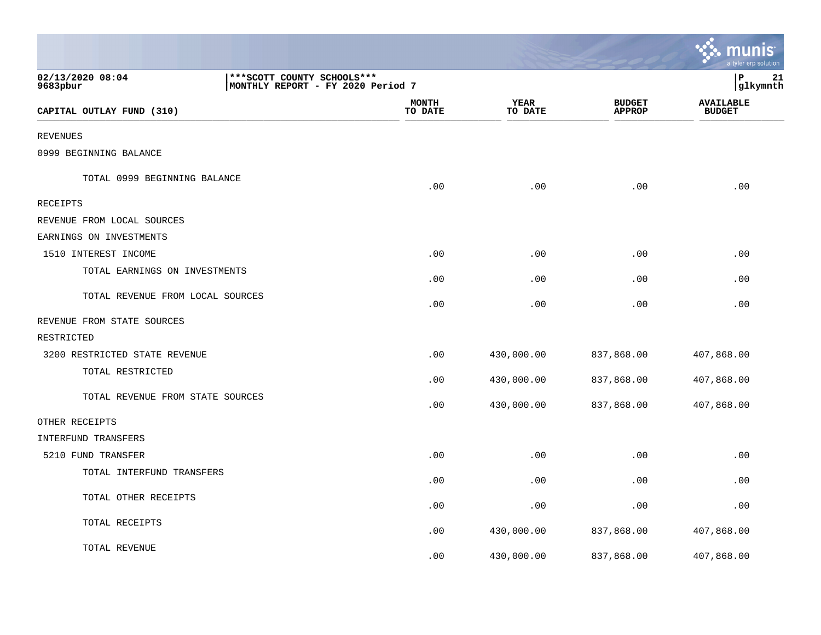|                                  |                                                                   |                         |                 |                                | <b>RA</b> munis<br>a tyler erp solution |
|----------------------------------|-------------------------------------------------------------------|-------------------------|-----------------|--------------------------------|-----------------------------------------|
| 02/13/2020 08:04<br>9683pbur     | *** SCOTT COUNTY SCHOOLS ***<br>MONTHLY REPORT - FY 2020 Period 7 |                         |                 |                                | lР<br>21<br> glkymnth                   |
| CAPITAL OUTLAY FUND (310)        |                                                                   | <b>MONTH</b><br>TO DATE | YEAR<br>TO DATE | <b>BUDGET</b><br><b>APPROP</b> | <b>AVAILABLE</b><br><b>BUDGET</b>       |
| <b>REVENUES</b>                  |                                                                   |                         |                 |                                |                                         |
| 0999 BEGINNING BALANCE           |                                                                   |                         |                 |                                |                                         |
| TOTAL 0999 BEGINNING BALANCE     |                                                                   | .00                     | .00             | .00                            | .00                                     |
| <b>RECEIPTS</b>                  |                                                                   |                         |                 |                                |                                         |
| REVENUE FROM LOCAL SOURCES       |                                                                   |                         |                 |                                |                                         |
| EARNINGS ON INVESTMENTS          |                                                                   |                         |                 |                                |                                         |
| 1510 INTEREST INCOME             |                                                                   | .00                     | .00             | .00                            | .00                                     |
| TOTAL EARNINGS ON INVESTMENTS    |                                                                   | .00                     | .00             | .00                            | .00                                     |
| TOTAL REVENUE FROM LOCAL SOURCES |                                                                   | .00                     | .00             | .00                            | .00                                     |
| REVENUE FROM STATE SOURCES       |                                                                   |                         |                 |                                |                                         |
| RESTRICTED                       |                                                                   |                         |                 |                                |                                         |
| 3200 RESTRICTED STATE REVENUE    |                                                                   | .00                     | 430,000.00      | 837,868.00                     | 407,868.00                              |
| TOTAL RESTRICTED                 |                                                                   | .00                     | 430,000.00      | 837,868.00                     | 407,868.00                              |
| TOTAL REVENUE FROM STATE SOURCES |                                                                   | .00                     | 430,000.00      | 837,868.00                     | 407,868.00                              |
| OTHER RECEIPTS                   |                                                                   |                         |                 |                                |                                         |
| INTERFUND TRANSFERS              |                                                                   |                         |                 |                                |                                         |
| 5210 FUND TRANSFER               |                                                                   | .00                     | .00             | .00                            | .00                                     |
| TOTAL INTERFUND TRANSFERS        |                                                                   | .00                     | .00             | .00                            | .00                                     |
| TOTAL OTHER RECEIPTS             |                                                                   | .00                     | .00             | .00                            | .00                                     |
| TOTAL RECEIPTS                   |                                                                   | .00                     | 430,000.00      | 837,868.00                     | 407,868.00                              |
| TOTAL REVENUE                    |                                                                   | .00                     | 430,000.00      | 837,868.00                     | 407,868.00                              |

the contract of the contract of the contract of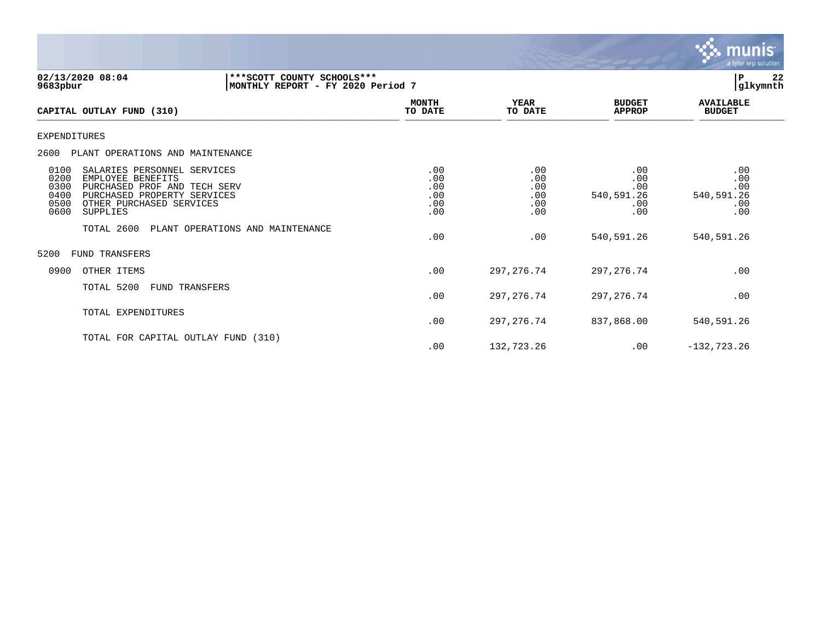

| 02/13/2020 08:04<br>9683pbur                                                                                                                                                                            | *** SCOTT COUNTY SCHOOLS ***<br>MONTHLY REPORT - FY 2020 Period 7 |                                        |                                        |                                               | 22<br>ΙP<br> glkymnth                         |
|---------------------------------------------------------------------------------------------------------------------------------------------------------------------------------------------------------|-------------------------------------------------------------------|----------------------------------------|----------------------------------------|-----------------------------------------------|-----------------------------------------------|
| CAPITAL OUTLAY FUND (310)                                                                                                                                                                               |                                                                   | <b>MONTH</b><br>TO DATE                | <b>YEAR</b><br>TO DATE                 | <b>BUDGET</b><br><b>APPROP</b>                | <b>AVAILABLE</b><br><b>BUDGET</b>             |
| <b>EXPENDITURES</b>                                                                                                                                                                                     |                                                                   |                                        |                                        |                                               |                                               |
| PLANT OPERATIONS AND MAINTENANCE<br>2600                                                                                                                                                                |                                                                   |                                        |                                        |                                               |                                               |
| 0100<br>SALARIES PERSONNEL SERVICES<br>0200<br>EMPLOYEE BENEFITS<br>0300<br>PURCHASED PROF AND TECH SERV<br>PURCHASED PROPERTY SERVICES<br>0400<br>0500<br>OTHER PURCHASED SERVICES<br>0600<br>SUPPLIES |                                                                   | .00<br>.00<br>.00<br>.00<br>.00<br>.00 | .00<br>.00<br>.00<br>.00<br>.00<br>.00 | .00<br>.00<br>.00<br>540,591.26<br>.00<br>.00 | .00<br>.00<br>.00<br>540,591.26<br>.00<br>.00 |
| TOTAL 2600                                                                                                                                                                                              | PLANT OPERATIONS AND MAINTENANCE                                  | .00                                    | .00                                    | 540,591.26                                    | 540,591.26                                    |
| 5200<br><b>FUND TRANSFERS</b>                                                                                                                                                                           |                                                                   |                                        |                                        |                                               |                                               |
| 0900<br>OTHER ITEMS                                                                                                                                                                                     |                                                                   | .00                                    | 297, 276.74                            | 297,276.74                                    | .00                                           |
| TOTAL 5200<br>FUND TRANSFERS                                                                                                                                                                            |                                                                   | .00                                    | 297, 276. 74                           | 297,276.74                                    | .00                                           |
| TOTAL EXPENDITURES                                                                                                                                                                                      |                                                                   | .00                                    | 297, 276.74                            | 837,868.00                                    | 540,591.26                                    |
| TOTAL FOR CAPITAL OUTLAY FUND (310)                                                                                                                                                                     |                                                                   | .00                                    | 132,723.26                             | .00                                           | $-132, 723.26$                                |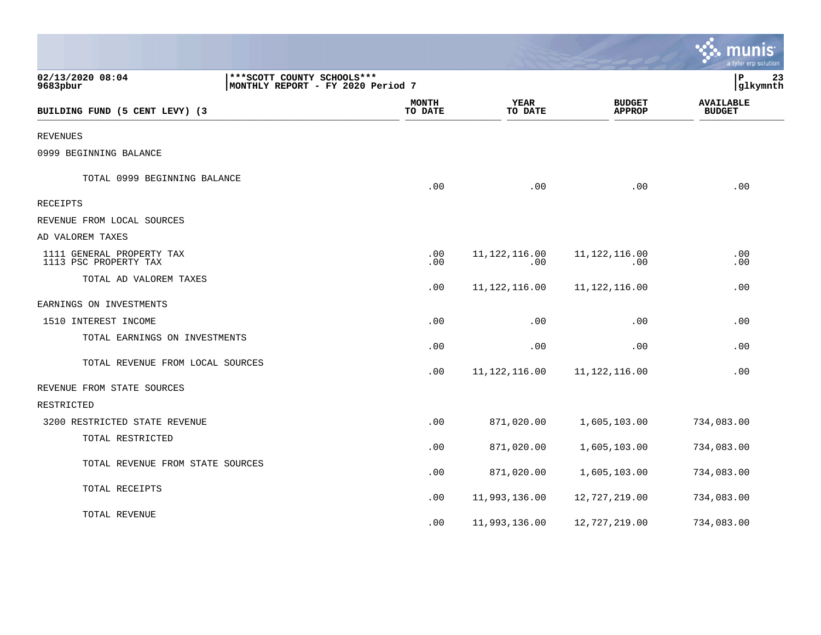|                                                    |                                                                   |                         |                        |                                | munis<br>a tyler erp solution     |
|----------------------------------------------------|-------------------------------------------------------------------|-------------------------|------------------------|--------------------------------|-----------------------------------|
| 02/13/2020 08:04<br>9683pbur                       | *** SCOTT COUNTY SCHOOLS ***<br>MONTHLY REPORT - FY 2020 Period 7 |                         |                        |                                | ΙP<br>23<br>glkymnth              |
| BUILDING FUND (5 CENT LEVY) (3                     |                                                                   | <b>MONTH</b><br>TO DATE | <b>YEAR</b><br>TO DATE | <b>BUDGET</b><br><b>APPROP</b> | <b>AVAILABLE</b><br><b>BUDGET</b> |
| <b>REVENUES</b>                                    |                                                                   |                         |                        |                                |                                   |
| 0999 BEGINNING BALANCE                             |                                                                   |                         |                        |                                |                                   |
| TOTAL 0999 BEGINNING BALANCE                       |                                                                   | .00                     | .00                    | .00                            | .00                               |
| RECEIPTS                                           |                                                                   |                         |                        |                                |                                   |
| REVENUE FROM LOCAL SOURCES                         |                                                                   |                         |                        |                                |                                   |
| AD VALOREM TAXES                                   |                                                                   |                         |                        |                                |                                   |
| 1111 GENERAL PROPERTY TAX<br>1113 PSC PROPERTY TAX |                                                                   | .00<br>.00              | 11, 122, 116.00<br>.00 | 11, 122, 116.00<br>.00         | .00<br>.00                        |
| TOTAL AD VALOREM TAXES                             |                                                                   | .00                     | 11, 122, 116.00        | 11, 122, 116.00                | .00                               |
| EARNINGS ON INVESTMENTS                            |                                                                   |                         |                        |                                |                                   |
| 1510 INTEREST INCOME                               |                                                                   | .00                     | .00                    | .00                            | .00                               |
| TOTAL EARNINGS ON INVESTMENTS                      |                                                                   | .00                     | .00                    | .00                            | .00                               |
| TOTAL REVENUE FROM LOCAL SOURCES                   |                                                                   | .00                     | 11, 122, 116.00        | 11, 122, 116.00                | .00                               |
| REVENUE FROM STATE SOURCES                         |                                                                   |                         |                        |                                |                                   |
| RESTRICTED                                         |                                                                   |                         |                        |                                |                                   |
| 3200 RESTRICTED STATE REVENUE                      |                                                                   | .00                     | 871,020.00             | 1,605,103.00                   | 734,083.00                        |
| TOTAL RESTRICTED                                   |                                                                   | .00                     | 871,020.00             | 1,605,103.00                   | 734,083.00                        |
| TOTAL REVENUE FROM STATE SOURCES                   |                                                                   | .00                     | 871,020.00             | 1,605,103.00                   | 734,083.00                        |
| TOTAL RECEIPTS                                     |                                                                   | .00                     | 11,993,136.00          | 12,727,219.00                  | 734,083.00                        |
| TOTAL REVENUE                                      |                                                                   | .00                     | 11,993,136.00          | 12,727,219.00                  | 734,083.00                        |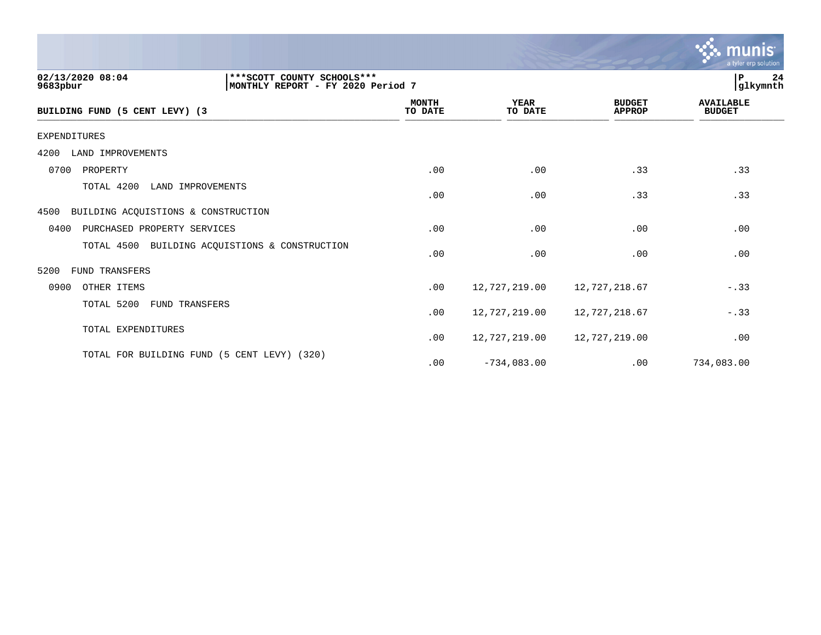|                                                                                                    |                         |                        |                                | munis<br>a tyler erp solution     |
|----------------------------------------------------------------------------------------------------|-------------------------|------------------------|--------------------------------|-----------------------------------|
| 02/13/2020 08:04<br>*** SCOTT COUNTY SCHOOLS ***<br>9683pbur<br> MONTHLY REPORT - FY 2020 Period 7 |                         |                        |                                | 24<br>P<br>glkymnth               |
| BUILDING FUND (5 CENT LEVY) (3                                                                     | <b>MONTH</b><br>TO DATE | <b>YEAR</b><br>TO DATE | <b>BUDGET</b><br><b>APPROP</b> | <b>AVAILABLE</b><br><b>BUDGET</b> |
| <b>EXPENDITURES</b>                                                                                |                         |                        |                                |                                   |
| LAND IMPROVEMENTS<br>4200                                                                          |                         |                        |                                |                                   |
| 0700<br>PROPERTY                                                                                   | .00                     | .00                    | .33                            | .33                               |
| TOTAL 4200<br>LAND IMPROVEMENTS                                                                    | .00                     | .00                    | .33                            | .33                               |
| BUILDING ACQUISTIONS & CONSTRUCTION<br>4500                                                        |                         |                        |                                |                                   |
| 0400<br>PURCHASED PROPERTY SERVICES                                                                | .00                     | .00                    | .00                            | .00                               |
| TOTAL 4500<br>BUILDING ACQUISTIONS & CONSTRUCTION                                                  | .00                     | .00                    | .00                            | .00                               |
| 5200<br><b>FUND TRANSFERS</b>                                                                      |                         |                        |                                |                                   |
| 0900<br>OTHER ITEMS                                                                                | .00                     | 12,727,219.00          | 12,727,218.67                  | $-.33$                            |
| TOTAL 5200<br><b>FUND TRANSFERS</b>                                                                | .00                     | 12,727,219.00          | 12,727,218.67                  | $-.33$                            |
| TOTAL EXPENDITURES                                                                                 | .00                     | 12,727,219.00          | 12,727,219.00                  | .00                               |
| TOTAL FOR BUILDING FUND (5 CENT LEVY) (320)                                                        | .00                     | $-734,083.00$          | .00                            | 734,083.00                        |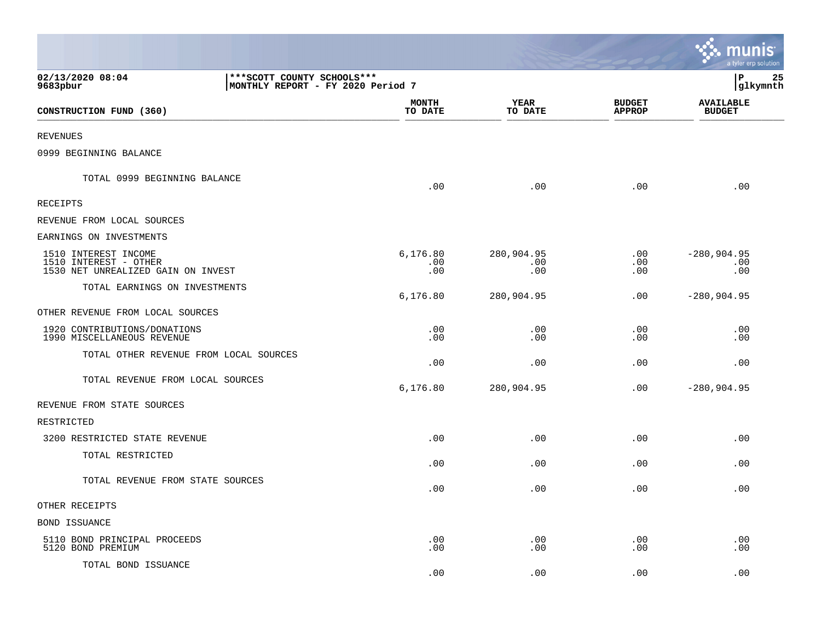|                                                                                                   |                         |                          |                                | <b>N. MUNIS</b><br>a tyler erp solution |
|---------------------------------------------------------------------------------------------------|-------------------------|--------------------------|--------------------------------|-----------------------------------------|
| 02/13/2020 08:04<br>*** SCOTT COUNTY SCHOOLS ***<br>MONTHLY REPORT - FY 2020 Period 7<br>9683pbur |                         |                          |                                | lР<br>25<br> glkymnth                   |
| CONSTRUCTION FUND (360)                                                                           | <b>MONTH</b><br>TO DATE | YEAR<br>TO DATE          | <b>BUDGET</b><br><b>APPROP</b> | <b>AVAILABLE</b><br><b>BUDGET</b>       |
| REVENUES                                                                                          |                         |                          |                                |                                         |
| 0999 BEGINNING BALANCE                                                                            |                         |                          |                                |                                         |
| TOTAL 0999 BEGINNING BALANCE                                                                      | .00                     | .00                      | .00                            | .00                                     |
| RECEIPTS                                                                                          |                         |                          |                                |                                         |
| REVENUE FROM LOCAL SOURCES                                                                        |                         |                          |                                |                                         |
| EARNINGS ON INVESTMENTS                                                                           |                         |                          |                                |                                         |
| 1510 INTEREST INCOME<br>1510 INTEREST - OTHER<br>1530 NET UNREALIZED GAIN ON INVEST               | 6,176.80<br>.00<br>.00  | 280,904.95<br>.00<br>.00 | .00<br>.00<br>.00              | $-280,904.95$<br>.00<br>.00             |
| TOTAL EARNINGS ON INVESTMENTS                                                                     | 6,176.80                | 280,904.95               | .00                            | $-280,904.95$                           |
| OTHER REVENUE FROM LOCAL SOURCES                                                                  |                         |                          |                                |                                         |
| 1920 CONTRIBUTIONS/DONATIONS<br>1990 MISCELLANEOUS REVENUE                                        | .00<br>.00              | .00<br>.00               | .00<br>.00                     | .00<br>.00                              |
| TOTAL OTHER REVENUE FROM LOCAL SOURCES                                                            | .00                     | .00                      | .00                            | .00                                     |
| TOTAL REVENUE FROM LOCAL SOURCES                                                                  | 6,176.80                | 280,904.95               | .00                            | $-280,904.95$                           |
| REVENUE FROM STATE SOURCES                                                                        |                         |                          |                                |                                         |
| RESTRICTED                                                                                        |                         |                          |                                |                                         |
| 3200 RESTRICTED STATE REVENUE                                                                     | .00                     | .00                      | .00                            | .00                                     |
| TOTAL RESTRICTED                                                                                  | .00                     | .00                      | .00                            | .00                                     |
| TOTAL REVENUE FROM STATE SOURCES                                                                  | .00                     | .00                      | .00                            | .00                                     |
| OTHER RECEIPTS                                                                                    |                         |                          |                                |                                         |
| BOND ISSUANCE                                                                                     |                         |                          |                                |                                         |
| 5110 BOND PRINCIPAL PROCEEDS<br>5120 BOND PREMIUM                                                 | .00<br>.00              | .00<br>.00               | .00<br>.00                     | .00<br>.00                              |
| TOTAL BOND ISSUANCE                                                                               | .00                     | .00                      | .00                            | .00                                     |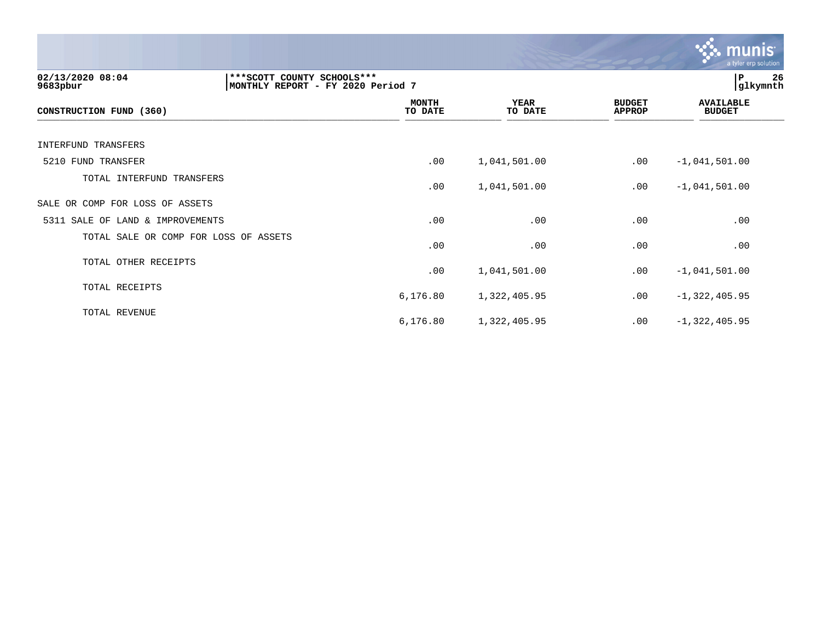|                                       |                                                                   |                         |                        |                                | munis<br>a tyler erp solution     |
|---------------------------------------|-------------------------------------------------------------------|-------------------------|------------------------|--------------------------------|-----------------------------------|
| 02/13/2020 08:04<br>9683pbur          | *** SCOTT COUNTY SCHOOLS ***<br>MONTHLY REPORT - FY 2020 Period 7 |                         |                        |                                | 26<br>P<br>glkymnth               |
| CONSTRUCTION FUND (360)               |                                                                   | <b>MONTH</b><br>TO DATE | <b>YEAR</b><br>TO DATE | <b>BUDGET</b><br><b>APPROP</b> | <b>AVAILABLE</b><br><b>BUDGET</b> |
| <b>INTERFUND TRANSFERS</b>            |                                                                   |                         |                        |                                |                                   |
| 5210 FUND TRANSFER                    |                                                                   | .00                     | 1,041,501.00           | .00                            | $-1,041,501.00$                   |
| TOTAL INTERFUND TRANSFERS             |                                                                   | .00                     | 1,041,501.00           | .00                            | $-1,041,501.00$                   |
| SALE OR COMP FOR LOSS OF ASSETS       |                                                                   |                         |                        |                                |                                   |
| 5311 SALE OF LAND & IMPROVEMENTS      |                                                                   | .00                     | .00                    | .00                            | .00                               |
| TOTAL SALE OR COMP FOR LOSS OF ASSETS |                                                                   | .00                     | .00                    | .00                            | .00                               |
| TOTAL OTHER RECEIPTS                  |                                                                   | .00                     | 1,041,501.00           | .00                            | $-1,041,501.00$                   |
| TOTAL RECEIPTS                        |                                                                   | 6,176.80                | 1,322,405.95           | .00                            | $-1,322,405.95$                   |
| TOTAL REVENUE                         |                                                                   | 6,176.80                | 1,322,405.95           | .00                            | $-1,322,405.95$                   |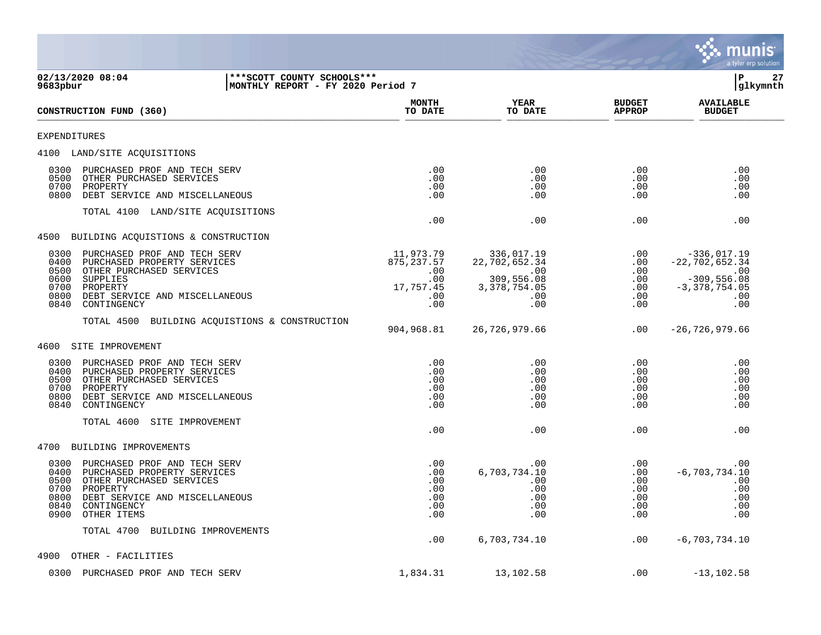

**02/13/2020 08:04 |\*\*\*SCOTT COUNTY SCHOOLS\*\*\* |P 27 MONTHLY REPORT - FY 2020 Period 7 MONTH AVAILABLE YEAR BUDGET** AVAILABLE **CONSTRUCTION FUND (360) TO DATE TO DATE APPROP BUDGET**   $\frac{10 \text{ Bhe}}{10 \text{ Bhe}}$   $\frac{10 \text{ Bhe}}{10 \text{ Bhe}}$   $\frac{10 \text{ Bhe}}{10 \text{ Bhe}}$   $\frac{10 \text{ Bhe}}{10 \text{ Bhe}}$   $\frac{10 \text{ Bhe}}{10 \text{ Bhe}}$   $\frac{10 \text{ Bhe}}{10 \text{ Bhe}}$   $\frac{10 \text{ Bhe}}{10 \text{ Bhe}}$ EXPENDITURES 4100 LAND/SITE ACQUISITIONS 0300 PURCHASED PROF AND TECH SERV .00 .00 .00 .00 0500 OTHER PURCHASED SERVICES .00 .00 .00 .00 0700 PROPERTY .00 .00 .00 .00 0800 DEBT SERVICE AND MISCELLANEOUS .00 .00 .00 .00 TOTAL 4100 LAND/SITE ACQUISITIONS  $.00$  .  $.00$  .  $.00$  .  $.00$  .  $.00$  .  $.00$ 4500 BUILDING ACQUISTIONS & CONSTRUCTION 0300 PURCHASED PROF AND TECH SERV 11,973.79 336,017.19 11,973.79 336,017.19 0400 PURCHASED PROPERTY SERVICES 34<br>11,973.79 22,702,652.34 .00 -22,702,652.34 0400 PURCHASED PROPERTY SERVICES 875,237.57 22,702,652.34 .00 -22,702,652.34 .00 .00 .00 .00 .00 .00 .00 .00 .00 .00 .00 .00 .00 .00 .0 0500 OTHER PURCHASED SERVICES .00 .00 .00 .00 0600 SUPPLIES .00 309,556.08 .00 -309,556.08 0700 PROPERTY 17,757.45 3,378,754.05 .00 -3,378,754.05 0800 DEBT SERVICE AND MISCELLANEOUS .00 .00 .00 .00 0840 CONTINGENCY TOTAL 4500 BUILDING ACQUISTIONS & CONSTRUCTION 904,968.81 26,726,979.66 .00 -26,726,979.66 4600 SITE IMPROVEMENT 0300 PURCHASED PROF AND TECH SERV .00 .00 .00 .00 0400 PURCHASED PROPERTY SERVICES .00 .00 .00 .00 0500 OTHER PURCHASED SERVICES .00 .00 .00 .00 0700 PROPERTY .00 .00 .00 .00 0800 DEBT SERVICE AND MISCELLANEOUS .00 .00 .00 .00 0840 CONTINGENCY TOTAL 4600 SITE IMPROVEMENT  $.00$  .  $.00$  .  $.00$  .  $.00$  .  $.00$  .  $.00$ 4700 BUILDING IMPROVEMENTS 0300 PURCHASED PROF AND TECH SERV .00 .00 .00 .00 0400 PURCHASED PROPERTY SERVICES .00 6,703,734.10 .00 -6,703,734.10 0500 OTHER PURCHASED SERVICES .00 .00 .00 .00 0700 PROPERTY .00 .00 .00 .00 0800 DEBT SERVICE AND MISCELLANEOUS .00 .00 .00 .00 0840 CONTINGENCY .00 .00 .00 .00 0900 OTHER ITEMS TOTAL 4700 BUILDING IMPROVEMENTS .00 6,703,734.10 .00 -6,703,734.10 4900 OTHER - FACILITIES

0300 PURCHASED PROF AND TECH SERV 1.834.31 1.834.31 13,102.58 .00 -13,102.58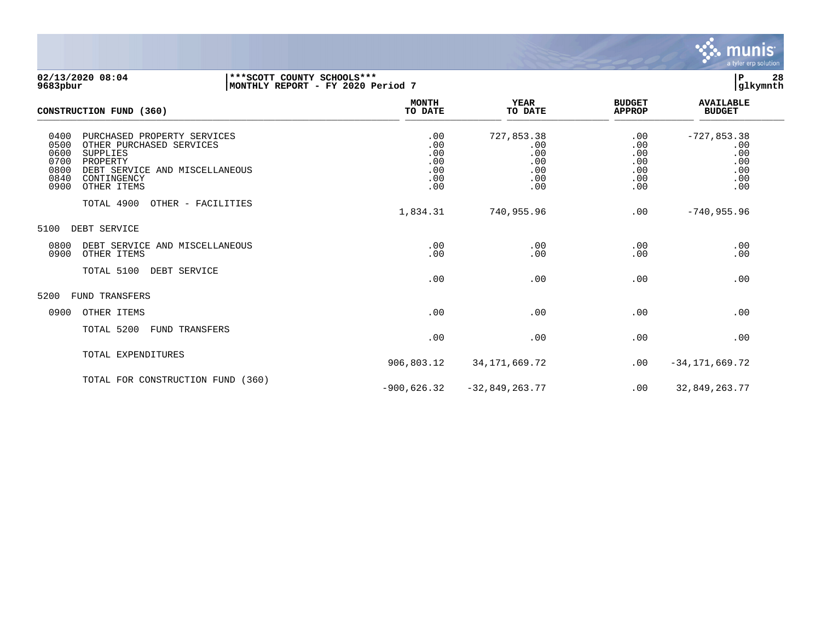

## **02/13/2020 08:04 |\*\*\*SCOTT COUNTY SCHOOLS\*\*\* |P 28 9683pbur |MONTHLY REPORT - FY 2020 Period 7 |glkymnth**

| CONSTRUCTION FUND (360)                                                                                                                                                                                        | <b>MONTH</b><br>TO DATE                       | <b>YEAR</b><br>TO DATE                               | <b>BUDGET</b><br><b>APPROP</b>                | <b>AVAILABLE</b><br><b>BUDGET</b>                       |  |
|----------------------------------------------------------------------------------------------------------------------------------------------------------------------------------------------------------------|-----------------------------------------------|------------------------------------------------------|-----------------------------------------------|---------------------------------------------------------|--|
| 0400<br>PURCHASED PROPERTY SERVICES<br>0500<br>OTHER PURCHASED SERVICES<br>0600<br><b>SUPPLIES</b><br>0700<br>PROPERTY<br>0800<br>DEBT SERVICE AND MISCELLANEOUS<br>0840<br>CONTINGENCY<br>0900<br>OTHER ITEMS | .00<br>.00<br>.00<br>.00<br>.00<br>.00<br>.00 | 727,853.38<br>.00<br>.00<br>.00<br>.00<br>.00<br>.00 | .00<br>.00<br>.00<br>.00<br>.00<br>.00<br>.00 | $-727,853.38$<br>.00<br>.00<br>.00<br>.00<br>.00<br>.00 |  |
| TOTAL 4900<br>OTHER - FACILITIES                                                                                                                                                                               | 1,834.31                                      | 740,955.96                                           | .00                                           | $-740,955.96$                                           |  |
| 5100<br>DEBT SERVICE                                                                                                                                                                                           |                                               |                                                      |                                               |                                                         |  |
| 0800<br>DEBT SERVICE AND MISCELLANEOUS<br>0900<br>OTHER ITEMS                                                                                                                                                  | .00<br>.00                                    | .00<br>.00                                           | .00<br>.00                                    | .00<br>.00                                              |  |
| TOTAL 5100<br>DEBT SERVICE                                                                                                                                                                                     | .00                                           | .00                                                  | .00                                           | .00                                                     |  |
| 5200<br><b>FUND TRANSFERS</b>                                                                                                                                                                                  |                                               |                                                      |                                               |                                                         |  |
| 0900<br>OTHER ITEMS                                                                                                                                                                                            | .00                                           | .00                                                  | .00                                           | .00                                                     |  |
| TOTAL 5200<br>FUND TRANSFERS                                                                                                                                                                                   | .00                                           | .00                                                  | .00                                           | .00                                                     |  |
| TOTAL EXPENDITURES                                                                                                                                                                                             | 906,803.12                                    | 34,171,669.72                                        | .00                                           | $-34, 171, 669.72$                                      |  |
| TOTAL FOR CONSTRUCTION FUND (360)                                                                                                                                                                              | $-900,626.32$                                 | $-32,849,263.77$                                     | .00                                           | 32,849,263.77                                           |  |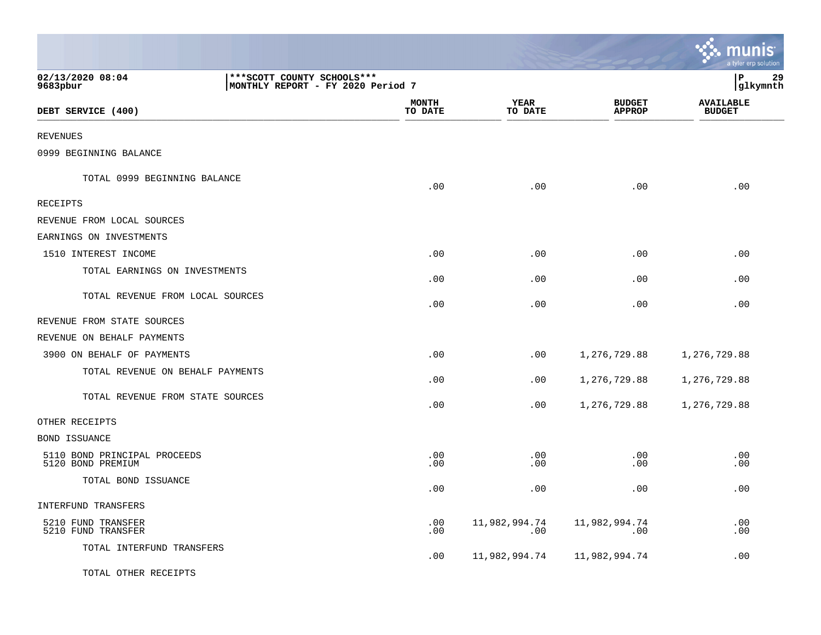|                                                   |                                                                   |                         |                      |                                | <b>A.</b> munis<br>a tyler erp solution |                 |
|---------------------------------------------------|-------------------------------------------------------------------|-------------------------|----------------------|--------------------------------|-----------------------------------------|-----------------|
| 02/13/2020 08:04<br>9683pbur                      | *** SCOTT COUNTY SCHOOLS ***<br>MONTHLY REPORT - FY 2020 Period 7 |                         |                      |                                | l P                                     | 29<br> glkymnth |
| DEBT SERVICE (400)                                |                                                                   | <b>MONTH</b><br>TO DATE | YEAR<br>TO DATE      | <b>BUDGET</b><br><b>APPROP</b> | <b>AVAILABLE</b><br><b>BUDGET</b>       |                 |
| <b>REVENUES</b>                                   |                                                                   |                         |                      |                                |                                         |                 |
| 0999 BEGINNING BALANCE                            |                                                                   |                         |                      |                                |                                         |                 |
| TOTAL 0999 BEGINNING BALANCE                      |                                                                   | .00                     | .00                  | .00                            | .00                                     |                 |
| RECEIPTS                                          |                                                                   |                         |                      |                                |                                         |                 |
| REVENUE FROM LOCAL SOURCES                        |                                                                   |                         |                      |                                |                                         |                 |
| EARNINGS ON INVESTMENTS                           |                                                                   |                         |                      |                                |                                         |                 |
| 1510 INTEREST INCOME                              |                                                                   | .00                     | .00                  | .00                            | .00                                     |                 |
| TOTAL EARNINGS ON INVESTMENTS                     |                                                                   | .00                     | .00                  | .00                            | .00                                     |                 |
| TOTAL REVENUE FROM LOCAL SOURCES                  |                                                                   | .00                     | .00                  | .00                            | .00                                     |                 |
| REVENUE FROM STATE SOURCES                        |                                                                   |                         |                      |                                |                                         |                 |
| REVENUE ON BEHALF PAYMENTS                        |                                                                   |                         |                      |                                |                                         |                 |
| 3900 ON BEHALF OF PAYMENTS                        |                                                                   | .00                     | .00                  | 1,276,729.88                   | 1,276,729.88                            |                 |
| TOTAL REVENUE ON BEHALF PAYMENTS                  |                                                                   | .00                     | .00                  | 1,276,729.88                   | 1,276,729.88                            |                 |
| TOTAL REVENUE FROM STATE SOURCES                  |                                                                   | .00                     | .00                  | 1,276,729.88                   | 1,276,729.88                            |                 |
| OTHER RECEIPTS                                    |                                                                   |                         |                      |                                |                                         |                 |
| <b>BOND ISSUANCE</b>                              |                                                                   |                         |                      |                                |                                         |                 |
| 5110 BOND PRINCIPAL PROCEEDS<br>5120 BOND PREMIUM |                                                                   | .00<br>.00              | .00<br>.00           | .00<br>.00                     | .00<br>.00                              |                 |
| TOTAL BOND ISSUANCE                               |                                                                   | .00                     | .00                  | .00                            | .00                                     |                 |
| INTERFUND TRANSFERS                               |                                                                   |                         |                      |                                |                                         |                 |
| 5210 FUND TRANSFER<br>5210 FUND TRANSFER          |                                                                   | .00<br>.00              | 11,982,994.74<br>.00 | 11,982,994.74<br>.00           | .00<br>.00                              |                 |
| TOTAL INTERFUND TRANSFERS                         |                                                                   | .00                     | 11,982,994.74        | 11,982,994.74                  | .00                                     |                 |
| TOTAL OTHER RECEIPTS                              |                                                                   |                         |                      |                                |                                         |                 |

 $\mathbf{r}$ 

 $\mathbf{L}$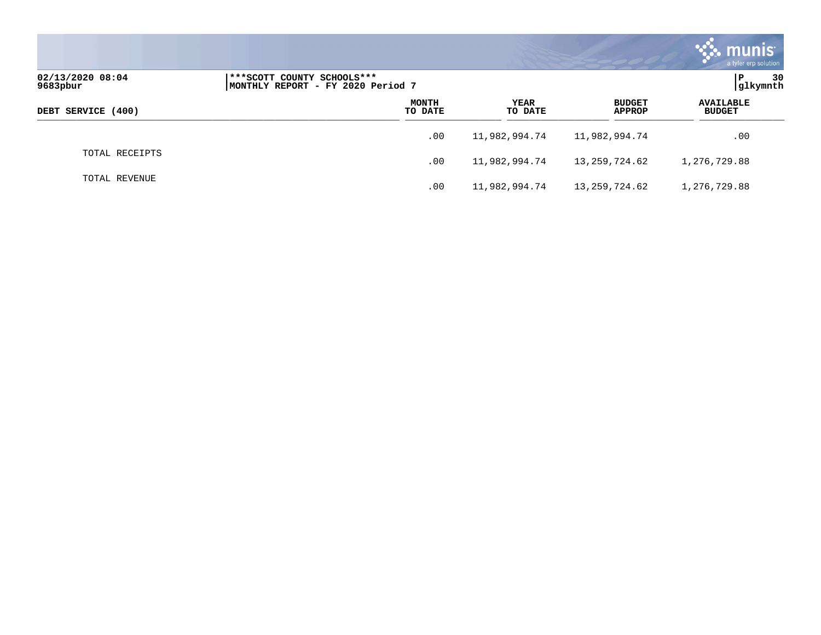|                              |                                                                 |                         |                 |                                | $\boldsymbol{\ddot{\cdot}}$ . munis<br>a tyler erp solution |
|------------------------------|-----------------------------------------------------------------|-------------------------|-----------------|--------------------------------|-------------------------------------------------------------|
| 02/13/2020 08:04<br>9683pbur | ***SCOTT COUNTY SCHOOLS***<br>MONTHLY REPORT - FY 2020 Period 7 |                         |                 |                                | $\mathbf{P}$<br>30<br> glkymnth                             |
| DEBT SERVICE (400)           |                                                                 | <b>MONTH</b><br>TO DATE | YEAR<br>TO DATE | <b>BUDGET</b><br><b>APPROP</b> | <b>AVAILABLE</b><br><b>BUDGET</b>                           |
|                              |                                                                 | .00                     | 11,982,994.74   | 11,982,994.74                  | .00                                                         |
| TOTAL RECEIPTS               |                                                                 | .00                     | 11,982,994.74   | 13,259,724.62                  | 1,276,729.88                                                |
| TOTAL REVENUE                |                                                                 | .00                     | 11,982,994.74   | 13,259,724.62                  | 1,276,729.88                                                |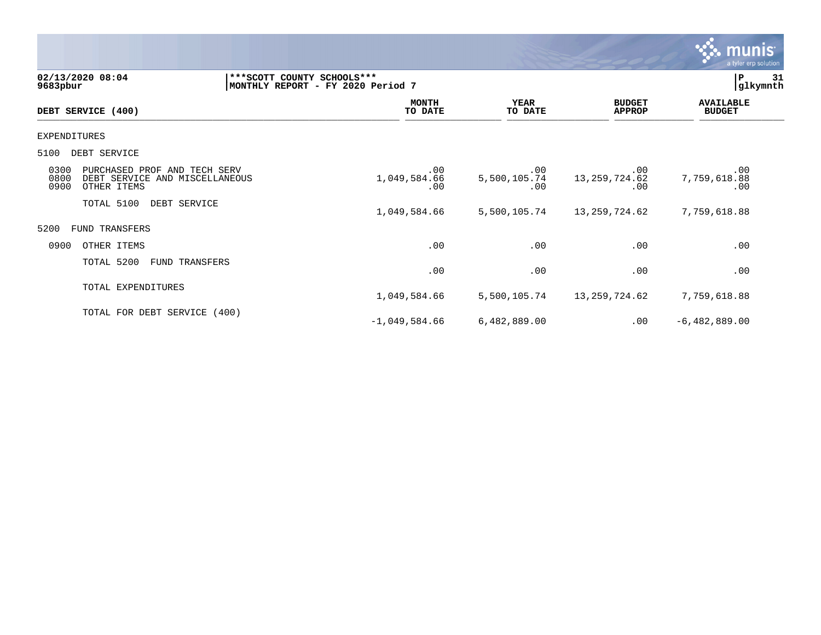|                                                                                                       |                                   |                                 |                                | <b>munis</b><br>a tyler erp solution |
|-------------------------------------------------------------------------------------------------------|-----------------------------------|---------------------------------|--------------------------------|--------------------------------------|
| 02/13/2020 08:04<br>*** SCOTT COUNTY SCHOOLS***<br>9683pbur                                           | MONTHLY REPORT - FY 2020 Period 7 |                                 |                                | P<br>31<br>glkymnth                  |
| DEBT SERVICE (400)                                                                                    | <b>MONTH</b><br>TO DATE           | <b>YEAR</b><br>TO DATE          | <b>BUDGET</b><br><b>APPROP</b> | <b>AVAILABLE</b><br><b>BUDGET</b>    |
| <b>EXPENDITURES</b>                                                                                   |                                   |                                 |                                |                                      |
| 5100<br>DEBT SERVICE                                                                                  |                                   |                                 |                                |                                      |
| 0300<br>PURCHASED PROF AND TECH SERV<br>0800<br>DEBT SERVICE AND MISCELLANEOUS<br>0900<br>OTHER ITEMS | .00<br>1,049,584.66<br>.00        | $.00 \,$<br>5,500,105.74<br>.00 | .00<br>13, 259, 724.62<br>.00  | .00<br>7,759,618.88<br>.00           |
| TOTAL 5100<br>DEBT SERVICE                                                                            | 1,049,584.66                      | 5,500,105.74                    | 13,259,724.62                  | 7,759,618.88                         |
| 5200<br><b>FUND TRANSFERS</b>                                                                         |                                   |                                 |                                |                                      |
| 0900<br>OTHER ITEMS                                                                                   | .00                               | .00                             | .00                            | .00                                  |
| TOTAL 5200<br>FUND TRANSFERS                                                                          | .00                               | .00                             | .00                            | .00                                  |
| TOTAL EXPENDITURES                                                                                    | 1,049,584.66                      | 5,500,105.74                    | 13,259,724.62                  | 7,759,618.88                         |
| TOTAL FOR DEBT SERVICE (400)                                                                          | $-1,049,584.66$                   | 6,482,889.00                    | .00                            | $-6,482,889.00$                      |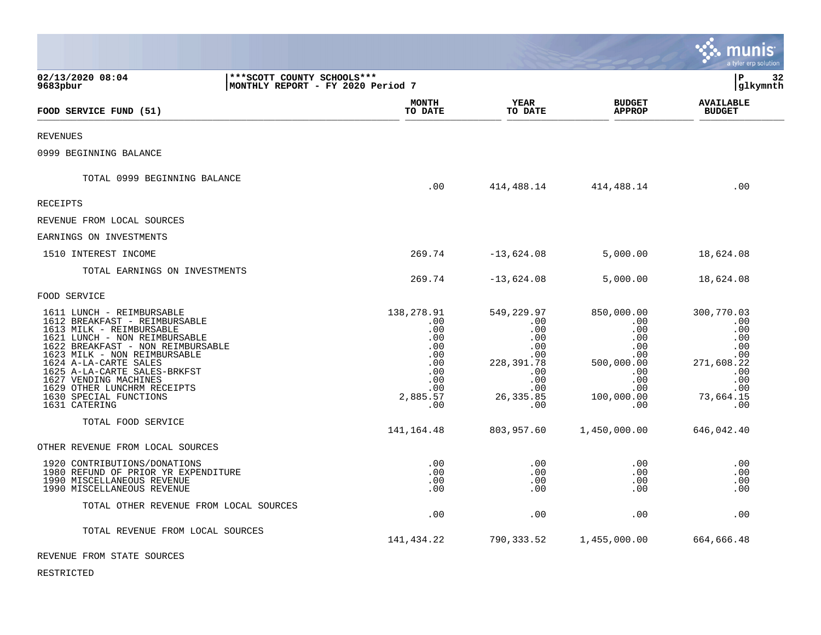|                                                                                                                                                                                                                                                                                                                                                          |                                                                    |                                                                                                   |                                                                                                            |                                                                                                                 | munis<br>a tyler erp solution                                                                        |
|----------------------------------------------------------------------------------------------------------------------------------------------------------------------------------------------------------------------------------------------------------------------------------------------------------------------------------------------------------|--------------------------------------------------------------------|---------------------------------------------------------------------------------------------------|------------------------------------------------------------------------------------------------------------|-----------------------------------------------------------------------------------------------------------------|------------------------------------------------------------------------------------------------------|
| 02/13/2020 08:04<br>9683pbur                                                                                                                                                                                                                                                                                                                             | *** SCOTT COUNTY SCHOOLS ***<br> MONTHLY REPORT - FY 2020 Period 7 |                                                                                                   |                                                                                                            |                                                                                                                 | l P<br>32<br> glkymnth                                                                               |
| FOOD SERVICE FUND (51)                                                                                                                                                                                                                                                                                                                                   |                                                                    | <b>MONTH</b><br>TO DATE                                                                           | YEAR<br>TO DATE                                                                                            | <b>BUDGET</b><br><b>APPROP</b>                                                                                  | <b>AVAILABLE</b><br><b>BUDGET</b>                                                                    |
| <b>REVENUES</b>                                                                                                                                                                                                                                                                                                                                          |                                                                    |                                                                                                   |                                                                                                            |                                                                                                                 |                                                                                                      |
| 0999 BEGINNING BALANCE                                                                                                                                                                                                                                                                                                                                   |                                                                    |                                                                                                   |                                                                                                            |                                                                                                                 |                                                                                                      |
| TOTAL 0999 BEGINNING BALANCE                                                                                                                                                                                                                                                                                                                             |                                                                    | .00                                                                                               | 414,488.14                                                                                                 | 414,488.14                                                                                                      | .00                                                                                                  |
| RECEIPTS                                                                                                                                                                                                                                                                                                                                                 |                                                                    |                                                                                                   |                                                                                                            |                                                                                                                 |                                                                                                      |
| REVENUE FROM LOCAL SOURCES                                                                                                                                                                                                                                                                                                                               |                                                                    |                                                                                                   |                                                                                                            |                                                                                                                 |                                                                                                      |
| EARNINGS ON INVESTMENTS                                                                                                                                                                                                                                                                                                                                  |                                                                    |                                                                                                   |                                                                                                            |                                                                                                                 |                                                                                                      |
| 1510 INTEREST INCOME                                                                                                                                                                                                                                                                                                                                     |                                                                    | 269.74                                                                                            | $-13,624.08$                                                                                               | 5,000.00                                                                                                        | 18,624.08                                                                                            |
| TOTAL EARNINGS ON INVESTMENTS                                                                                                                                                                                                                                                                                                                            |                                                                    | 269.74                                                                                            | $-13,624.08$                                                                                               | 5,000.00                                                                                                        | 18,624.08                                                                                            |
| FOOD SERVICE                                                                                                                                                                                                                                                                                                                                             |                                                                    |                                                                                                   |                                                                                                            |                                                                                                                 |                                                                                                      |
| 1611 LUNCH - REIMBURSABLE<br>1612 BREAKFAST - REIMBURSABLE<br>1613 MILK - REIMBURSABLE<br>1621 LUNCH - NON REIMBURSABLE<br>1622 BREAKFAST - NON REIMBURSABLE<br>1623 MILK - NON REIMBURSABLE<br>1624 A-LA-CARTE SALES<br>1625 A-LA-CARTE SALES-BRKFST<br>1627 VENDING MACHINES<br>1629 OTHER LUNCHRM RECEIPTS<br>1630 SPECIAL FUNCTIONS<br>1631 CATERING |                                                                    | 138,278.91<br>.00<br>.00<br>.00<br>.00<br>$.00 \,$<br>.00<br>.00<br>.00<br>.00<br>2,885.57<br>.00 | 549,229.97<br>.00<br>.00<br>.00<br>.00<br>$.00 \,$<br>228,391.78<br>.00<br>.00<br>.00<br>26, 335.85<br>.00 | 850,000.00<br>.00<br>.00<br>.00<br>$.00 \,$<br>$.00 \,$<br>500,000.00<br>.00<br>.00<br>.00<br>100,000.00<br>.00 | 300,770.03<br>.00<br>.00<br>.00<br>.00<br>.00<br>271,608.22<br>.00<br>.00<br>.00<br>73,664.15<br>.00 |
| TOTAL FOOD SERVICE                                                                                                                                                                                                                                                                                                                                       |                                                                    | 141, 164. 48                                                                                      | 803,957.60                                                                                                 | 1,450,000.00                                                                                                    | 646,042.40                                                                                           |
| OTHER REVENUE FROM LOCAL SOURCES                                                                                                                                                                                                                                                                                                                         |                                                                    |                                                                                                   |                                                                                                            |                                                                                                                 |                                                                                                      |
| 1920 CONTRIBUTIONS/DONATIONS<br>1980 REFUND OF PRIOR YR EXPENDITURE<br>1990 MISCELLANEOUS REVENUE<br>1990 MISCELLANEOUS REVENUE                                                                                                                                                                                                                          |                                                                    | .00<br>.00<br>.00<br>.00                                                                          | .00<br>.00<br>.00<br>.00                                                                                   | $.00 \,$<br>$.00 \,$<br>.00<br>.00                                                                              | .00<br>.00<br>.00<br>.00                                                                             |
| TOTAL OTHER REVENUE FROM LOCAL SOURCES                                                                                                                                                                                                                                                                                                                   |                                                                    | .00                                                                                               | .00                                                                                                        | .00                                                                                                             | .00                                                                                                  |
| TOTAL REVENUE FROM LOCAL SOURCES                                                                                                                                                                                                                                                                                                                         |                                                                    | 141,434.22                                                                                        | 790,333.52                                                                                                 | 1,455,000.00                                                                                                    | 664,666.48                                                                                           |
|                                                                                                                                                                                                                                                                                                                                                          |                                                                    |                                                                                                   |                                                                                                            |                                                                                                                 |                                                                                                      |

 $\bullet$ 

## REVENUE FROM STATE SOURCES

RESTRICTED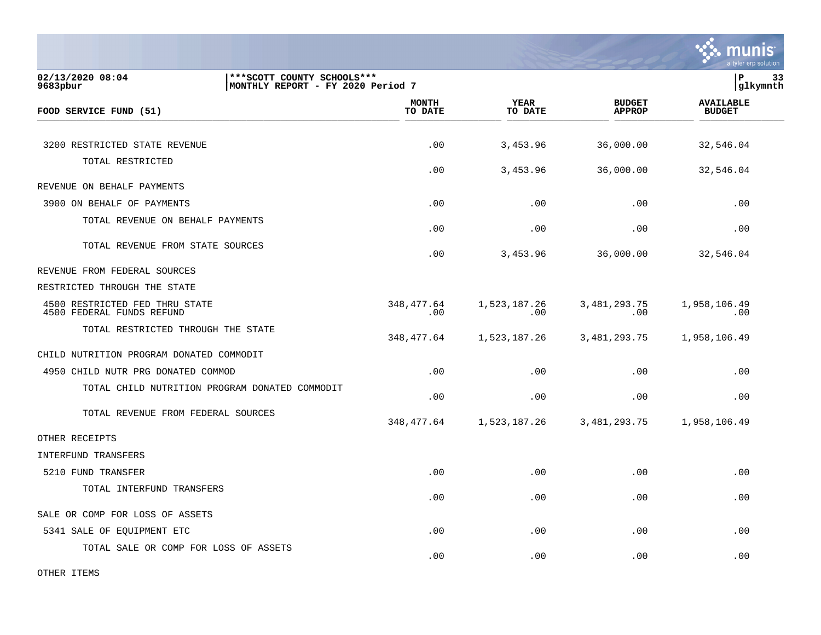

| 02/13/2020 08:04<br>9683pbur                                | *** SCOTT COUNTY SCHOOLS ***<br> MONTHLY REPORT - FY 2020 Period 7 |                         |                        |                                |                                   | P<br>33<br>glkymnth |  |
|-------------------------------------------------------------|--------------------------------------------------------------------|-------------------------|------------------------|--------------------------------|-----------------------------------|---------------------|--|
| FOOD SERVICE FUND (51)                                      |                                                                    | <b>MONTH</b><br>TO DATE | <b>YEAR</b><br>TO DATE | <b>BUDGET</b><br><b>APPROP</b> | <b>AVAILABLE</b><br><b>BUDGET</b> |                     |  |
| 3200 RESTRICTED STATE REVENUE                               |                                                                    | .00                     | 3,453.96               | 36,000.00                      | 32,546.04                         |                     |  |
| TOTAL RESTRICTED                                            |                                                                    | .00                     | 3,453.96               | 36,000.00                      | 32,546.04                         |                     |  |
| REVENUE ON BEHALF PAYMENTS                                  |                                                                    |                         |                        |                                |                                   |                     |  |
| 3900 ON BEHALF OF PAYMENTS                                  |                                                                    | .00                     | .00                    | .00                            | .00                               |                     |  |
| TOTAL REVENUE ON BEHALF PAYMENTS                            |                                                                    | .00                     | .00                    | .00                            | .00                               |                     |  |
| TOTAL REVENUE FROM STATE SOURCES                            |                                                                    | .00                     | 3,453.96               | 36,000.00                      | 32,546.04                         |                     |  |
| REVENUE FROM FEDERAL SOURCES                                |                                                                    |                         |                        |                                |                                   |                     |  |
| RESTRICTED THROUGH THE STATE                                |                                                                    |                         |                        |                                |                                   |                     |  |
| 4500 RESTRICTED FED THRU STATE<br>4500 FEDERAL FUNDS REFUND |                                                                    | 348,477.64<br>.00       | 1,523,187.26<br>.00    | 3, 481, 293. 75<br>.00         | 1,958,106.49<br>.00               |                     |  |
| TOTAL RESTRICTED THROUGH THE STATE                          |                                                                    | 348,477.64              | 1,523,187.26           | 3, 481, 293. 75                | 1,958,106.49                      |                     |  |
| CHILD NUTRITION PROGRAM DONATED COMMODIT                    |                                                                    |                         |                        |                                |                                   |                     |  |
| 4950 CHILD NUTR PRG DONATED COMMOD                          |                                                                    | .00                     | .00                    | .00                            | .00                               |                     |  |
| TOTAL CHILD NUTRITION PROGRAM DONATED COMMODIT              |                                                                    | .00                     | .00                    | .00                            | .00                               |                     |  |
| TOTAL REVENUE FROM FEDERAL SOURCES                          |                                                                    | 348,477.64              | 1,523,187.26           | 3,481,293.75                   | 1,958,106.49                      |                     |  |
| OTHER RECEIPTS                                              |                                                                    |                         |                        |                                |                                   |                     |  |
| INTERFUND TRANSFERS                                         |                                                                    |                         |                        |                                |                                   |                     |  |
| 5210 FUND TRANSFER                                          |                                                                    | .00                     | .00                    | .00                            | .00                               |                     |  |
| TOTAL INTERFUND TRANSFERS                                   |                                                                    | .00                     | .00                    | .00                            | .00                               |                     |  |
| SALE OR COMP FOR LOSS OF ASSETS                             |                                                                    |                         |                        |                                |                                   |                     |  |
| 5341 SALE OF EQUIPMENT ETC                                  |                                                                    | .00.                    | .00                    | .00                            | .00                               |                     |  |
| TOTAL SALE OR COMP FOR LOSS OF ASSETS                       |                                                                    | .00                     | .00                    | .00                            | .00                               |                     |  |

OTHER ITEMS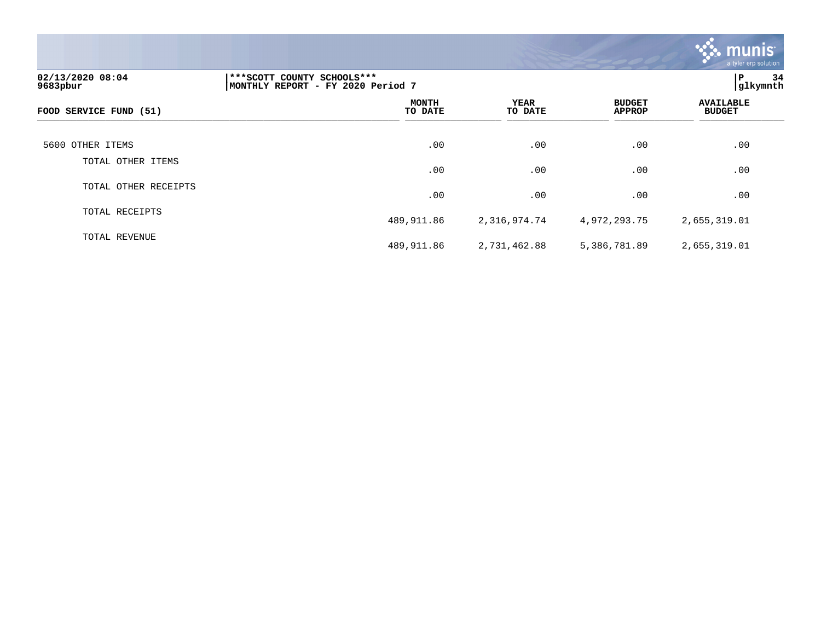

| 02/13/2020 08:04<br>9683pbur | ***SCOTT COUNTY SCHOOLS***<br>MONTHLY REPORT - FY 2020 Period 7 | l P<br>34<br>glkymnth |                                |                                   |
|------------------------------|-----------------------------------------------------------------|-----------------------|--------------------------------|-----------------------------------|
| FOOD SERVICE FUND (51)       | <b>MONTH</b><br>TO DATE                                         | YEAR<br>TO DATE       | <b>BUDGET</b><br><b>APPROP</b> | <b>AVAILABLE</b><br><b>BUDGET</b> |
| 5600 OTHER ITEMS             | .00                                                             | .00                   | .00                            | .00                               |
| TOTAL OTHER ITEMS            | .00                                                             | .00                   | .00                            | .00                               |
| TOTAL OTHER RECEIPTS         | .00                                                             | .00                   | .00                            | .00                               |
| TOTAL RECEIPTS               | 489,911.86                                                      | 2,316,974.74          | 4,972,293.75                   | 2,655,319.01                      |
| TOTAL REVENUE                | 489,911.86                                                      | 2,731,462.88          | 5,386,781.89                   | 2,655,319.01                      |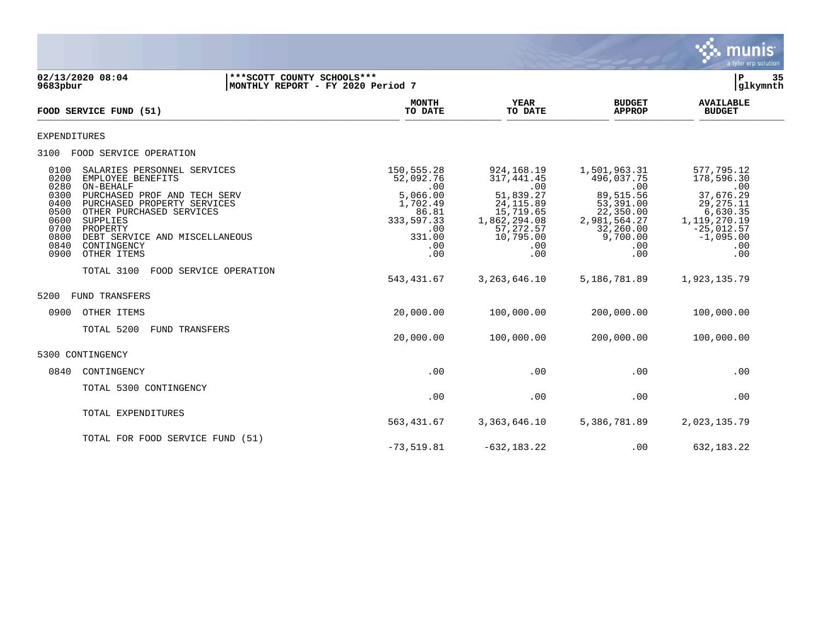

| 02/13/2020 08:04<br>9683pbur                                                                                                                                                                                                                                                                                                                                                     | ***SCOTT COUNTY SCHOOLS***<br>MONTHLY REPORT - FY 2020 Period 7 |                                                                                                                             |                                                                                                                                                    |                                                                                                                                                         | P<br> glkymnth                                                                                                                                       | 35 |
|----------------------------------------------------------------------------------------------------------------------------------------------------------------------------------------------------------------------------------------------------------------------------------------------------------------------------------------------------------------------------------|-----------------------------------------------------------------|-----------------------------------------------------------------------------------------------------------------------------|----------------------------------------------------------------------------------------------------------------------------------------------------|---------------------------------------------------------------------------------------------------------------------------------------------------------|------------------------------------------------------------------------------------------------------------------------------------------------------|----|
| FOOD SERVICE FUND (51)                                                                                                                                                                                                                                                                                                                                                           |                                                                 | <b>MONTH</b><br>TO DATE                                                                                                     | <b>YEAR</b><br>TO DATE                                                                                                                             | <b>BUDGET</b><br><b>APPROP</b>                                                                                                                          | <b>AVAILABLE</b><br><b>BUDGET</b>                                                                                                                    |    |
| <b>EXPENDITURES</b>                                                                                                                                                                                                                                                                                                                                                              |                                                                 |                                                                                                                             |                                                                                                                                                    |                                                                                                                                                         |                                                                                                                                                      |    |
| FOOD SERVICE OPERATION<br>3100                                                                                                                                                                                                                                                                                                                                                   |                                                                 |                                                                                                                             |                                                                                                                                                    |                                                                                                                                                         |                                                                                                                                                      |    |
| 0100<br>SALARIES PERSONNEL SERVICES<br>0200<br>EMPLOYEE BENEFITS<br>0280<br>ON-BEHALF<br>0300<br>PURCHASED PROF AND TECH SERV<br>0400<br>PURCHASED PROPERTY SERVICES<br>0500<br>OTHER PURCHASED SERVICES<br>0600<br>SUPPLIES<br>0700<br>PROPERTY<br>0800<br>DEBT SERVICE AND MISCELLANEOUS<br>0840<br>CONTINGENCY<br>0900<br>OTHER ITEMS<br>TOTAL 3100<br>FOOD SERVICE OPERATION |                                                                 | 150,555.28<br>52,092.76<br>.00<br>5,066.00<br>1,702.49<br>86.81<br>333,597.33<br>.00<br>331.00<br>.00<br>.00<br>543, 431.67 | 924,168.19<br>317, 441.45<br>.00<br>51,839.27<br>24, 115.89<br>15,719.65<br>1,862,294.08<br>57,272.57<br>10,795.00<br>.00<br>.00<br>3, 263, 646.10 | 1,501,963.31<br>496,037.75<br>.00<br>89,515.56<br>53,391.00<br>22,350.00<br>2,981,564.27<br>32,260.00<br>9,700.00<br>$.00 \ \rm$<br>.00<br>5,186,781.89 | 577,795.12<br>178,596.30<br>.00<br>37,676.29<br>29, 275. 11<br>6,630.35<br>1,119,270.19<br>$-25,012.57$<br>$-1,095.00$<br>.00<br>.00<br>1,923,135.79 |    |
| 5200<br>FUND TRANSFERS                                                                                                                                                                                                                                                                                                                                                           |                                                                 |                                                                                                                             |                                                                                                                                                    |                                                                                                                                                         |                                                                                                                                                      |    |
| OTHER ITEMS<br>0900                                                                                                                                                                                                                                                                                                                                                              |                                                                 | 20,000.00                                                                                                                   | 100,000.00                                                                                                                                         | 200,000.00                                                                                                                                              | 100,000.00                                                                                                                                           |    |
| TOTAL 5200<br><b>FUND TRANSFERS</b>                                                                                                                                                                                                                                                                                                                                              |                                                                 | 20,000.00                                                                                                                   | 100,000.00                                                                                                                                         | 200,000.00                                                                                                                                              | 100,000.00                                                                                                                                           |    |
| 5300 CONTINGENCY                                                                                                                                                                                                                                                                                                                                                                 |                                                                 |                                                                                                                             |                                                                                                                                                    |                                                                                                                                                         |                                                                                                                                                      |    |
| 0840<br>CONTINGENCY                                                                                                                                                                                                                                                                                                                                                              |                                                                 | .00                                                                                                                         | .00                                                                                                                                                | .00                                                                                                                                                     | .00                                                                                                                                                  |    |
| TOTAL 5300 CONTINGENCY                                                                                                                                                                                                                                                                                                                                                           |                                                                 | .00                                                                                                                         | .00                                                                                                                                                | .00                                                                                                                                                     | .00                                                                                                                                                  |    |
| TOTAL EXPENDITURES                                                                                                                                                                                                                                                                                                                                                               |                                                                 | 563, 431.67                                                                                                                 | 3,363,646.10                                                                                                                                       | 5,386,781.89                                                                                                                                            | 2,023,135.79                                                                                                                                         |    |
| TOTAL FOR FOOD SERVICE FUND (51)                                                                                                                                                                                                                                                                                                                                                 |                                                                 | $-73, 519.81$                                                                                                               | $-632, 183.22$                                                                                                                                     | .00                                                                                                                                                     | 632, 183. 22                                                                                                                                         |    |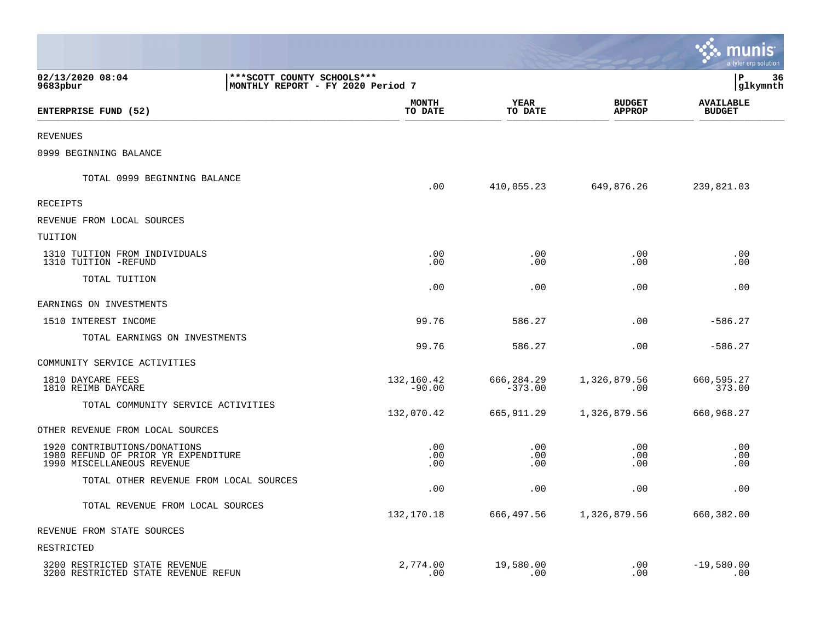|                                                                                                   |                                                                   |                         |                                | a tyler erp solution              |
|---------------------------------------------------------------------------------------------------|-------------------------------------------------------------------|-------------------------|--------------------------------|-----------------------------------|
| 02/13/2020 08:04<br>9683pbur                                                                      | *** SCOTT COUNTY SCHOOLS ***<br>MONTHLY REPORT - FY 2020 Period 7 |                         |                                | P<br>36<br>glkymnth               |
| ENTERPRISE FUND (52)                                                                              | <b>MONTH</b><br>TO DATE                                           | <b>YEAR</b><br>TO DATE  | <b>BUDGET</b><br><b>APPROP</b> | <b>AVAILABLE</b><br><b>BUDGET</b> |
| <b>REVENUES</b>                                                                                   |                                                                   |                         |                                |                                   |
| 0999 BEGINNING BALANCE                                                                            |                                                                   |                         |                                |                                   |
| TOTAL 0999 BEGINNING BALANCE                                                                      | .00                                                               | 410,055.23              | 649,876.26                     | 239,821.03                        |
| RECEIPTS                                                                                          |                                                                   |                         |                                |                                   |
| REVENUE FROM LOCAL SOURCES                                                                        |                                                                   |                         |                                |                                   |
| TUITION                                                                                           |                                                                   |                         |                                |                                   |
| 1310 TUITION FROM INDIVIDUALS<br>1310 TUITION -REFUND                                             | .00<br>.00                                                        | .00<br>.00              | .00<br>.00                     | .00<br>.00                        |
| TOTAL TUITION                                                                                     | .00                                                               | .00                     | .00                            | .00                               |
| EARNINGS ON INVESTMENTS                                                                           |                                                                   |                         |                                |                                   |
| 1510 INTEREST INCOME                                                                              | 99.76                                                             | 586.27                  | .00                            | $-586.27$                         |
| TOTAL EARNINGS ON INVESTMENTS                                                                     | 99.76                                                             | 586.27                  | .00                            | $-586.27$                         |
| COMMUNITY SERVICE ACTIVITIES                                                                      |                                                                   |                         |                                |                                   |
| 1810 DAYCARE FEES<br>1810 REIMB DAYCARE                                                           | 132,160.42<br>$-90.00$                                            | 666,284.29<br>$-373.00$ | 1,326,879.56<br>.00            | 660,595.27<br>373.00              |
| TOTAL COMMUNITY SERVICE ACTIVITIES                                                                | 132,070.42                                                        | 665,911.29              | 1,326,879.56                   | 660,968.27                        |
| OTHER REVENUE FROM LOCAL SOURCES                                                                  |                                                                   |                         |                                |                                   |
| 1920 CONTRIBUTIONS/DONATIONS<br>1980 REFUND OF PRIOR YR EXPENDITURE<br>1990 MISCELLANEOUS REVENUE | .00<br>.00<br>.00                                                 | .00<br>.00<br>.00       | .00<br>.00<br>.00              | .00<br>.00<br>.00                 |
| TOTAL OTHER REVENUE FROM LOCAL SOURCES                                                            | .00                                                               | .00                     | .00                            | .00                               |
| TOTAL REVENUE FROM LOCAL SOURCES                                                                  | 132,170.18                                                        | 666,497.56              | 1,326,879.56                   | 660,382.00                        |
| REVENUE FROM STATE SOURCES                                                                        |                                                                   |                         |                                |                                   |
| RESTRICTED                                                                                        |                                                                   |                         |                                |                                   |
| 3200 RESTRICTED STATE REVENUE<br>3200 RESTRICTED STATE REVENUE REFUN                              | 2,774.00<br>.00                                                   | 19,580.00<br>.00        | .00<br>.00                     | $-19,580.00$<br>.00               |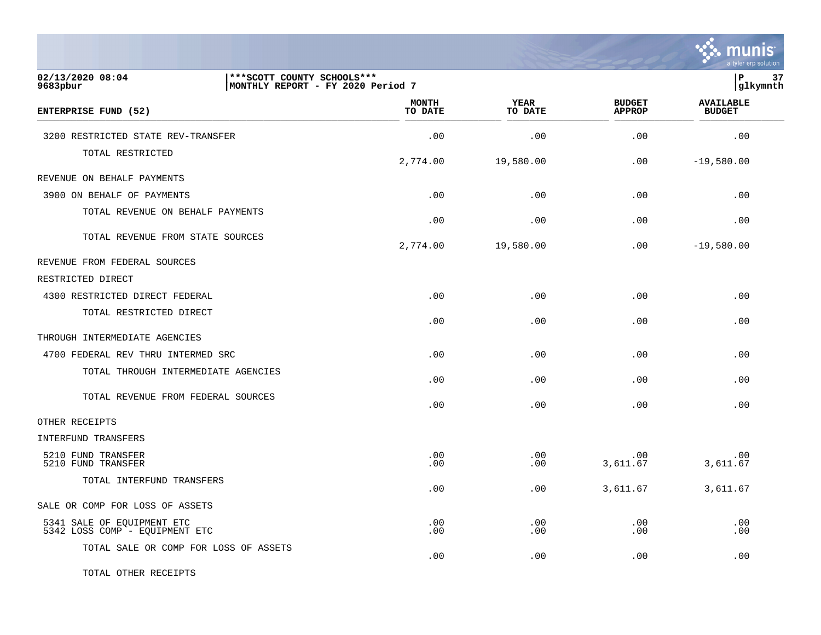

| 02/13/2020 08:04<br>9683pbur                                 | *** SCOTT COUNTY SCHOOLS ***<br> MONTHLY REPORT - FY 2020 Period 7 |                         |                 |                                | İР<br> glkymnth                   | 37 |
|--------------------------------------------------------------|--------------------------------------------------------------------|-------------------------|-----------------|--------------------------------|-----------------------------------|----|
| ENTERPRISE FUND (52)                                         |                                                                    | <b>MONTH</b><br>TO DATE | YEAR<br>TO DATE | <b>BUDGET</b><br><b>APPROP</b> | <b>AVAILABLE</b><br><b>BUDGET</b> |    |
| 3200 RESTRICTED STATE REV-TRANSFER                           |                                                                    | .00                     | .00             | .00                            | .00                               |    |
| TOTAL RESTRICTED                                             |                                                                    | 2,774.00                | 19,580.00       | .00                            | $-19,580.00$                      |    |
| REVENUE ON BEHALF PAYMENTS                                   |                                                                    |                         |                 |                                |                                   |    |
| 3900 ON BEHALF OF PAYMENTS                                   |                                                                    | .00                     | .00             | .00                            | .00                               |    |
| TOTAL REVENUE ON BEHALF PAYMENTS                             |                                                                    | .00                     | .00             | .00                            | .00                               |    |
| TOTAL REVENUE FROM STATE SOURCES                             |                                                                    | 2,774.00                | 19,580.00       | .00                            | $-19,580.00$                      |    |
| REVENUE FROM FEDERAL SOURCES                                 |                                                                    |                         |                 |                                |                                   |    |
| RESTRICTED DIRECT                                            |                                                                    |                         |                 |                                |                                   |    |
| 4300 RESTRICTED DIRECT FEDERAL<br>TOTAL RESTRICTED DIRECT    |                                                                    | .00                     | .00             | .00                            | .00                               |    |
|                                                              |                                                                    | .00                     | .00             | .00                            | .00                               |    |
| THROUGH INTERMEDIATE AGENCIES                                |                                                                    |                         |                 |                                |                                   |    |
| 4700 FEDERAL REV THRU INTERMED SRC                           |                                                                    | .00                     | .00             | .00                            | .00                               |    |
| TOTAL THROUGH INTERMEDIATE AGENCIES                          |                                                                    | .00                     | .00             | .00                            | .00                               |    |
| TOTAL REVENUE FROM FEDERAL SOURCES                           |                                                                    | .00                     | .00             | .00                            | .00                               |    |
| OTHER RECEIPTS                                               |                                                                    |                         |                 |                                |                                   |    |
| INTERFUND TRANSFERS                                          |                                                                    |                         |                 |                                |                                   |    |
| 5210 FUND TRANSFER<br>5210 FUND TRANSFER                     |                                                                    | .00<br>.00              | .00<br>.00      | .00<br>3,611.67                | .00<br>3,611.67                   |    |
| TOTAL INTERFUND TRANSFERS                                    |                                                                    | .00                     | .00             | 3,611.67                       | 3,611.67                          |    |
| SALE OR COMP FOR LOSS OF ASSETS                              |                                                                    |                         |                 |                                |                                   |    |
| 5341 SALE OF EQUIPMENT ETC<br>5342 LOSS COMP - EQUIPMENT ETC |                                                                    | .00<br>.00              | .00<br>.00      | .00<br>.00                     | .00<br>.00                        |    |
| TOTAL SALE OR COMP FOR LOSS OF ASSETS                        |                                                                    | .00                     | .00             | .00                            | .00                               |    |

TOTAL OTHER RECEIPTS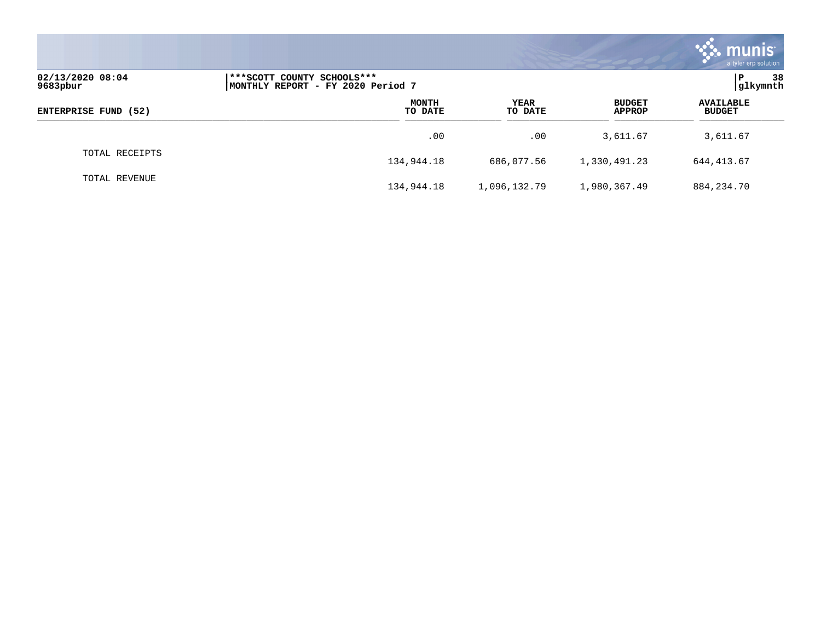|                              |                                                                  |     |                        |                                | munis <sup>®</sup><br>a tyler erp solution |
|------------------------------|------------------------------------------------------------------|-----|------------------------|--------------------------------|--------------------------------------------|
| 02/13/2020 08:04<br>9683pbur | ***SCOTT COUNTY SCHOOLS***<br> MONTHLY REPORT - FY 2020 Period 7 |     |                        |                                | $\mathbf{P}$<br>38<br>glkymnth             |
| ENTERPRISE FUND (52)         | <b>MONTH</b><br>TO DATE                                          |     | <b>YEAR</b><br>TO DATE | <b>BUDGET</b><br><b>APPROP</b> | <b>AVAILABLE</b><br><b>BUDGET</b>          |
|                              |                                                                  | .00 | .00                    | 3,611.67                       | 3,611.67                                   |
| TOTAL RECEIPTS               | 134,944.18                                                       |     | 686,077.56             | 1,330,491.23                   | 644, 413.67                                |
| TOTAL REVENUE                | 134,944.18                                                       |     | 1,096,132.79           | 1,980,367.49                   | 884, 234. 70                               |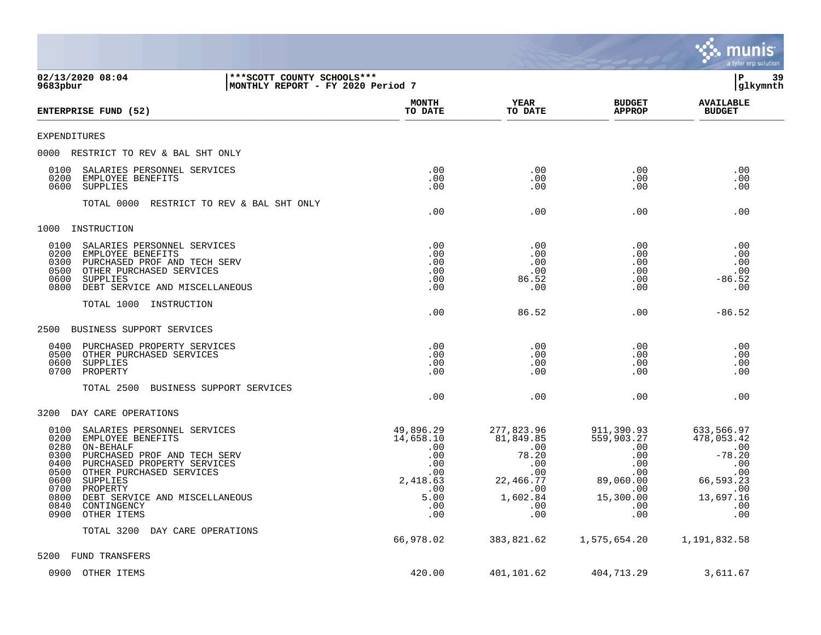|                                                                                                                                                                                                                                                                                                                                       |                                                                                             |                                                                                                     |                                                                                                                    | munis<br>a tyler erp solution                                                                            |
|---------------------------------------------------------------------------------------------------------------------------------------------------------------------------------------------------------------------------------------------------------------------------------------------------------------------------------------|---------------------------------------------------------------------------------------------|-----------------------------------------------------------------------------------------------------|--------------------------------------------------------------------------------------------------------------------|----------------------------------------------------------------------------------------------------------|
| 02/13/2020 08:04<br>***SCOTT COUNTY SCHOOLS***<br>9683pbur<br>MONTHLY REPORT - FY 2020 Period 7                                                                                                                                                                                                                                       |                                                                                             |                                                                                                     |                                                                                                                    | lР<br>39<br> glkymnth                                                                                    |
| ENTERPRISE FUND (52)                                                                                                                                                                                                                                                                                                                  | <b>MONTH</b><br>TO DATE                                                                     | YEAR<br>TO DATE                                                                                     | <b>BUDGET</b><br><b>APPROP</b>                                                                                     | <b>AVAILABLE</b><br><b>BUDGET</b>                                                                        |
| <b>EXPENDITURES</b>                                                                                                                                                                                                                                                                                                                   |                                                                                             |                                                                                                     |                                                                                                                    |                                                                                                          |
| 0000 RESTRICT TO REV & BAL SHT ONLY                                                                                                                                                                                                                                                                                                   |                                                                                             |                                                                                                     |                                                                                                                    |                                                                                                          |
| 0100<br>SALARIES PERSONNEL SERVICES<br>0200<br>EMPLOYEE BENEFITS<br>0600<br>SUPPLIES                                                                                                                                                                                                                                                  | .00<br>.00<br>.00                                                                           | .00<br>.00<br>.00                                                                                   | $.00 \,$<br>$.00 \,$<br>$.00 \,$                                                                                   | .00<br>.00<br>.00                                                                                        |
| TOTAL 0000<br>RESTRICT TO REV & BAL SHT ONLY                                                                                                                                                                                                                                                                                          | .00                                                                                         | .00                                                                                                 | $.00 \,$                                                                                                           | .00                                                                                                      |
| 1000<br>INSTRUCTION                                                                                                                                                                                                                                                                                                                   |                                                                                             |                                                                                                     |                                                                                                                    |                                                                                                          |
| 0100<br>SALARIES PERSONNEL SERVICES<br>0200<br>EMPLOYEE BENEFITS<br>0300<br>PURCHASED PROF AND TECH SERV<br>0500<br>OTHER PURCHASED SERVICES<br>0600<br><b>SUPPLIES</b><br>0800<br>DEBT SERVICE AND MISCELLANEOUS                                                                                                                     | .00<br>.00<br>.00<br>.00<br>.00<br>.00                                                      | .00<br>.00<br>.00<br>.00<br>86.52<br>.00                                                            | $.00 \,$<br>.00<br>$.00 \,$<br>$.00 \,$<br>.00<br>$.00 \,$                                                         | .00<br>.00<br>.00<br>.00<br>$-86.52$<br>.00                                                              |
| TOTAL 1000<br>INSTRUCTION                                                                                                                                                                                                                                                                                                             | .00                                                                                         | 86.52                                                                                               | $.00 \,$                                                                                                           | $-86.52$                                                                                                 |
| 2500<br>BUSINESS SUPPORT SERVICES                                                                                                                                                                                                                                                                                                     |                                                                                             |                                                                                                     |                                                                                                                    |                                                                                                          |
| 0400<br>PURCHASED PROPERTY SERVICES<br>0500<br>OTHER PURCHASED SERVICES<br>0600<br>SUPPLIES<br>0700<br>PROPERTY                                                                                                                                                                                                                       | .00<br>.00<br>.00<br>.00                                                                    | .00<br>.00<br>.00<br>.00                                                                            | $.00 \,$<br>$.00 \,$<br>$.00 \,$<br>$.00 \,$                                                                       | .00<br>.00<br>.00<br>.00                                                                                 |
| BUSINESS SUPPORT SERVICES<br>TOTAL 2500                                                                                                                                                                                                                                                                                               | .00                                                                                         | .00                                                                                                 | $.00 \,$                                                                                                           | .00                                                                                                      |
| 3200<br>DAY CARE OPERATIONS                                                                                                                                                                                                                                                                                                           |                                                                                             |                                                                                                     |                                                                                                                    |                                                                                                          |
| 0100<br>SALARIES PERSONNEL SERVICES<br>0200<br>EMPLOYEE BENEFITS<br>0280<br>ON-BEHALF<br>0300<br>PURCHASED PROF AND TECH SERV<br>0400<br>PURCHASED PROPERTY SERVICES<br>0500<br>OTHER PURCHASED SERVICES<br>0600<br>SUPPLIES<br>0700<br>PROPERTY<br>0800 DEBT SERVICE AND MISCELLANEOUS<br>0840<br>CONTINGENCY<br>0900<br>OTHER ITEMS | 49,896.29<br>14,658.10<br>.00<br>.00<br>.00<br>.00<br>2,418.63<br>.00<br>5.00<br>.00<br>.00 | 277,823.96<br>81,849.85<br>.00<br>78.20<br>.00<br>.00<br>22,466.77<br>.00<br>1,602.84<br>.00<br>.00 | 911,390.93<br>559,903.27<br>.00<br>$.00 \,$<br>.00<br>.00<br>89,060.00<br>$.00 \,$<br>15,300.00<br>.00<br>$.00 \,$ | 633,566.97<br>478,053.42<br>.00<br>$-78.20$<br>.00<br>.00<br>66,593.23<br>.00<br>13,697.16<br>.00<br>.00 |
| TOTAL 3200 DAY CARE OPERATIONS                                                                                                                                                                                                                                                                                                        | 66,978.02                                                                                   | 383,821.62                                                                                          | 1,575,654.20                                                                                                       | 1,191,832.58                                                                                             |
| 5200<br>FUND TRANSFERS                                                                                                                                                                                                                                                                                                                |                                                                                             |                                                                                                     |                                                                                                                    |                                                                                                          |
| 0900 OTHER ITEMS                                                                                                                                                                                                                                                                                                                      | 420.00                                                                                      | 401,101.62                                                                                          | 404,713.29                                                                                                         | 3,611.67                                                                                                 |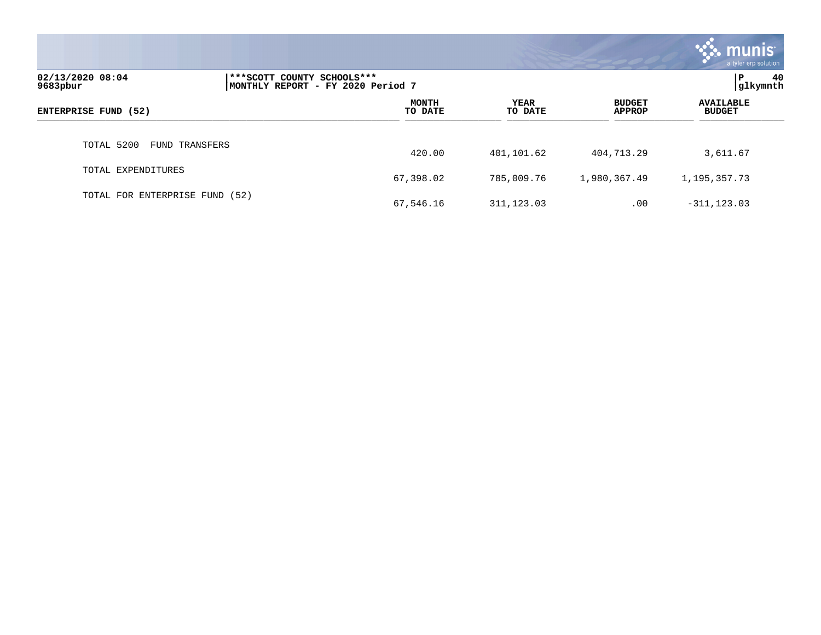|                                     |                                                                 |                         |                        |                                | munis <sup>1</sup><br>a tyler erp solution |
|-------------------------------------|-----------------------------------------------------------------|-------------------------|------------------------|--------------------------------|--------------------------------------------|
| 02/13/2020 08:04<br>9683pbur        | ***SCOTT COUNTY SCHOOLS***<br>MONTHLY REPORT - FY 2020 Period 7 |                         |                        |                                | 40<br>l P<br>glkymnth                      |
| ENTERPRISE FUND (52)                |                                                                 | <b>MONTH</b><br>TO DATE | <b>YEAR</b><br>TO DATE | <b>BUDGET</b><br><b>APPROP</b> | <b>AVAILABLE</b><br><b>BUDGET</b>          |
| TOTAL 5200<br><b>FUND TRANSFERS</b> |                                                                 | 420.00                  | 401,101.62             | 404,713.29                     | 3,611.67                                   |
| TOTAL EXPENDITURES                  |                                                                 | 67,398.02               | 785,009.76             | 1,980,367.49                   | 1,195,357.73                               |
| TOTAL FOR ENTERPRISE FUND (52)      |                                                                 | 67,546.16               | 311, 123.03            | .00                            | $-311, 123.03$                             |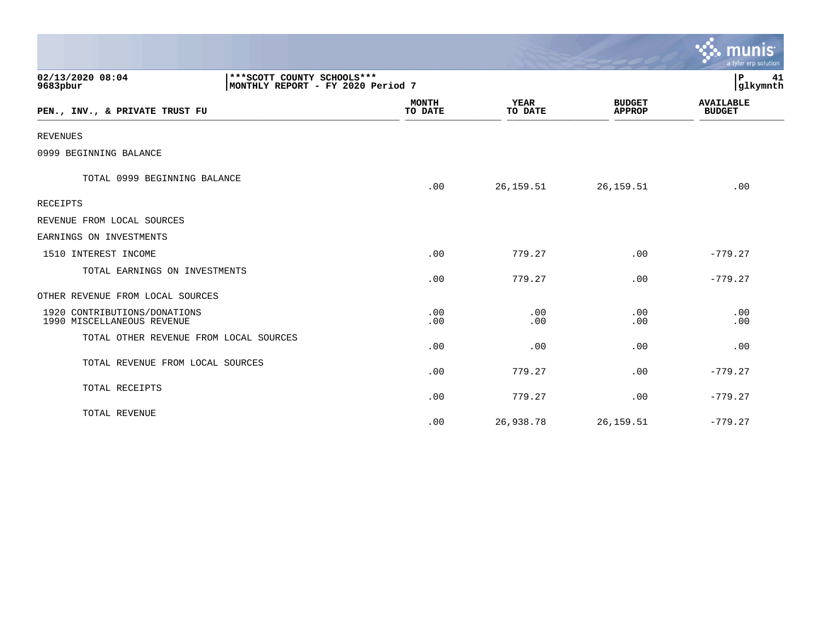|                                                            |                                                                   |                         |                        |                                | munis<br>a tyler erp solution     |
|------------------------------------------------------------|-------------------------------------------------------------------|-------------------------|------------------------|--------------------------------|-----------------------------------|
| 02/13/2020 08:04<br>9683pbur                               | *** SCOTT COUNTY SCHOOLS ***<br>MONTHLY REPORT - FY 2020 Period 7 |                         |                        |                                | P<br>41<br>glkymnth               |
| PEN., INV., & PRIVATE TRUST FU                             |                                                                   | <b>MONTH</b><br>TO DATE | <b>YEAR</b><br>TO DATE | <b>BUDGET</b><br><b>APPROP</b> | <b>AVAILABLE</b><br><b>BUDGET</b> |
| <b>REVENUES</b>                                            |                                                                   |                         |                        |                                |                                   |
| 0999 BEGINNING BALANCE                                     |                                                                   |                         |                        |                                |                                   |
| TOTAL 0999 BEGINNING BALANCE                               |                                                                   | .00                     | 26,159.51              | 26,159.51                      | .00                               |
| RECEIPTS                                                   |                                                                   |                         |                        |                                |                                   |
| REVENUE FROM LOCAL SOURCES                                 |                                                                   |                         |                        |                                |                                   |
| EARNINGS ON INVESTMENTS                                    |                                                                   |                         |                        |                                |                                   |
| 1510 INTEREST INCOME                                       |                                                                   | .00                     | 779.27                 | .00                            | $-779.27$                         |
| TOTAL EARNINGS ON INVESTMENTS                              |                                                                   | .00                     | 779.27                 | .00                            | $-779.27$                         |
| OTHER REVENUE FROM LOCAL SOURCES                           |                                                                   |                         |                        |                                |                                   |
| 1920 CONTRIBUTIONS/DONATIONS<br>1990 MISCELLANEOUS REVENUE |                                                                   | .00<br>.00              | .00<br>.00             | .00<br>.00                     | .00<br>.00                        |
| TOTAL OTHER REVENUE FROM LOCAL SOURCES                     |                                                                   | .00                     | .00                    | .00                            | .00                               |
| TOTAL REVENUE FROM LOCAL SOURCES                           |                                                                   | .00                     | 779.27                 | .00                            | $-779.27$                         |
| TOTAL RECEIPTS                                             |                                                                   | .00                     | 779.27                 | .00                            | $-779.27$                         |
| TOTAL REVENUE                                              |                                                                   | .00                     | 26,938.78              | 26, 159.51                     | $-779.27$                         |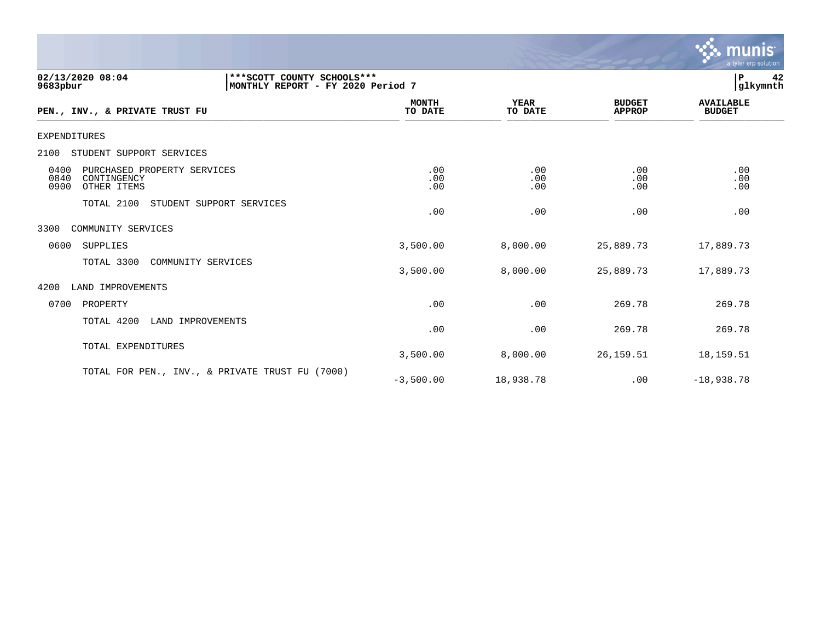

| 02/13/2020 08:04<br>*** SCOTT COUNTY SCHOOLS ***<br>MONTHLY REPORT - FY 2020 Period 7<br>9683pbur |                         |                        |                                | 42<br>  P<br>glkymnth             |
|---------------------------------------------------------------------------------------------------|-------------------------|------------------------|--------------------------------|-----------------------------------|
| PEN., INV., & PRIVATE TRUST FU                                                                    | <b>MONTH</b><br>TO DATE | <b>YEAR</b><br>TO DATE | <b>BUDGET</b><br><b>APPROP</b> | <b>AVAILABLE</b><br><b>BUDGET</b> |
| EXPENDITURES                                                                                      |                         |                        |                                |                                   |
| STUDENT SUPPORT SERVICES<br>2100                                                                  |                         |                        |                                |                                   |
| 0400<br>PURCHASED PROPERTY SERVICES<br>0840<br>CONTINGENCY<br>0900<br>OTHER ITEMS                 | .00<br>.00<br>.00       | .00<br>.00<br>.00      | .00<br>.00<br>.00              | .00<br>.00<br>.00                 |
| TOTAL 2100<br>STUDENT SUPPORT SERVICES                                                            | .00                     | .00                    | .00                            | .00                               |
| COMMUNITY SERVICES<br>3300                                                                        |                         |                        |                                |                                   |
| SUPPLIES<br>0600                                                                                  | 3,500.00                | 8,000.00               | 25,889.73                      | 17,889.73                         |
| TOTAL 3300<br>COMMUNITY SERVICES                                                                  | 3,500.00                | 8,000.00               | 25,889.73                      | 17,889.73                         |
| 4200<br>LAND IMPROVEMENTS                                                                         |                         |                        |                                |                                   |
| 0700<br>PROPERTY                                                                                  | .00                     | .00                    | 269.78                         | 269.78                            |
| TOTAL 4200<br>LAND IMPROVEMENTS                                                                   | .00                     | .00                    | 269.78                         | 269.78                            |
| TOTAL EXPENDITURES                                                                                | 3,500.00                | 8,000.00               | 26, 159. 51                    | 18,159.51                         |
| TOTAL FOR PEN., INV., & PRIVATE TRUST FU (7000)                                                   | $-3,500.00$             | 18,938.78              | .00                            | $-18,938.78$                      |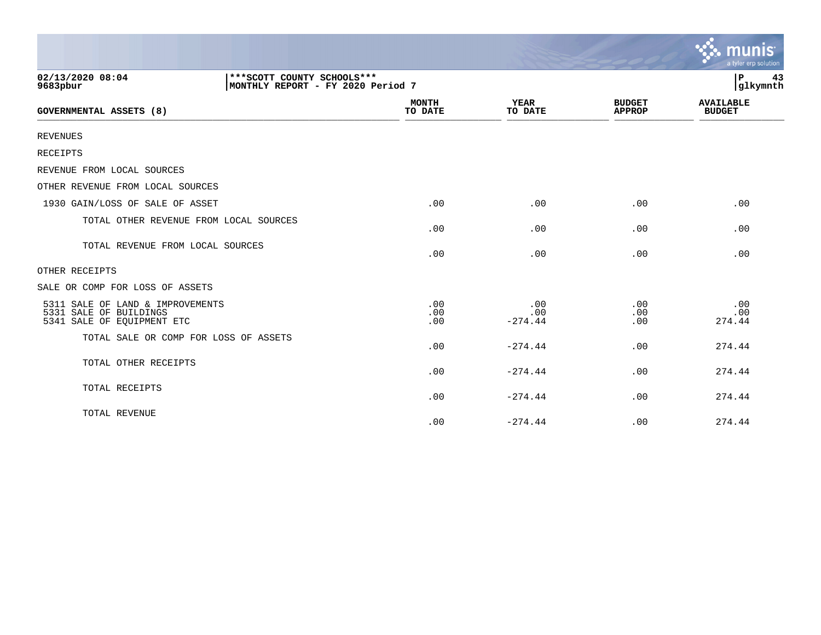|                                                                                                   |                         |                         |                                | munis<br>a tyler erp solution     |
|---------------------------------------------------------------------------------------------------|-------------------------|-------------------------|--------------------------------|-----------------------------------|
| 02/13/2020 08:04<br>*** SCOTT COUNTY SCHOOLS ***<br>MONTHLY REPORT - FY 2020 Period 7<br>9683pbur |                         |                         |                                | l P<br>43<br>glkymnth             |
| GOVERNMENTAL ASSETS (8)                                                                           | <b>MONTH</b><br>TO DATE | <b>YEAR</b><br>TO DATE  | <b>BUDGET</b><br><b>APPROP</b> | <b>AVAILABLE</b><br><b>BUDGET</b> |
| <b>REVENUES</b>                                                                                   |                         |                         |                                |                                   |
| RECEIPTS                                                                                          |                         |                         |                                |                                   |
| REVENUE FROM LOCAL SOURCES                                                                        |                         |                         |                                |                                   |
| OTHER REVENUE FROM LOCAL SOURCES                                                                  |                         |                         |                                |                                   |
| 1930 GAIN/LOSS OF SALE OF ASSET                                                                   | .00                     | .00                     | .00                            | .00                               |
| TOTAL OTHER REVENUE FROM LOCAL SOURCES                                                            | .00                     | .00                     | .00                            | .00                               |
| TOTAL REVENUE FROM LOCAL SOURCES                                                                  | .00                     | .00                     | .00                            | .00                               |
| OTHER RECEIPTS                                                                                    |                         |                         |                                |                                   |
| SALE OR COMP FOR LOSS OF ASSETS                                                                   |                         |                         |                                |                                   |
| 5311 SALE OF LAND & IMPROVEMENTS<br>5331 SALE OF BUILDINGS<br>5341 SALE OF EQUIPMENT ETC          | .00<br>.00<br>.00       | .00<br>.00<br>$-274.44$ | .00<br>.00<br>.00              | .00<br>.00<br>274.44              |
| TOTAL SALE OR COMP FOR LOSS OF ASSETS                                                             | .00                     | $-274.44$               | .00                            | 274.44                            |
| TOTAL OTHER RECEIPTS                                                                              | .00                     | $-274.44$               | .00                            | 274.44                            |
| TOTAL RECEIPTS                                                                                    | .00                     | $-274.44$               | .00                            | 274.44                            |
| TOTAL REVENUE                                                                                     | .00                     | $-274.44$               | .00                            | 274.44                            |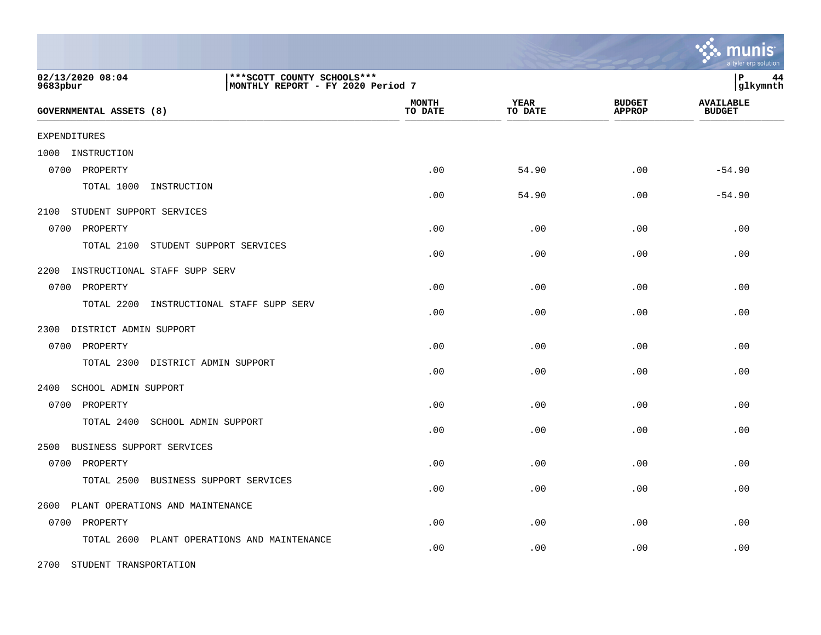|                                                                                                   |                         |                        |                                | a tyler erp solution              |
|---------------------------------------------------------------------------------------------------|-------------------------|------------------------|--------------------------------|-----------------------------------|
| 02/13/2020 08:04<br>*** SCOTT COUNTY SCHOOLS ***<br>9683pbur<br>MONTHLY REPORT - FY 2020 Period 7 |                         |                        |                                | P<br>44<br>glkymnth               |
| GOVERNMENTAL ASSETS (8)                                                                           | <b>MONTH</b><br>TO DATE | <b>YEAR</b><br>TO DATE | <b>BUDGET</b><br><b>APPROP</b> | <b>AVAILABLE</b><br><b>BUDGET</b> |
| <b>EXPENDITURES</b>                                                                               |                         |                        |                                |                                   |
| 1000<br>INSTRUCTION                                                                               |                         |                        |                                |                                   |
| 0700 PROPERTY                                                                                     | .00                     | 54.90                  | .00                            | $-54.90$                          |
| TOTAL 1000<br>INSTRUCTION                                                                         | .00                     | 54.90                  | .00                            | $-54.90$                          |
| STUDENT SUPPORT SERVICES<br>2100                                                                  |                         |                        |                                |                                   |
| 0700 PROPERTY                                                                                     | .00                     | .00                    | .00                            | .00                               |
| TOTAL 2100<br>STUDENT SUPPORT SERVICES                                                            | .00                     | .00                    | .00                            | .00                               |
| 2200<br>INSTRUCTIONAL STAFF SUPP SERV                                                             |                         |                        |                                |                                   |
| 0700 PROPERTY                                                                                     | .00                     | .00                    | .00                            | .00                               |
| TOTAL 2200<br>INSTRUCTIONAL STAFF SUPP SERV                                                       | .00                     | .00                    | .00                            | .00                               |
| 2300 DISTRICT ADMIN SUPPORT                                                                       |                         |                        |                                |                                   |
| 0700 PROPERTY                                                                                     | .00                     | .00                    | .00                            | .00                               |
| TOTAL 2300 DISTRICT ADMIN SUPPORT                                                                 | .00                     | .00                    | .00                            | .00                               |
| 2400<br>SCHOOL ADMIN SUPPORT                                                                      |                         |                        |                                |                                   |
| 0700 PROPERTY                                                                                     | .00                     | .00                    | .00                            | .00                               |
| TOTAL 2400<br>SCHOOL ADMIN SUPPORT                                                                | .00                     | .00                    | .00                            | .00                               |
| BUSINESS SUPPORT SERVICES<br>2500                                                                 |                         |                        |                                |                                   |
| 0700 PROPERTY                                                                                     | .00                     | .00                    | .00                            | .00                               |
| TOTAL 2500<br>BUSINESS SUPPORT SERVICES                                                           | .00                     | .00                    | .00                            | .00                               |
| PLANT OPERATIONS AND MAINTENANCE<br>2600                                                          |                         |                        |                                |                                   |
| 0700 PROPERTY                                                                                     | .00                     | .00                    | .00                            | .00                               |
| TOTAL 2600<br>PLANT OPERATIONS AND MAINTENANCE                                                    | .00                     | .00                    | .00                            | .00                               |
| 2700 STUDENT TRANSPORTATION                                                                       |                         |                        |                                |                                   |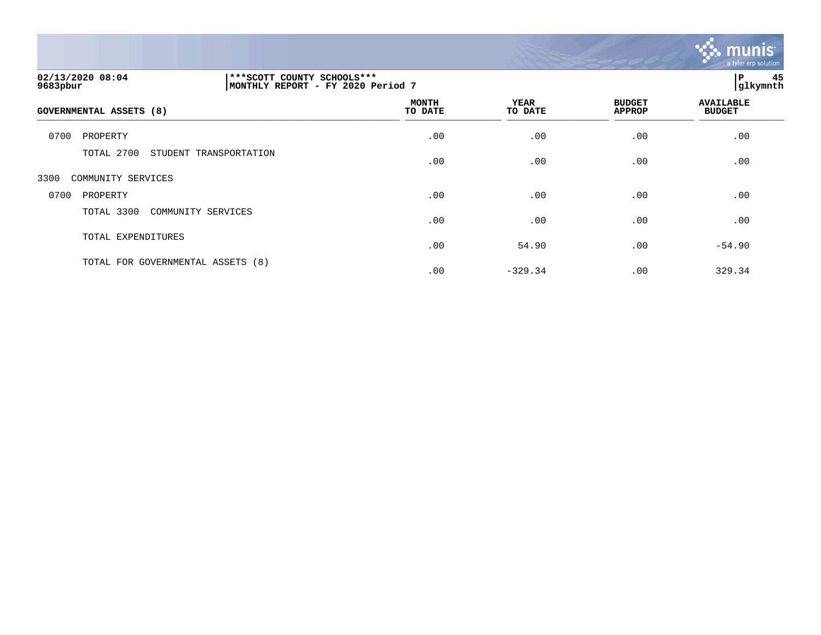

| 02/13/2020 08:04<br>9683pbur         | ***SCOTT COUNTY SCHOOLS***<br>MONTHLY REPORT - FY 2020 Period 7 |                         |                        |                                |                                   |  |
|--------------------------------------|-----------------------------------------------------------------|-------------------------|------------------------|--------------------------------|-----------------------------------|--|
| GOVERNMENTAL ASSETS (8)              |                                                                 | <b>MONTH</b><br>TO DATE | <b>YEAR</b><br>TO DATE | <b>BUDGET</b><br><b>APPROP</b> | <b>AVAILABLE</b><br><b>BUDGET</b> |  |
| 0700<br>PROPERTY                     |                                                                 | .00                     | .00                    | .00                            | .00                               |  |
| TOTAL 2700<br>STUDENT TRANSPORTATION |                                                                 | .00                     | .00                    | .00                            | .00                               |  |
| 3300<br>COMMUNITY SERVICES           |                                                                 |                         |                        |                                |                                   |  |
| 0700<br>PROPERTY                     |                                                                 | .00                     | .00                    | .00                            | .00                               |  |
| TOTAL 3300                           | COMMUNITY SERVICES                                              | .00                     | .00                    | .00                            | .00                               |  |
| TOTAL EXPENDITURES                   |                                                                 | .00                     | 54.90                  | .00                            | $-54.90$                          |  |
| TOTAL FOR GOVERNMENTAL ASSETS (8)    |                                                                 | .00                     | $-329.34$              | .00                            | 329.34                            |  |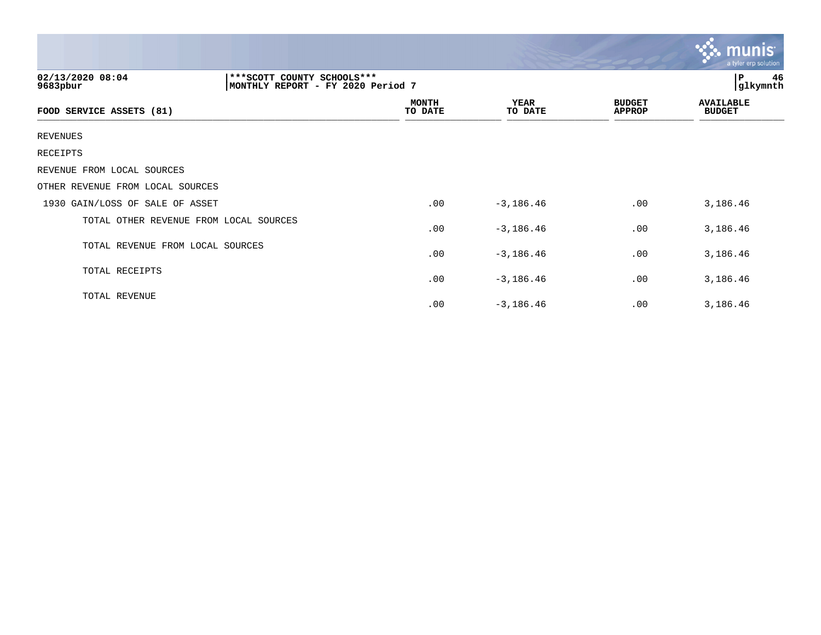|                                        |                                                                   |                         |                        |                                | <u>munis l</u><br>a tyler erp solution |
|----------------------------------------|-------------------------------------------------------------------|-------------------------|------------------------|--------------------------------|----------------------------------------|
| 02/13/2020 08:04<br>9683pbur           | *** SCOTT COUNTY SCHOOLS ***<br>MONTHLY REPORT - FY 2020 Period 7 |                         |                        |                                | 46<br>P<br>glkymnth                    |
| FOOD SERVICE ASSETS (81)               |                                                                   | <b>MONTH</b><br>TO DATE | <b>YEAR</b><br>TO DATE | <b>BUDGET</b><br><b>APPROP</b> | <b>AVAILABLE</b><br><b>BUDGET</b>      |
| <b>REVENUES</b>                        |                                                                   |                         |                        |                                |                                        |
| RECEIPTS                               |                                                                   |                         |                        |                                |                                        |
| REVENUE FROM LOCAL SOURCES             |                                                                   |                         |                        |                                |                                        |
| OTHER REVENUE FROM LOCAL SOURCES       |                                                                   |                         |                        |                                |                                        |
| 1930 GAIN/LOSS OF SALE OF ASSET        |                                                                   | .00                     | $-3, 186.46$           | .00                            | 3,186.46                               |
| TOTAL OTHER REVENUE FROM LOCAL SOURCES |                                                                   | .00                     | $-3,186.46$            | .00                            | 3,186.46                               |
| TOTAL REVENUE FROM LOCAL SOURCES       |                                                                   | .00                     | $-3, 186.46$           | .00                            | 3,186.46                               |
| TOTAL RECEIPTS                         |                                                                   | .00                     | $-3, 186.46$           | .00                            | 3,186.46                               |
| TOTAL REVENUE                          |                                                                   | .00                     | $-3, 186.46$           | .00                            | 3,186.46                               |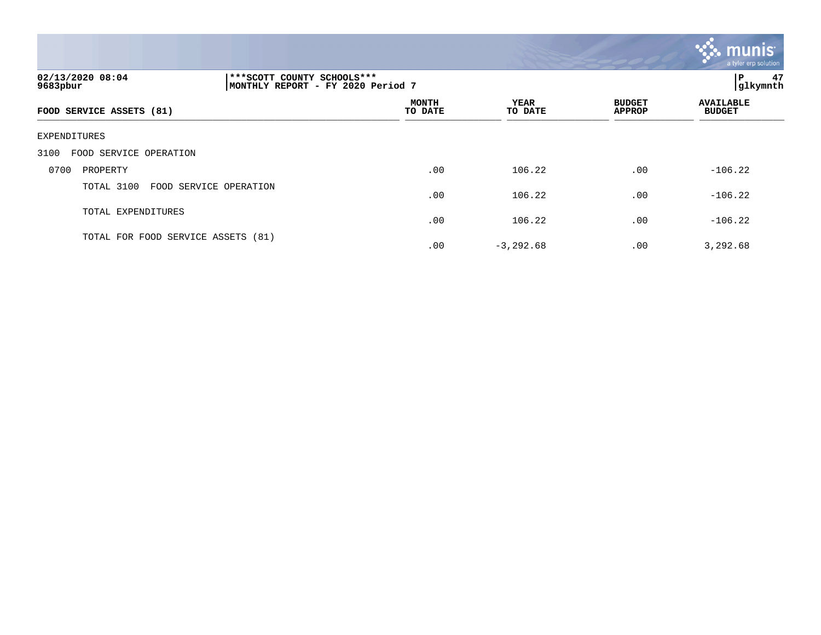|                                                                                                   |                         |                        |                                | munis<br>a tyler erp solution     |
|---------------------------------------------------------------------------------------------------|-------------------------|------------------------|--------------------------------|-----------------------------------|
| 02/13/2020 08:04<br>*** SCOTT COUNTY SCHOOLS ***<br>MONTHLY REPORT - FY 2020 Period 7<br>9683pbur |                         |                        |                                | 47<br>l P<br>glkymnth             |
| FOOD SERVICE ASSETS (81)                                                                          | <b>MONTH</b><br>TO DATE | <b>YEAR</b><br>TO DATE | <b>BUDGET</b><br><b>APPROP</b> | <b>AVAILABLE</b><br><b>BUDGET</b> |
| EXPENDITURES                                                                                      |                         |                        |                                |                                   |
| 3100<br>FOOD SERVICE OPERATION                                                                    |                         |                        |                                |                                   |
| 0700<br>PROPERTY                                                                                  | .00                     | 106.22                 | .00                            | $-106.22$                         |
| TOTAL 3100<br>FOOD SERVICE OPERATION                                                              | .00                     | 106.22                 | .00                            | $-106.22$                         |
| TOTAL EXPENDITURES                                                                                | .00                     | 106.22                 | .00                            | $-106.22$                         |
| TOTAL FOR FOOD SERVICE ASSETS (81)                                                                | .00                     | $-3, 292.68$           | .00                            | 3,292.68                          |